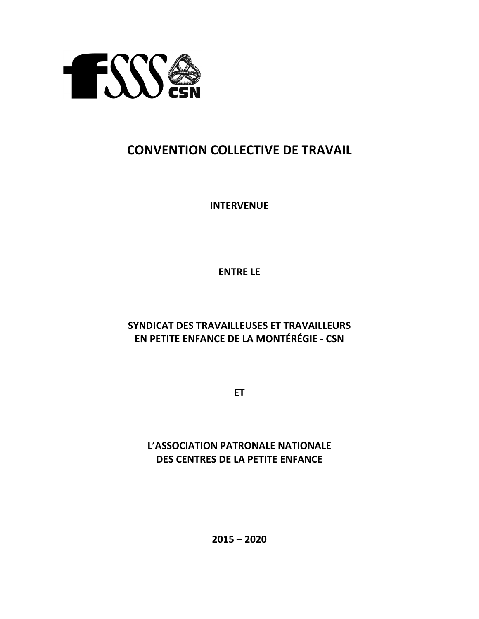

## **CONVENTION COLLECTIVE DE TRAVAIL**

**INTERVENUE**

**ENTRE LE** 

## **SYNDICAT DES TRAVAILLEUSES ET TRAVAILLEURS EN PETITE ENFANCE DE LA MONTÉRÉGIE - CSN**

**ET**

**L'ASSOCIATION PATRONALE NATIONALE DES CENTRES DE LA PETITE ENFANCE** 

**2015 – 2020**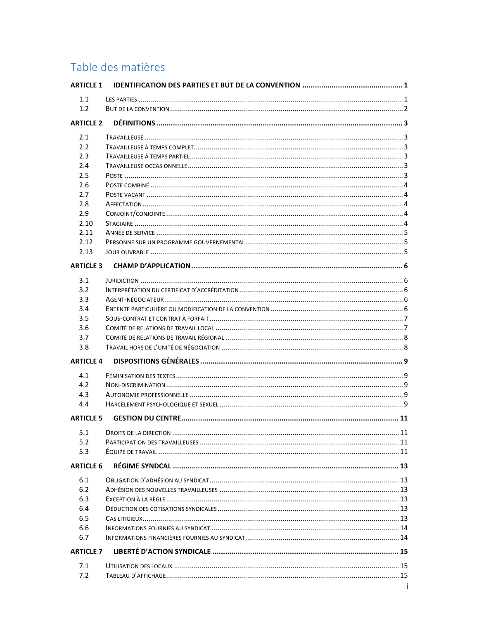# Table des matières

| <b>ARTICLE 1</b> |  |
|------------------|--|
| 1.1              |  |
| 1.2              |  |
| <b>ARTICLE 2</b> |  |
|                  |  |
| 2.1              |  |
| 2.2              |  |
| 2.3              |  |
| 2.4              |  |
| 2.5              |  |
| 2.6              |  |
| 2.7              |  |
| 2.8              |  |
| 2.9              |  |
| 2.10<br>2.11     |  |
| 2.12             |  |
| 2.13             |  |
|                  |  |
| <b>ARTICLE 3</b> |  |
| 3.1              |  |
| 3.2              |  |
| 3.3              |  |
| 3.4              |  |
| 3.5              |  |
| 3.6              |  |
| 3.7              |  |
| 3.8              |  |
| <b>ARTICLE 4</b> |  |
| 4.1              |  |
| 4.2              |  |
| 4.3              |  |
| 4.4              |  |
| <b>ARTICLE 5</b> |  |
|                  |  |
|                  |  |
| 5.2              |  |
| 5.3              |  |
| <b>ARTICLE 6</b> |  |
| 6.1              |  |
| 6.2              |  |
| 6.3              |  |
| 6.4              |  |
| 6.5              |  |
| 6.6              |  |
| 6.7              |  |
| <b>ARTICLE 7</b> |  |
|                  |  |
| 7.1              |  |
| 7.2              |  |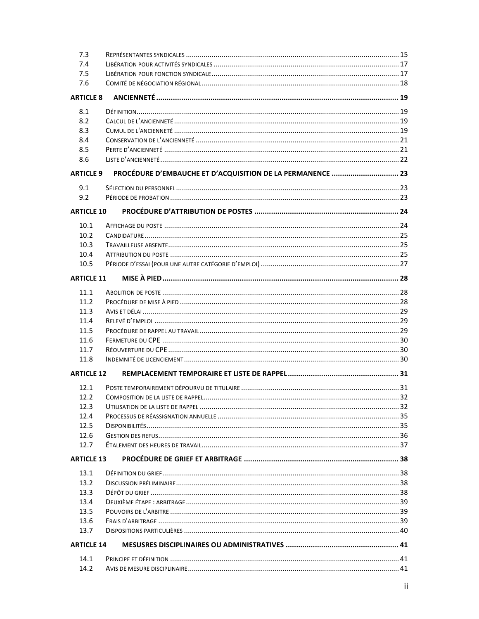| 7.3               |                                                            |  |
|-------------------|------------------------------------------------------------|--|
| 7.4               |                                                            |  |
| 7.5               |                                                            |  |
| 7.6               |                                                            |  |
| <b>ARTICLE 8</b>  |                                                            |  |
| 8.1               |                                                            |  |
| 8.2               |                                                            |  |
| 8.3               |                                                            |  |
| 8.4               |                                                            |  |
| 8.5               |                                                            |  |
| 8.6               |                                                            |  |
| <b>ARTICLE 9</b>  | PROCÉDURE D'EMBAUCHE ET D'ACQUISITION DE LA PERMANENCE  23 |  |
| 9.1               |                                                            |  |
| 9.2               |                                                            |  |
| <b>ARTICLE 10</b> |                                                            |  |
| 10.1              |                                                            |  |
| 10.2              |                                                            |  |
| 10.3              |                                                            |  |
| 10.4              |                                                            |  |
| 10.5              |                                                            |  |
| <b>ARTICLE 11</b> |                                                            |  |
| 11.1              |                                                            |  |
| 11.2              |                                                            |  |
| 11.3              |                                                            |  |
| 11.4              |                                                            |  |
| 11.5              |                                                            |  |
| 11.6              |                                                            |  |
| 11.7              |                                                            |  |
| 11.8              |                                                            |  |
|                   |                                                            |  |
| <b>ARTICLE 12</b> |                                                            |  |
| 12.1              |                                                            |  |
| 12.2              |                                                            |  |
| 12.3              |                                                            |  |
| 12.4              |                                                            |  |
| 12.5              |                                                            |  |
| 12.6              |                                                            |  |
| 12.7              |                                                            |  |
| <b>ARTICLE 13</b> |                                                            |  |
| 13.1              |                                                            |  |
| 13.2              |                                                            |  |
| 13.3              |                                                            |  |
| 13.4              |                                                            |  |
| 13.5              |                                                            |  |
| 13.6              |                                                            |  |
| 13.7              |                                                            |  |
| <b>ARTICLE 14</b> |                                                            |  |
| 14.1              |                                                            |  |
| 14.2              |                                                            |  |
|                   |                                                            |  |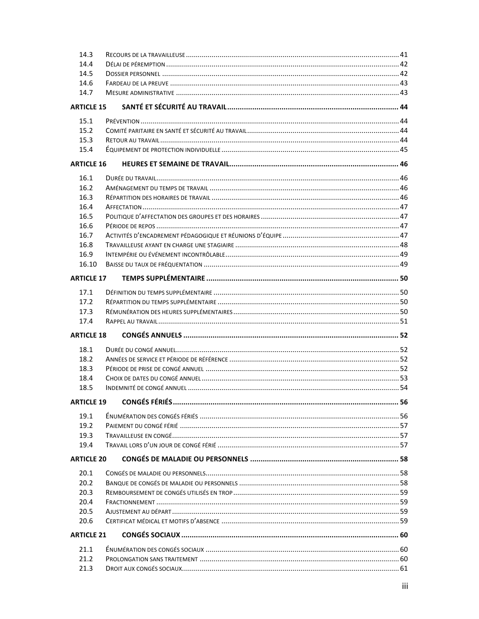| 14.3              |  |
|-------------------|--|
| 14.4              |  |
| 14.5              |  |
| 14.6              |  |
| 14.7              |  |
| <b>ARTICLE 15</b> |  |
| 15.1              |  |
| 15.2              |  |
| 15.3              |  |
| 15.4              |  |
| <b>ARTICLE 16</b> |  |
| 16.1              |  |
| 16.2              |  |
| 16.3              |  |
| 16.4              |  |
| 16.5              |  |
| 16.6              |  |
| 16.7              |  |
| 16.8              |  |
| 16.9              |  |
| 16.10             |  |
| <b>ARTICLE 17</b> |  |
| 17.1              |  |
| 17.2              |  |
| 17.3              |  |
| 17.4              |  |
| <b>ARTICLE 18</b> |  |
|                   |  |
| 18.1<br>18.2      |  |
| 18.3              |  |
| 18.4              |  |
| 18.5              |  |
|                   |  |
|                   |  |
| 19.1              |  |
| 19.2              |  |
| 19.3              |  |
| 19.4              |  |
| <b>ARTICLE 20</b> |  |
| 20.1              |  |
| 20.2              |  |
| 20.3              |  |
| 20.4              |  |
| 20.5              |  |
| 20.6              |  |
| <b>ARTICLE 21</b> |  |
| 21.1              |  |
| 21.2              |  |
| 21.3              |  |
|                   |  |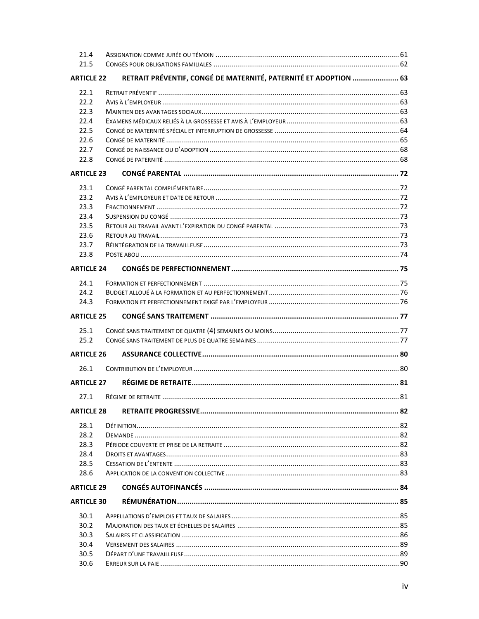| 21.4              |                                                                  |  |
|-------------------|------------------------------------------------------------------|--|
| 21.5              |                                                                  |  |
| <b>ARTICLE 22</b> | RETRAIT PRÉVENTIF, CONGÉ DE MATERNITÉ, PATERNITÉ ET ADOPTION  63 |  |
| 22.1              |                                                                  |  |
| 22.2              |                                                                  |  |
| 22.3              |                                                                  |  |
| 22.4              |                                                                  |  |
| 22.5              |                                                                  |  |
| 22.6              |                                                                  |  |
| 22.7              |                                                                  |  |
| 22.8              |                                                                  |  |
| <b>ARTICLE 23</b> |                                                                  |  |
|                   |                                                                  |  |
| 23.1              |                                                                  |  |
| 23.2              |                                                                  |  |
| 23.3              |                                                                  |  |
| 23.4              |                                                                  |  |
| 23.5              |                                                                  |  |
| 23.6              |                                                                  |  |
| 23.7              |                                                                  |  |
| 23.8              |                                                                  |  |
| <b>ARTICLE 24</b> |                                                                  |  |
| 24.1              |                                                                  |  |
| 24.2              |                                                                  |  |
| 24.3              |                                                                  |  |
|                   |                                                                  |  |
| <b>ARTICLE 25</b> |                                                                  |  |
|                   |                                                                  |  |
| 25.1<br>25.2      |                                                                  |  |
| <b>ARTICLE 26</b> |                                                                  |  |
|                   |                                                                  |  |
| 26.1              |                                                                  |  |
| <b>ARTICLE 27</b> |                                                                  |  |
| 27.1              |                                                                  |  |
| <b>ARTICLE 28</b> |                                                                  |  |
| 28.1              |                                                                  |  |
| 28.2              |                                                                  |  |
| 28.3              |                                                                  |  |
| 28.4              |                                                                  |  |
| 28.5              |                                                                  |  |
| 28.6              |                                                                  |  |
| <b>ARTICLE 29</b> |                                                                  |  |
| <b>ARTICLE 30</b> |                                                                  |  |
| 30.1              |                                                                  |  |
| 30.2              |                                                                  |  |
| 30.3              |                                                                  |  |
| 30.4              |                                                                  |  |
| 30.5              |                                                                  |  |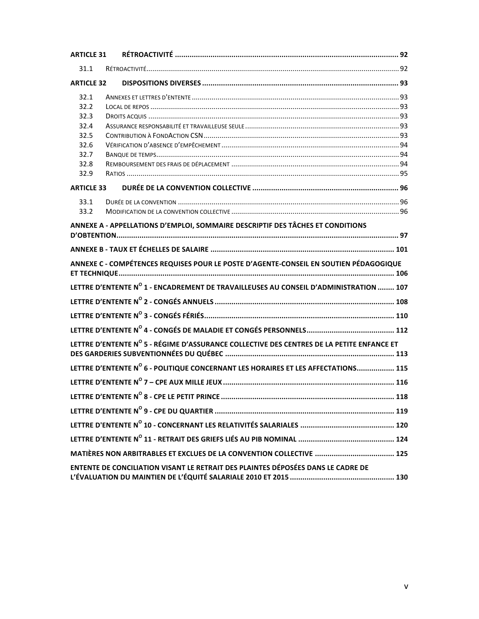| <b>ARTICLE 31</b> |                                                                                           |  |
|-------------------|-------------------------------------------------------------------------------------------|--|
| 31.1              |                                                                                           |  |
| <b>ARTICLE 32</b> |                                                                                           |  |
| 32.1              |                                                                                           |  |
| 32.2              |                                                                                           |  |
| 32.3              |                                                                                           |  |
| 32.4              |                                                                                           |  |
| 32.5              |                                                                                           |  |
| 32.6              |                                                                                           |  |
| 32.7              |                                                                                           |  |
| 32.8              |                                                                                           |  |
| 32.9              |                                                                                           |  |
| <b>ARTICLE 33</b> |                                                                                           |  |
| 33.1              |                                                                                           |  |
| 33.2              |                                                                                           |  |
|                   | ANNEXE A - APPELLATIONS D'EMPLOI, SOMMAIRE DESCRIPTIF DES TÂCHES ET CONDITIONS            |  |
|                   |                                                                                           |  |
|                   |                                                                                           |  |
|                   | ANNEXE C - COMPÉTENCES REQUISES POUR LE POSTE D'AGENTE-CONSEIL EN SOUTIEN PÉDAGOGIQUE     |  |
|                   | LETTRE D'ENTENTE Nº 1 - ENCADREMENT DE TRAVAILLEUSES AU CONSEIL D'ADMINISTRATION  107     |  |
|                   |                                                                                           |  |
|                   |                                                                                           |  |
|                   |                                                                                           |  |
|                   | LETTRE D'ENTENTE N° 5 - RÉGIME D'ASSURANCE COLLECTIVE DES CENTRES DE LA PETITE ENFANCE ET |  |
|                   | LETTRE D'ENTENTE N° 6 - POLITIQUE CONCERNANT LES HORAIRES ET LES AFFECTATIONS 115         |  |
|                   |                                                                                           |  |
|                   |                                                                                           |  |
|                   |                                                                                           |  |
|                   |                                                                                           |  |
|                   |                                                                                           |  |
|                   |                                                                                           |  |
|                   | ENTENTE DE CONCILIATION VISANT LE RETRAIT DES PLAINTES DÉPOSÉES DANS LE CADRE DE          |  |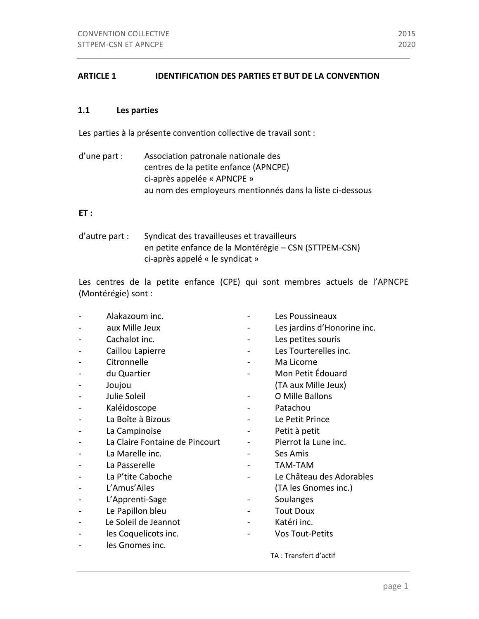## **ARTICLE 1 IDENTIFICATION DES PARTIES ET BUT DE LA CONVENTION**

## **1.1 Les parties**

Les parties à la présente convention collective de travail sont :

d'une part : Association patronale nationale des centres de la petite enfance (APNCPE) ci-après appelée « APNCPE » au nom des employeurs mentionnés dans la liste ci-dessous

## **ET :**

d'autre part : Syndicat des travailleuses et travailleurs en petite enfance de la Montérégie - CSN (STTPEM-CSN) ci-après appelé « le syndicat »

Les centres de la petite enfance (CPE) qui sont membres actuels de l'APNCPE (Montérégie) sont :

|   | Alakazoum inc.                 | Les Poussineaux             |
|---|--------------------------------|-----------------------------|
|   | aux Mille Jeux                 | Les jardins d'Honorine inc. |
|   | Cachalot inc.                  | Les petites souris          |
|   | Caillou Lapierre               | Les Tourterelles inc.       |
|   | Citronnelle                    | Ma Licorne                  |
|   | du Quartier                    | Mon Petit Édouard           |
|   | Joujou                         | (TA aux Mille Jeux)         |
|   | Julie Soleil                   | O Mille Ballons             |
|   | Kaléidoscope                   | Patachou                    |
|   | La Boîte à Bizous              | Le Petit Prince             |
|   | La Campinoise                  | Petit à petit               |
|   | La Claire Fontaine de Pincourt | Pierrot la Lune inc.        |
|   | La Marelle inc.                | Ses Amis                    |
|   | La Passerelle                  | <b>TAM-TAM</b>              |
|   | La P'tite Caboche              | Le Château des Adorables    |
|   | L'Amus'Ailes                   | (TA les Gnomes inc.)        |
|   | L'Apprenti-Sage                | Soulanges                   |
|   | Le Papillon bleu               | <b>Tout Doux</b>            |
|   | Le Soleil de Jeannot           | Katéri inc.                 |
| - | les Coquelicots inc.           | <b>Vos Tout-Petits</b>      |
|   | les Gnomes inc.                |                             |
|   |                                | TA: Transfert d'actif       |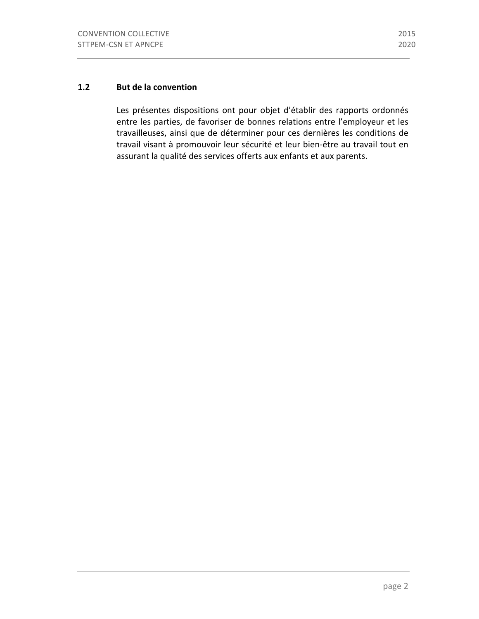## **1.2 But de la convention**

Les présentes dispositions ont pour objet d'établir des rapports ordonnés entre les parties, de favoriser de bonnes relations entre l'employeur et les travailleuses, ainsi que de déterminer pour ces dernières les conditions de travail visant à promouvoir leur sécurité et leur bien-être au travail tout en assurant la qualité des services offerts aux enfants et aux parents.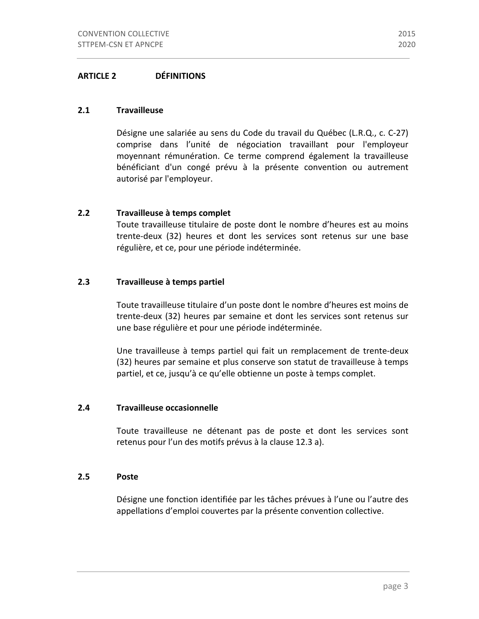## **ARTICLE 2 DÉFINITIONS**

#### **2.1 Travailleuse**

Désigne une salariée au sens du Code du travail du Québec (L.R.Q., c. C-27) comprise dans l'unité de négociation travaillant pour l'employeur moyennant rémunération. Ce terme comprend également la travailleuse bénéficiant d'un congé prévu à la présente convention ou autrement autorisé par l'employeur.

#### **2.2 Travailleuse à temps complet**

Toute travailleuse titulaire de poste dont le nombre d'heures est au moins trente-deux (32) heures et dont les services sont retenus sur une base régulière, et ce, pour une période indéterminée.

## **2.3 Travailleuse à temps partiel**

Toute travailleuse titulaire d'un poste dont le nombre d'heures est moins de trente-deux (32) heures par semaine et dont les services sont retenus sur une base régulière et pour une période indéterminée.

Une travailleuse à temps partiel qui fait un remplacement de trente-deux (32) heures par semaine et plus conserve son statut de travailleuse à temps partiel, et ce, jusqu'à ce qu'elle obtienne un poste à temps complet.

#### **2.4 Travailleuse occasionnelle**

Toute travailleuse ne détenant pas de poste et dont les services sont retenus pour l'un des motifs prévus à la clause 12.3 a).

### **2.5 Poste**

Désigne une fonction identifiée par les tâches prévues à l'une ou l'autre des appellations d'emploi couvertes par la présente convention collective.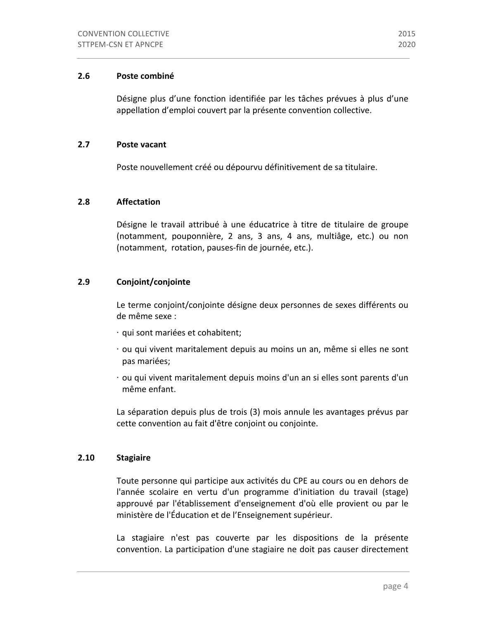## **2.6 Poste combiné**

Désigne plus d'une fonction identifiée par les tâches prévues à plus d'une appellation d'emploi couvert par la présente convention collective.

## **2.7 Poste vacant**

Poste nouvellement créé ou dépourvu définitivement de sa titulaire.

## **2.8 Affectation**

Désigne le travail attribué à une éducatrice à titre de titulaire de groupe (notamment, pouponnière, 2 ans, 3 ans, 4 ans, multiâge, etc.) ou non (notamment, rotation, pauses-fin de journée, etc.).

## **2.9 Conjoint/conjointe**

Le terme conjoint/conjointe désigne deux personnes de sexes différents ou de même sexe :

- ⋅ qui sont mariées et cohabitent;
- · ou qui vivent maritalement depuis au moins un an, même si elles ne sont pas mariées;
- $\cdot$  ou qui vivent maritalement depuis moins d'un an si elles sont parents d'un même enfant.

La séparation depuis plus de trois (3) mois annule les avantages prévus par cette convention au fait d'être conjoint ou conjointe.

## **2.10 Stagiaire**

Toute personne qui participe aux activités du CPE au cours ou en dehors de l'année scolaire en vertu d'un programme d'initiation du travail (stage) approuvé par l'établissement d'enseignement d'où elle provient ou par le ministère de l'Éducation et de l'Enseignement supérieur.

La stagiaire n'est pas couverte par les dispositions de la présente convention. La participation d'une stagiaire ne doit pas causer directement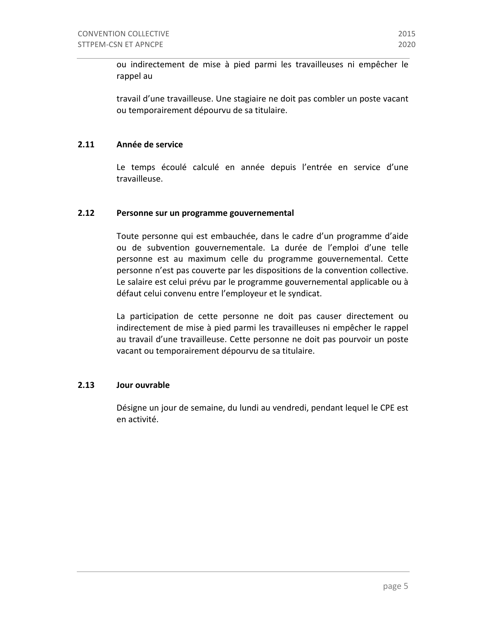ou indirectement de mise à pied parmi les travailleuses ni empêcher le rappel au

travail d'une travailleuse. Une stagiaire ne doit pas combler un poste vacant ou temporairement dépourvu de sa titulaire.

## **2.11 Année de service**

Le temps écoulé calculé en année depuis l'entrée en service d'une travailleuse.

## **2.12** Personne sur un programme gouvernemental

Toute personne qui est embauchée, dans le cadre d'un programme d'aide ou de subvention gouvernementale. La durée de l'emploi d'une telle personne est au maximum celle du programme gouvernemental. Cette personne n'est pas couverte par les dispositions de la convention collective. Le salaire est celui prévu par le programme gouvernemental applicable ou à défaut celui convenu entre l'employeur et le syndicat.

La participation de cette personne ne doit pas causer directement ou indirectement de mise à pied parmi les travailleuses ni empêcher le rappel au travail d'une travailleuse. Cette personne ne doit pas pourvoir un poste vacant ou temporairement dépourvu de sa titulaire.

## **2.13 Jour ouvrable**

Désigne un jour de semaine, du lundi au vendredi, pendant lequel le CPE est en activité.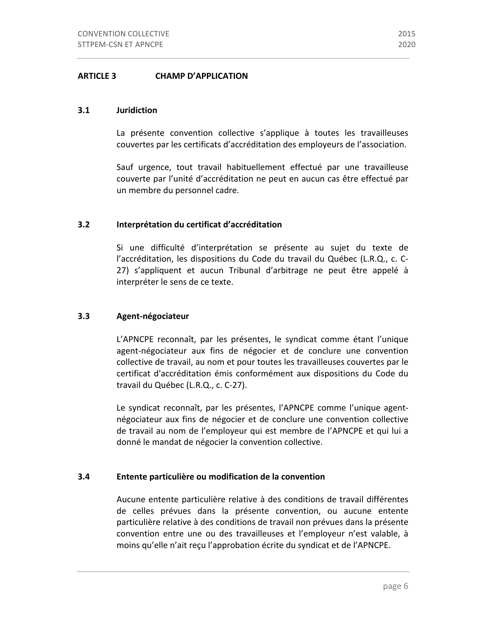## **ARTICLE 3 CHAMP D'APPLICATION**

#### **3.1 Juridiction**

La présente convention collective s'applique à toutes les travailleuses couvertes par les certificats d'accréditation des employeurs de l'association.

Sauf urgence, tout travail habituellement effectué par une travailleuse couverte par l'unité d'accréditation ne peut en aucun cas être effectué par un membre du personnel cadre.

## **3.2 Interprétation du certificat d'accréditation**

Si une difficulté d'interprétation se présente au sujet du texte de l'accréditation, les dispositions du Code du travail du Québec (L.R.Q., c. C-27) s'appliquent et aucun Tribunal d'arbitrage ne peut être appelé à interpréter le sens de ce texte.

## **3.3 Agent-négociateur**

L'APNCPE reconnaît, par les présentes, le syndicat comme étant l'unique agent-négociateur aux fins de négocier et de conclure une convention collective de travail, au nom et pour toutes les travailleuses couvertes par le certificat d'accréditation émis conformément aux dispositions du Code du travail du Québec (L.R.Q., c. C-27).

Le syndicat reconnaît, par les présentes, l'APNCPE comme l'unique agentnégociateur aux fins de négocier et de conclure une convention collective de travail au nom de l'employeur qui est membre de l'APNCPE et qui lui a donné le mandat de négocier la convention collective.

## **3.4 Entente particulière ou modification de la convention**

Aucune entente particulière relative à des conditions de travail différentes de celles prévues dans la présente convention, ou aucune entente particulière relative à des conditions de travail non prévues dans la présente convention entre une ou des travailleuses et l'employeur n'est valable, à moins qu'elle n'ait reçu l'approbation écrite du syndicat et de l'APNCPE.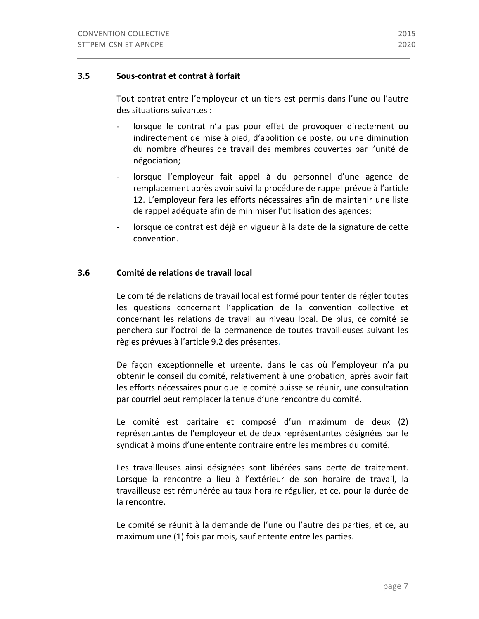## **3.5 Sous-contrat et contrat à forfait**

Tout contrat entre l'employeur et un tiers est permis dans l'une ou l'autre des situations suivantes :

- lorsque le contrat n'a pas pour effet de provoquer directement ou indirectement de mise à pied, d'abolition de poste, ou une diminution du nombre d'heures de travail des membres couvertes par l'unité de négociation;
- lorsque l'employeur fait appel à du personnel d'une agence de remplacement après avoir suivi la procédure de rappel prévue à l'article 12. L'employeur fera les efforts nécessaires afin de maintenir une liste de rappel adéquate afin de minimiser l'utilisation des agences;
- lorsque ce contrat est déjà en vigueur à la date de la signature de cette convention.

## **3.6 Comité de relations de travail local**

Le comité de relations de travail local est formé pour tenter de régler toutes les questions concernant l'application de la convention collective et concernant les relations de travail au niveau local. De plus, ce comité se penchera sur l'octroi de la permanence de toutes travailleuses suivant les règles prévues à l'article 9.2 des présentes.

De façon exceptionnelle et urgente, dans le cas où l'employeur n'a pu obtenir le conseil du comité, relativement à une probation, après avoir fait les efforts nécessaires pour que le comité puisse se réunir, une consultation par courriel peut remplacer la tenue d'une rencontre du comité.

Le comité est paritaire et composé d'un maximum de deux (2) représentantes de l'employeur et de deux représentantes désignées par le syndicat à moins d'une entente contraire entre les membres du comité.

Les travailleuses ainsi désignées sont libérées sans perte de traitement. Lorsque la rencontre a lieu à l'extérieur de son horaire de travail, la travailleuse est rémunérée au taux horaire régulier, et ce, pour la durée de la rencontre.

Le comité se réunit à la demande de l'une ou l'autre des parties, et ce, au maximum une (1) fois par mois, sauf entente entre les parties.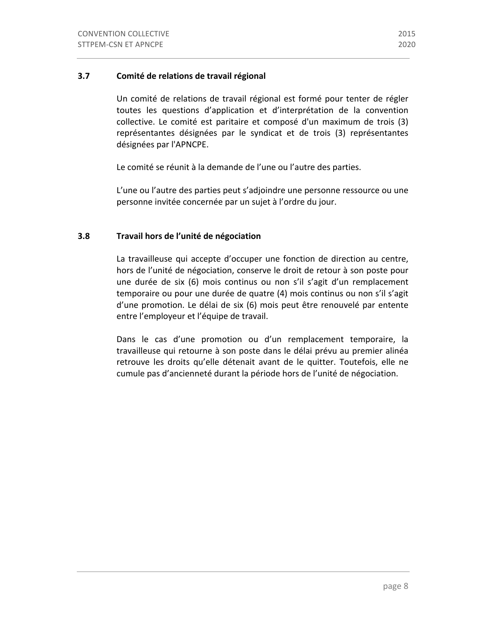## **3.7** Comité de relations de travail régional

Un comité de relations de travail régional est formé pour tenter de régler toutes les questions d'application et d'interprétation de la convention collective. Le comité est paritaire et composé d'un maximum de trois (3) représentantes désignées par le syndicat et de trois (3) représentantes désignées par l'APNCPE.

Le comité se réunit à la demande de l'une ou l'autre des parties.

L'une ou l'autre des parties peut s'adjoindre une personne ressource ou une personne invitée concernée par un sujet à l'ordre du jour.

## **3.8 Travail hors de l'unité de négociation**

La travailleuse qui accepte d'occuper une fonction de direction au centre, hors de l'unité de négociation, conserve le droit de retour à son poste pour une durée de six (6) mois continus ou non s'il s'agit d'un remplacement temporaire ou pour une durée de quatre (4) mois continus ou non s'il s'agit d'une promotion. Le délai de six (6) mois peut être renouvelé par entente entre l'employeur et l'équipe de travail.

Dans le cas d'une promotion ou d'un remplacement temporaire, la travailleuse qui retourne à son poste dans le délai prévu au premier alinéa retrouve les droits qu'elle détenait avant de le quitter. Toutefois, elle ne cumule pas d'ancienneté durant la période hors de l'unité de négociation.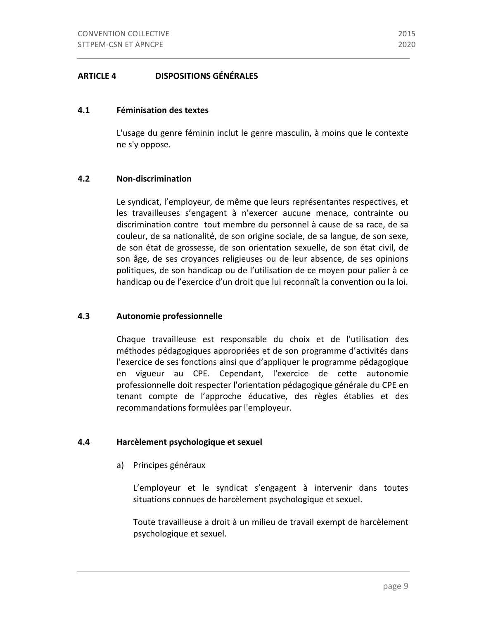## **ARTICLE 4 DISPOSITIONS GÉNÉRALES**

#### **4.1 Féminisation des textes**

L'usage du genre féminin inclut le genre masculin, à moins que le contexte ne s'y oppose.

## **4.2 Non-discrimination**

Le syndicat, l'employeur, de même que leurs représentantes respectives, et les travailleuses s'engagent à n'exercer aucune menace, contrainte ou discrimination contre tout membre du personnel à cause de sa race, de sa couleur, de sa nationalité, de son origine sociale, de sa langue, de son sexe, de son état de grossesse, de son orientation sexuelle, de son état civil, de son âge, de ses croyances religieuses ou de leur absence, de ses opinions politiques, de son handicap ou de l'utilisation de ce moyen pour palier à ce handicap ou de l'exercice d'un droit que lui reconnaît la convention ou la loi.

## **4.3 Autonomie professionnelle**

Chaque travailleuse est responsable du choix et de l'utilisation des méthodes pédagogiques appropriées et de son programme d'activités dans l'exercice de ses fonctions ainsi que d'appliquer le programme pédagogique en vigueur au CPE. Cependant, l'exercice de cette autonomie professionnelle doit respecter l'orientation pédagogique générale du CPE en tenant compte de l'approche éducative, des règles établies et des recommandations formulées par l'employeur.

#### **4.4 Harcèlement psychologique et sexuel**

a) Principes généraux

L'employeur et le syndicat s'engagent à intervenir dans toutes situations connues de harcèlement psychologique et sexuel.

Toute travailleuse a droit à un milieu de travail exempt de harcèlement psychologique et sexuel.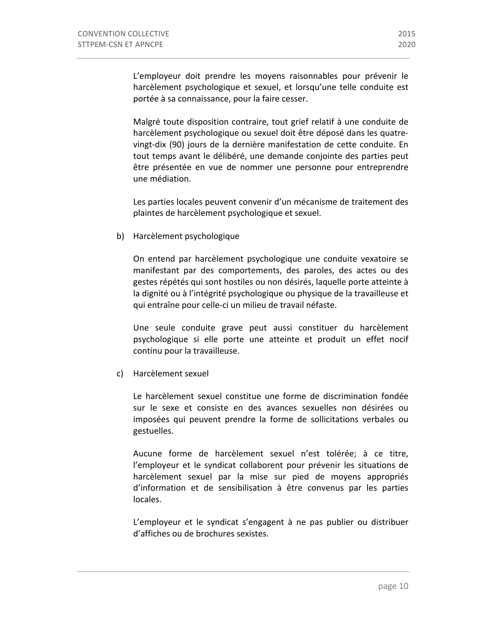L'employeur doit prendre les moyens raisonnables pour prévenir le harcèlement psychologique et sexuel, et lorsqu'une telle conduite est portée à sa connaissance, pour la faire cesser.

Malgré toute disposition contraire, tout grief relatif à une conduite de harcèlement psychologique ou sexuel doit être déposé dans les quatrevingt-dix (90) jours de la dernière manifestation de cette conduite. En tout temps avant le délibéré, une demande conjointe des parties peut être présentée en vue de nommer une personne pour entreprendre une médiation.

Les parties locales peuvent convenir d'un mécanisme de traitement des plaintes de harcèlement psychologique et sexuel.

b) Harcèlement psychologique

On entend par harcèlement psychologique une conduite vexatoire se manifestant par des comportements, des paroles, des actes ou des gestes répétés qui sont hostiles ou non désirés, laquelle porte atteinte à la dignité ou à l'intégrité psychologique ou physique de la travailleuse et qui entraîne pour celle-ci un milieu de travail néfaste.

Une seule conduite grave peut aussi constituer du harcèlement psychologique si elle porte une atteinte et produit un effet nocif continu pour la travailleuse.

c) Harcèlement sexuel

Le harcèlement sexuel constitue une forme de discrimination fondée sur le sexe et consiste en des avances sexuelles non désirées ou imposées qui peuvent prendre la forme de sollicitations verbales ou gestuelles.

Aucune forme de harcèlement sexuel n'est tolérée; à ce titre, l'employeur et le syndicat collaborent pour prévenir les situations de harcèlement sexuel par la mise sur pied de moyens appropriés d'information et de sensibilisation à être convenus par les parties locales.

L'employeur et le syndicat s'engagent à ne pas publier ou distribuer d'affiches ou de brochures sexistes.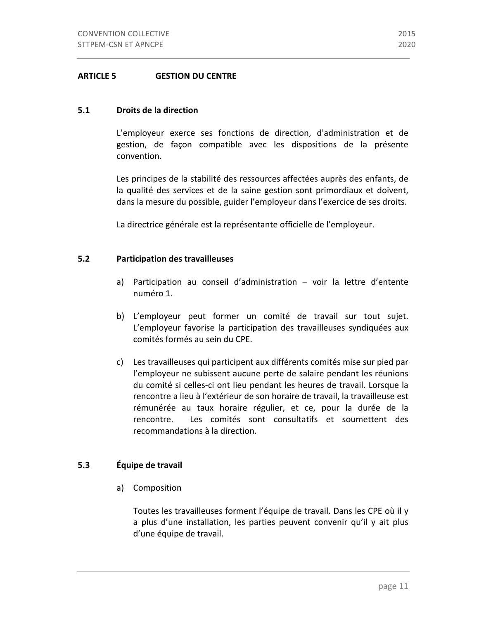## **ARTICLE 5 GESTION DU CENTRE**

#### **5.1 Droits de la direction**

L'employeur exerce ses fonctions de direction, d'administration et de gestion, de façon compatible avec les dispositions de la présente convention.

Les principes de la stabilité des ressources affectées auprès des enfants, de la qualité des services et de la saine gestion sont primordiaux et doivent, dans la mesure du possible, guider l'employeur dans l'exercice de ses droits.

La directrice générale est la représentante officielle de l'employeur.

#### **5.2 Participation des travailleuses**

- a) Participation au conseil d'administration  $-$  voir la lettre d'entente numéro 1.
- b) L'employeur peut former un comité de travail sur tout sujet. L'employeur favorise la participation des travailleuses syndiquées aux comités formés au sein du CPE.
- c) Les travailleuses qui participent aux différents comités mise sur pied par l'employeur ne subissent aucune perte de salaire pendant les réunions du comité si celles-ci ont lieu pendant les heures de travail. Lorsque la rencontre a lieu à l'extérieur de son horaire de travail, la travailleuse est rémunérée au taux horaire régulier, et ce, pour la durée de la rencontre. Les comités sont consultatifs et soumettent des recommandations à la direction.

## **5.3 Équipe de travail**

a) Composition

Toutes les travailleuses forment l'équipe de travail. Dans les CPE où il y a plus d'une installation, les parties peuvent convenir qu'il y ait plus d'une équipe de travail.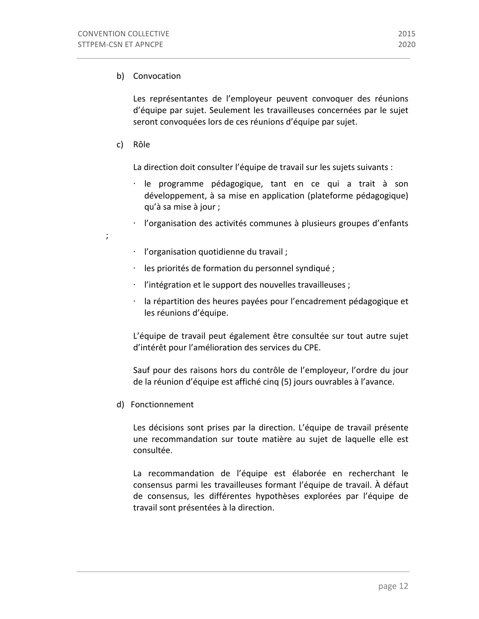## b) Convocation

Les représentantes de l'employeur peuvent convoquer des réunions d'équipe par sujet. Seulement les travailleuses concernées par le sujet seront convoquées lors de ces réunions d'équipe par sujet.

c) Rôle

; 

La direction doit consulter l'équipe de travail sur les sujets suivants :

- $\cdot$  le programme pédagogique, tant en ce qui a trait à son développement, à sa mise en application (plateforme pédagogique) qu'à sa mise à jour ;
- ⋅ l'organisation des activités communes à plusieurs groupes d'enfants
- ⋅ l'organisation quotidienne du travail ;
- $\cdot$  les priorités de formation du personnel syndiqué ;
- $\cdot$  l'intégration et le support des nouvelles travailleuses ;
- la répartition des heures payées pour l'encadrement pédagogique et les réunions d'équipe.

L'équipe de travail peut également être consultée sur tout autre sujet d'intérêt pour l'amélioration des services du CPE.

Sauf pour des raisons hors du contrôle de l'employeur, l'ordre du jour de la réunion d'équipe est affiché cinq (5) jours ouvrables à l'avance.

d) Fonctionnement

Les décisions sont prises par la direction. L'équipe de travail présente une recommandation sur toute matière au sujet de laquelle elle est consultée.

La recommandation de l'équipe est élaborée en recherchant le consensus parmi les travailleuses formant l'équipe de travail. À défaut de consensus, les différentes hypothèses explorées par l'équipe de travail sont présentées à la direction.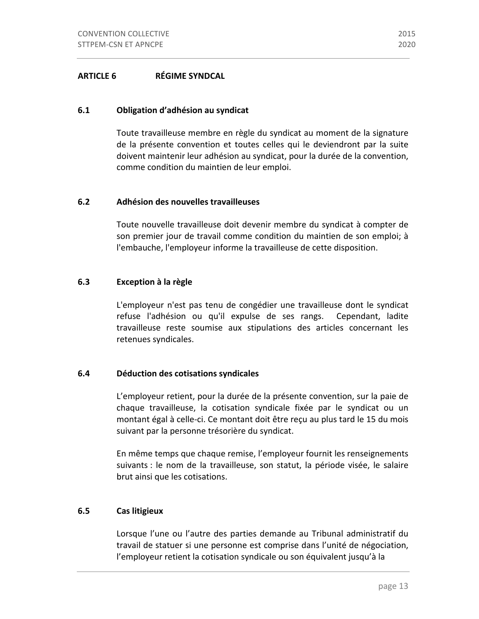## **ARTICLE 6 RÉGIME SYNDCAL**

#### **6.1 Obligation d'adhésion au syndicat**

Toute travailleuse membre en règle du syndicat au moment de la signature de la présente convention et toutes celles qui le deviendront par la suite doivent maintenir leur adhésion au syndicat, pour la durée de la convention, comme condition du maintien de leur emploi.

## **6.2 Adhésion des nouvelles travailleuses**

Toute nouvelle travailleuse doit devenir membre du syndicat à compter de son premier jour de travail comme condition du maintien de son emploi; à l'embauche, l'employeur informe la travailleuse de cette disposition.

#### **6.3 Exception à la règle**

L'employeur n'est pas tenu de congédier une travailleuse dont le syndicat refuse l'adhésion ou qu'il expulse de ses rangs. Cependant, ladite travailleuse reste soumise aux stipulations des articles concernant les retenues syndicales.

## **6.4 Déduction des cotisations syndicales**

L'employeur retient, pour la durée de la présente convention, sur la paie de chaque travailleuse, la cotisation syndicale fixée par le syndicat ou un montant égal à celle-ci. Ce montant doit être reçu au plus tard le 15 du mois suivant par la personne trésorière du syndicat.

En même temps que chaque remise, l'employeur fournit les renseignements suivants : le nom de la travailleuse, son statut, la période visée, le salaire brut ainsi que les cotisations.

## **6.5 Cas litigieux**

Lorsque l'une ou l'autre des parties demande au Tribunal administratif du travail de statuer si une personne est comprise dans l'unité de négociation, l'employeur retient la cotisation syndicale ou son équivalent jusqu'à la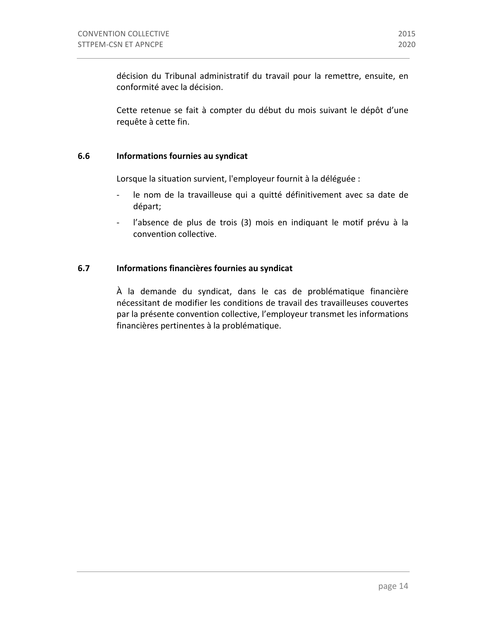décision du Tribunal administratif du travail pour la remettre, ensuite, en conformité avec la décision.

Cette retenue se fait à compter du début du mois suivant le dépôt d'une requête à cette fin.

## **6.6 Informations fournies au syndicat**

Lorsque la situation survient, l'employeur fournit à la déléguée :

- le nom de la travailleuse qui a quitté définitivement avec sa date de départ;
- l'absence de plus de trois (3) mois en indiquant le motif prévu à la convention collective.

## **6.7 Informations financières fournies au syndicat**

À la demande du syndicat, dans le cas de problématique financière nécessitant de modifier les conditions de travail des travailleuses couvertes par la présente convention collective, l'employeur transmet les informations financières pertinentes à la problématique.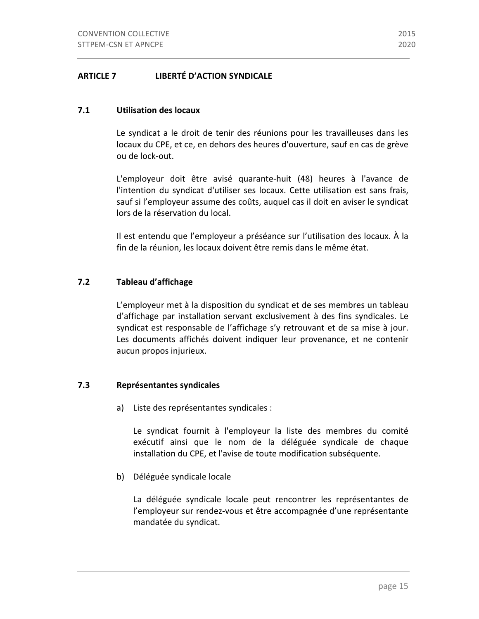## **ARTICLE 7 LIBERTÉ D'ACTION SYNDICALE**

## **7.1 Utilisation des locaux**

Le syndicat a le droit de tenir des réunions pour les travailleuses dans les locaux du CPE, et ce, en dehors des heures d'ouverture, sauf en cas de grève ou de lock-out.

L'employeur doit être avisé quarante-huit (48) heures à l'avance de l'intention du syndicat d'utiliser ses locaux. Cette utilisation est sans frais, sauf si l'employeur assume des coûts, auquel cas il doit en aviser le syndicat lors de la réservation du local.

Il est entendu que l'employeur a préséance sur l'utilisation des locaux. À la fin de la réunion, les locaux doivent être remis dans le même état.

## **7.2 Tableau d'affichage**

L'employeur met à la disposition du syndicat et de ses membres un tableau d'affichage par installation servant exclusivement à des fins syndicales. Le syndicat est responsable de l'affichage s'y retrouvant et de sa mise à jour. Les documents affichés doivent indiquer leur provenance, et ne contenir aucun propos injurieux.

#### **7.3** Représentantes syndicales

a) Liste des représentantes syndicales :

Le syndicat fournit à l'employeur la liste des membres du comité exécutif ainsi que le nom de la déléguée syndicale de chaque installation du CPE, et l'avise de toute modification subséquente.

b) Déléguée syndicale locale

La déléguée syndicale locale peut rencontrer les représentantes de l'employeur sur rendez-vous et être accompagnée d'une représentante mandatée du syndicat.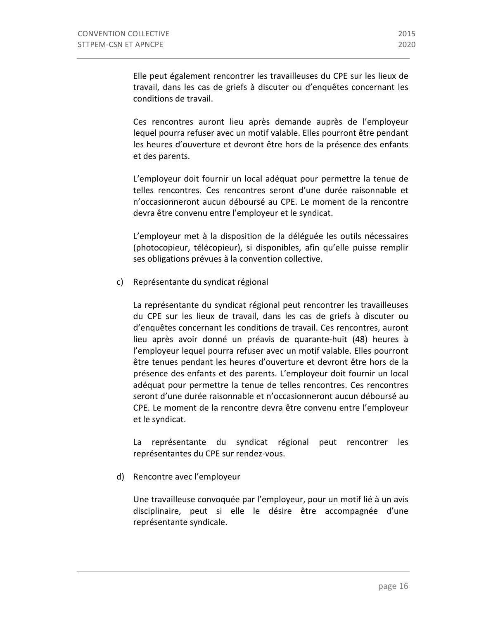Elle peut également rencontrer les travailleuses du CPE sur les lieux de travail, dans les cas de griefs à discuter ou d'enquêtes concernant les conditions de travail.

Ces rencontres auront lieu après demande auprès de l'employeur lequel pourra refuser avec un motif valable. Elles pourront être pendant les heures d'ouverture et devront être hors de la présence des enfants et des parents.

L'employeur doit fournir un local adéquat pour permettre la tenue de telles rencontres. Ces rencontres seront d'une durée raisonnable et n'occasionneront aucun déboursé au CPE. Le moment de la rencontre devra être convenu entre l'employeur et le syndicat.

L'employeur met à la disposition de la déléguée les outils nécessaires (photocopieur, télécopieur), si disponibles, afin qu'elle puisse remplir ses obligations prévues à la convention collective.

c) Représentante du syndicat régional

La représentante du syndicat régional peut rencontrer les travailleuses du CPE sur les lieux de travail, dans les cas de griefs à discuter ou d'enquêtes concernant les conditions de travail. Ces rencontres, auront lieu après avoir donné un préavis de quarante-huit (48) heures à l'employeur lequel pourra refuser avec un motif valable. Elles pourront être tenues pendant les heures d'ouverture et devront être hors de la présence des enfants et des parents. L'employeur doit fournir un local adéquat pour permettre la tenue de telles rencontres. Ces rencontres seront d'une durée raisonnable et n'occasionneront aucun déboursé au CPE. Le moment de la rencontre devra être convenu entre l'employeur et le syndicat.

La représentante du syndicat régional peut rencontrer les représentantes du CPE sur rendez-vous.

d) Rencontre avec l'employeur

Une travailleuse convoquée par l'employeur, pour un motif lié à un avis disciplinaire, peut si elle le désire être accompagnée d'une représentante syndicale.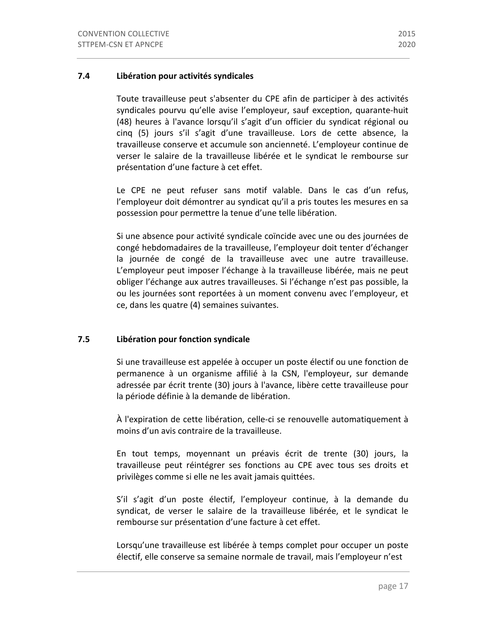## **7.4 Libération pour activités syndicales**

Toute travailleuse peut s'absenter du CPE afin de participer à des activités syndicales pourvu qu'elle avise l'employeur, sauf exception, quarante-huit (48) heures à l'avance lorsqu'il s'agit d'un officier du syndicat régional ou cinq (5) jours s'il s'agit d'une travailleuse. Lors de cette absence, la travailleuse conserve et accumule son ancienneté. L'employeur continue de verser le salaire de la travailleuse libérée et le syndicat le rembourse sur présentation d'une facture à cet effet.

Le CPE ne peut refuser sans motif valable. Dans le cas d'un refus, l'employeur doit démontrer au syndicat qu'il a pris toutes les mesures en sa possession pour permettre la tenue d'une telle libération.

Si une absence pour activité syndicale coïncide avec une ou des journées de congé hebdomadaires de la travailleuse, l'employeur doit tenter d'échanger la journée de congé de la travailleuse avec une autre travailleuse. L'employeur peut imposer l'échange à la travailleuse libérée, mais ne peut obliger l'échange aux autres travailleuses. Si l'échange n'est pas possible, la ou les journées sont reportées à un moment convenu avec l'employeur, et ce, dans les quatre (4) semaines suivantes.

## **7.5 Libération pour fonction syndicale**

Si une travailleuse est appelée à occuper un poste électif ou une fonction de permanence à un organisme affilié à la CSN, l'employeur, sur demande adressée par écrit trente (30) jours à l'avance, libère cette travailleuse pour la période définie à la demande de libération.

À l'expiration de cette libération, celle-ci se renouvelle automatiquement à moins d'un avis contraire de la travailleuse.

En tout temps, moyennant un préavis écrit de trente (30) jours, la travailleuse peut réintégrer ses fonctions au CPE avec tous ses droits et privilèges comme si elle ne les avait jamais quittées.

S'il s'agit d'un poste électif, l'employeur continue, à la demande du syndicat, de verser le salaire de la travailleuse libérée, et le syndicat le rembourse sur présentation d'une facture à cet effet.

Lorsqu'une travailleuse est libérée à temps complet pour occuper un poste electif, elle conserve sa semaine normale de travail, mais l'employeur n'est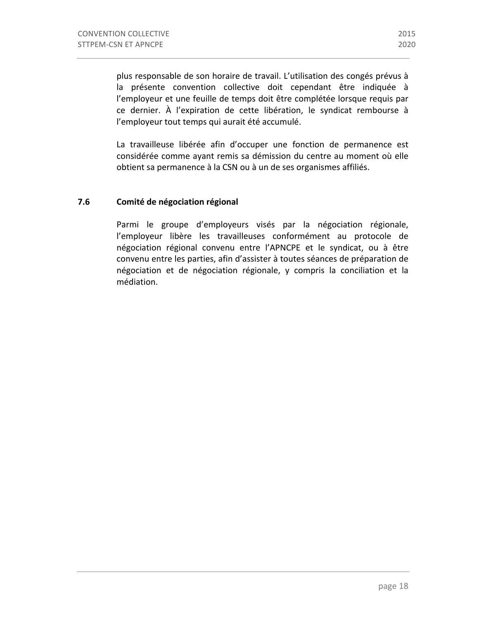plus responsable de son horaire de travail. L'utilisation des congés prévus à la présente convention collective doit cependant être indiquée à l'employeur et une feuille de temps doit être complétée lorsque requis par ce dernier. À l'expiration de cette libération, le syndicat rembourse à l'employeur tout temps qui aurait été accumulé.

La travailleuse libérée afin d'occuper une fonction de permanence est considérée comme ayant remis sa démission du centre au moment où elle obtient sa permanence à la CSN ou à un de ses organismes affiliés.

## **7.6 Comité de négociation régional**

Parmi le groupe d'employeurs visés par la négociation régionale, l'employeur libère les travailleuses conformément au protocole de négociation régional convenu entre l'APNCPE et le syndicat, ou à être convenu entre les parties, afin d'assister à toutes séances de préparation de négociation et de négociation régionale, y compris la conciliation et la médiation.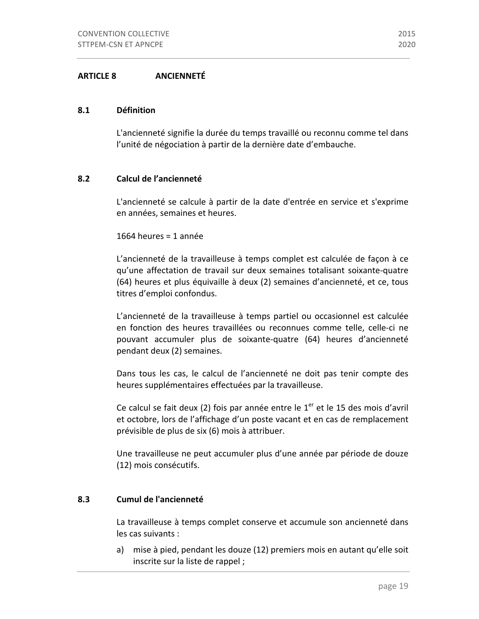## **8.1 Définition**

L'ancienneté signifie la durée du temps travaillé ou reconnu comme tel dans l'unité de négociation à partir de la dernière date d'embauche.

## **8.2 Calcul de l'ancienneté**

L'ancienneté se calcule à partir de la date d'entrée en service et s'exprime en années, semaines et heures.

1664 heures =  $1$  année

L'ancienneté de la travailleuse à temps complet est calculée de façon à ce qu'une affectation de travail sur deux semaines totalisant soixante-quatre (64) heures et plus équivaille à deux (2) semaines d'ancienneté, et ce, tous titres d'emploi confondus.

L'ancienneté de la travailleuse à temps partiel ou occasionnel est calculée en fonction des heures travaillées ou reconnues comme telle, celle-ci ne pouvant accumuler plus de soixante-quatre (64) heures d'ancienneté pendant deux (2) semaines.

Dans tous les cas, le calcul de l'ancienneté ne doit pas tenir compte des heures supplémentaires effectuées par la travailleuse.

Ce calcul se fait deux (2) fois par année entre le  $1<sup>er</sup>$  et le 15 des mois d'avril et octobre, lors de l'affichage d'un poste vacant et en cas de remplacement prévisible de plus de six (6) mois à attribuer.

Une travailleuse ne peut accumuler plus d'une année par période de douze (12) mois consécutifs.

## **8.3 Cumul de l'ancienneté**

La travailleuse à temps complet conserve et accumule son ancienneté dans les cas suivants :

a) mise à pied, pendant les douze (12) premiers mois en autant qu'elle soit inscrite sur la liste de rappel ;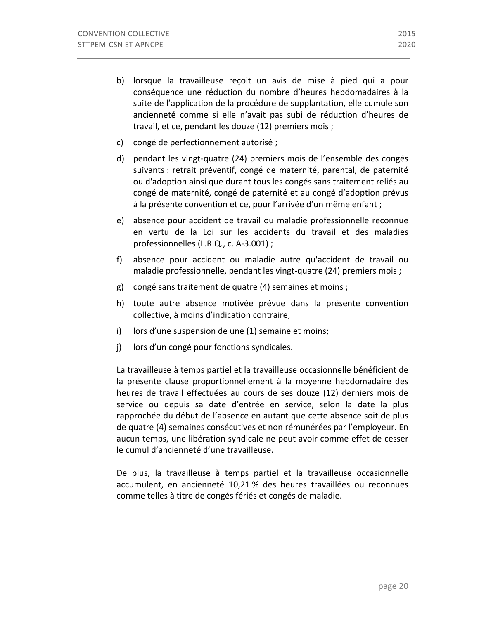- b) lorsque la travailleuse reçoit un avis de mise à pied qui a pour conséquence une réduction du nombre d'heures hebdomadaires à la suite de l'application de la procédure de supplantation, elle cumule son ancienneté comme si elle n'avait pas subi de réduction d'heures de travail, et ce, pendant les douze (12) premiers mois ;
- c) congé de perfectionnement autorisé ;
- d) pendant les vingt-quatre (24) premiers mois de l'ensemble des congés suivants : retrait préventif, congé de maternité, parental, de paternité ou d'adoption ainsi que durant tous les congés sans traitement reliés au congé de maternité, congé de paternité et au congé d'adoption prévus à la présente convention et ce, pour l'arrivée d'un même enfant ;
- e) absence pour accident de travail ou maladie professionnelle reconnue en vertu de la Loi sur les accidents du travail et des maladies professionnelles (L.R.Q., c. A-3.001) ;
- f) absence pour accident ou maladie autre qu'accident de travail ou maladie professionnelle, pendant les vingt-quatre (24) premiers mois ;
- g) congé sans traitement de quatre (4) semaines et moins ;
- h) toute autre absence motivée prévue dans la présente convention collective, à moins d'indication contraire;
- $i)$  lors d'une suspension de une  $(1)$  semaine et moins;
- j) lors d'un congé pour fonctions syndicales.

La travailleuse à temps partiel et la travailleuse occasionnelle bénéficient de la présente clause proportionnellement à la moyenne hebdomadaire des heures de travail effectuées au cours de ses douze (12) derniers mois de service ou depuis sa date d'entrée en service, selon la date la plus rapprochée du début de l'absence en autant que cette absence soit de plus de quatre (4) semaines consécutives et non rémunérées par l'employeur. En aucun temps, une libération syndicale ne peut avoir comme effet de cesser le cumul d'ancienneté d'une travailleuse.

De plus, la travailleuse à temps partiel et la travailleuse occasionnelle accumulent, en ancienneté 10,21 % des heures travaillées ou reconnues comme telles à titre de congés fériés et congés de maladie.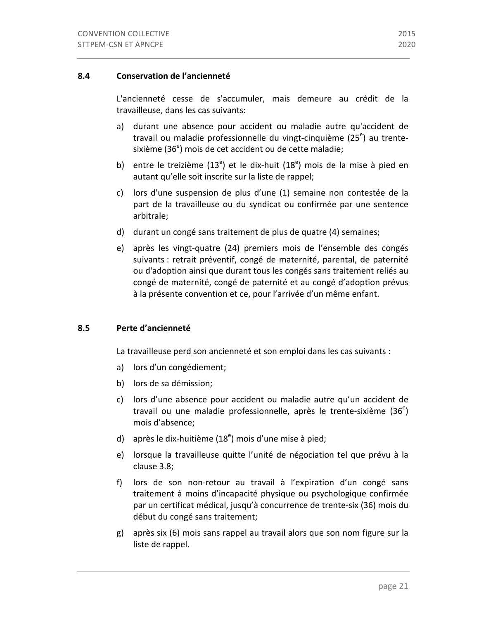L'ancienneté cesse de s'accumuler, mais demeure au crédit de la travailleuse, dans les cas suivants:

- a) durant une absence pour accident ou maladie autre qu'accident de travail ou maladie professionnelle du vingt-cinquième (25<sup>e</sup>) au trentesixième (36<sup>e</sup>) mois de cet accident ou de cette maladie;
- b) entre le treizième  $(13<sup>e</sup>)$  et le dix-huit  $(18<sup>e</sup>)$  mois de la mise à pied en autant qu'elle soit inscrite sur la liste de rappel;
- c) lors d'une suspension de plus d'une (1) semaine non contestée de la part de la travailleuse ou du syndicat ou confirmée par une sentence arbitrale;
- d) durant un congé sans traitement de plus de quatre (4) semaines;
- e) après les vingt-quatre (24) premiers mois de l'ensemble des congés suivants : retrait préventif, congé de maternité, parental, de paternité ou d'adoption ainsi que durant tous les congés sans traitement reliés au congé de maternité, congé de paternité et au congé d'adoption prévus à la présente convention et ce, pour l'arrivée d'un même enfant.

## **8.5 Perte d'ancienneté**

La travailleuse perd son ancienneté et son emploi dans les cas suivants :

- a) lors d'un congédiement;
- b) lors de sa démission;
- c) lors d'une absence pour accident ou maladie autre qu'un accident de travail ou une maladie professionnelle, après le trente-sixième  $(36<sup>e</sup>)$ mois d'absence;
- d) après le dix-huitième (18<sup>e</sup>) mois d'une mise à pied;
- e) lorsque la travailleuse quitte l'unité de négociation tel que prévu à la clause 3.8;
- f) lors de son non-retour au travail à l'expiration d'un congé sans traitement à moins d'incapacité physique ou psychologique confirmée par un certificat médical, jusqu'à concurrence de trente-six (36) mois du début du congé sans traitement;
- g) après six (6) mois sans rappel au travail alors que son nom figure sur la liste de rappel.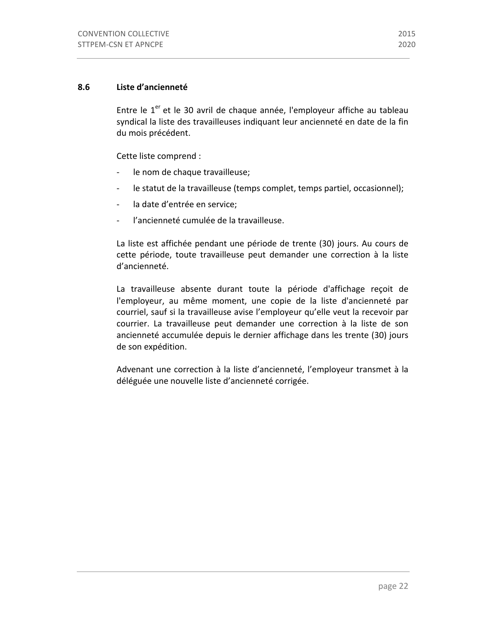## **8.6 Liste d'ancienneté**

Entre le  $1<sup>er</sup>$  et le 30 avril de chaque année, l'employeur affiche au tableau syndical la liste des travailleuses indiquant leur ancienneté en date de la fin du mois précédent.

Cette liste comprend :

- le nom de chaque travailleuse;
- le statut de la travailleuse (temps complet, temps partiel, occasionnel);
- la date d'entrée en service;
- l'ancienneté cumulée de la travailleuse.

La liste est affichée pendant une période de trente (30) jours. Au cours de cette période, toute travailleuse peut demander une correction à la liste d'ancienneté.

La travailleuse absente durant toute la période d'affichage reçoit de l'employeur, au même moment, une copie de la liste d'ancienneté par courriel, sauf si la travailleuse avise l'employeur qu'elle veut la recevoir par courrier. La travailleuse peut demander une correction à la liste de son ancienneté accumulée depuis le dernier affichage dans les trente (30) jours de son expédition.

Advenant une correction à la liste d'ancienneté, l'employeur transmet à la déléguée une nouvelle liste d'ancienneté corrigée.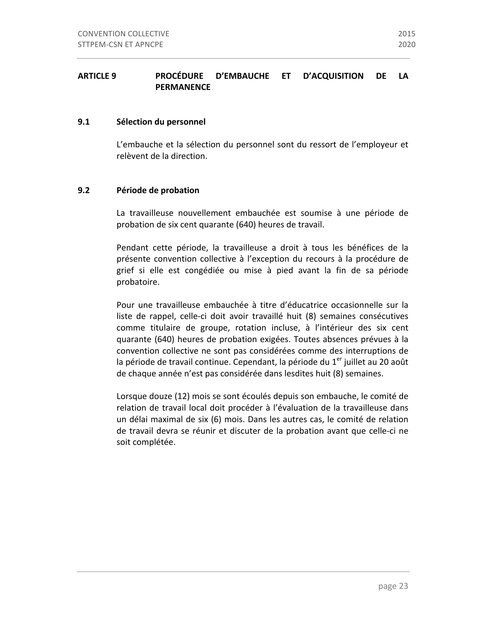## ARTICLE 9 **PROCÉDURE D'EMBAUCHE** ET **D'ACQUISITION** DE LA **PERMANENCE**

## **9.1 Sélection du personnel**

L'embauche et la sélection du personnel sont du ressort de l'employeur et relèvent de la direction.

## **9.2** Période de probation

La travailleuse nouvellement embauchée est soumise à une période de probation de six cent quarante (640) heures de travail.

Pendant cette période, la travailleuse a droit à tous les bénéfices de la présente convention collective à l'exception du recours à la procédure de grief si elle est congédiée ou mise à pied avant la fin de sa période probatoire.

Pour une travailleuse embauchée à titre d'éducatrice occasionnelle sur la liste de rappel, celle-ci doit avoir travaillé huit (8) semaines consécutives comme titulaire de groupe, rotation incluse, à l'intérieur des six cent quarante (640) heures de probation exigées. Toutes absences prévues à la convention collective ne sont pas considérées comme des interruptions de la période de travail continue. Cependant, la période du  $1<sup>er</sup>$  juillet au 20 août de chaque année n'est pas considérée dans lesdites huit (8) semaines.

Lorsque douze (12) mois se sont écoulés depuis son embauche, le comité de relation de travail local doit procéder à l'évaluation de la travailleuse dans un délai maximal de six (6) mois. Dans les autres cas, le comité de relation de travail devra se réunir et discuter de la probation avant que celle-ci ne soit complétée.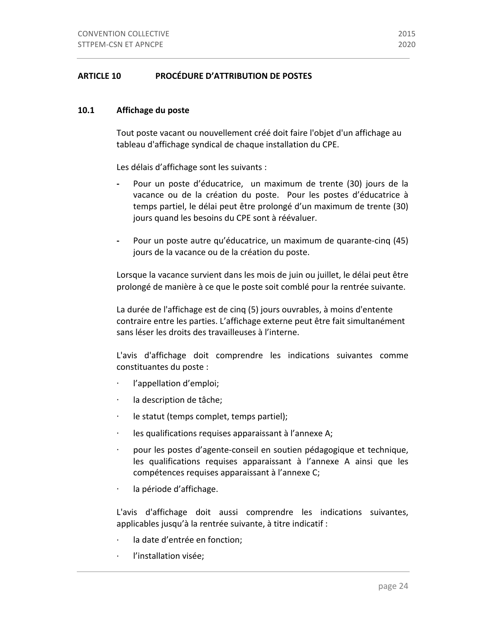## **ARTICLE 10 PROCÉDURE D'ATTRIBUTION DE POSTES**

## 10.1 Affichage du poste

Tout poste vacant ou nouvellement créé doit faire l'objet d'un affichage au tableau d'affichage syndical de chaque installation du CPE.

Les délais d'affichage sont les suivants :

- Pour un poste d'éducatrice, un maximum de trente (30) jours de la vacance ou de la création du poste. Pour les postes d'éducatrice à temps partiel, le délai peut être prolongé d'un maximum de trente (30) jours quand les besoins du CPE sont à réévaluer.
- Pour un poste autre qu'éducatrice, un maximum de quarante-cinq (45) jours de la vacance ou de la création du poste.

Lorsque la vacance survient dans les mois de juin ou juillet, le délai peut être prolongé de manière à ce que le poste soit comblé pour la rentrée suivante.

La durée de l'affichage est de cinq (5) jours ouvrables, à moins d'entente contraire entre les parties. L'affichage externe peut être fait simultanément sans léser les droits des travailleuses à l'interne.

L'avis d'affichage doit comprendre les indications suivantes comme constituantes du poste :

- ⋅ l'appellation d'emploi;
- ⋅ la description de tâche;
- ⋅ le statut (temps complet, temps partiel);
- ⋅ les qualifications requises apparaissant à l'annexe A;
- pour les postes d'agente-conseil en soutien pédagogique et technique, les qualifications requises apparaissant à l'annexe A ainsi que les compétences requises apparaissant à l'annexe C;
- ⋅ la période d'affichage.

L'avis d'affichage doit aussi comprendre les indications suivantes, applicables jusqu'à la rentrée suivante, à titre indicatif :

- la date d'entrée en fonction;
- l'installation visée;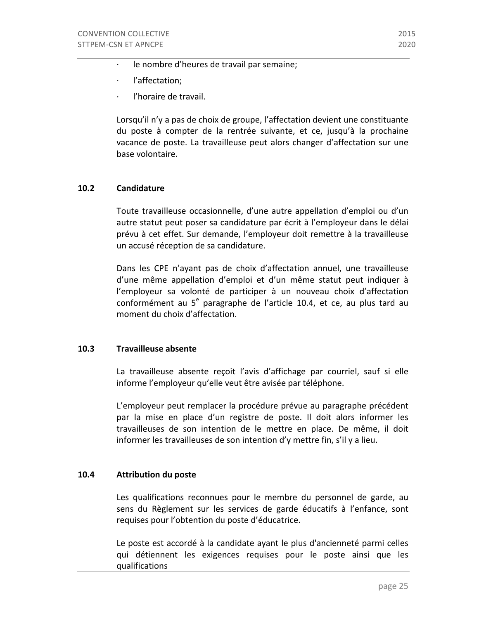- le nombre d'heures de travail par semaine;
- · l'affectation;
- l'horaire de travail.

Lorsqu'il n'y a pas de choix de groupe, l'affectation devient une constituante du poste à compter de la rentrée suivante, et ce, jusqu'à la prochaine vacance de poste. La travailleuse peut alors changer d'affectation sur une base volontaire.

## **10.2 Candidature**

Toute travailleuse occasionnelle, d'une autre appellation d'emploi ou d'un autre statut peut poser sa candidature par écrit à l'employeur dans le délai prévu à cet effet. Sur demande, l'employeur doit remettre à la travailleuse un accusé réception de sa candidature.

Dans les CPE n'ayant pas de choix d'affectation annuel, une travailleuse d'une même appellation d'emploi et d'un même statut peut indiquer à l'employeur sa volonté de participer à un nouveau choix d'affectation conformément au  $5^e$  paragraphe de l'article 10.4, et ce, au plus tard au moment du choix d'affectation.

## **10.3 Travailleuse absente**

La travailleuse absente reçoit l'avis d'affichage par courriel, sauf si elle informe l'employeur qu'elle veut être avisée par téléphone.

L'employeur peut remplacer la procédure prévue au paragraphe précédent par la mise en place d'un registre de poste. Il doit alors informer les travailleuses de son intention de le mettre en place. De même, il doit informer les travailleuses de son intention d'y mettre fin, s'il y a lieu.

## **10.4 Attribution du poste**

Les qualifications reconnues pour le membre du personnel de garde, au sens du Règlement sur les services de garde éducatifs à l'enfance, sont requises pour l'obtention du poste d'éducatrice.

Le poste est accordé à la candidate ayant le plus d'ancienneté parmi celles qui détiennent les exigences requises pour le poste ainsi que les qualifications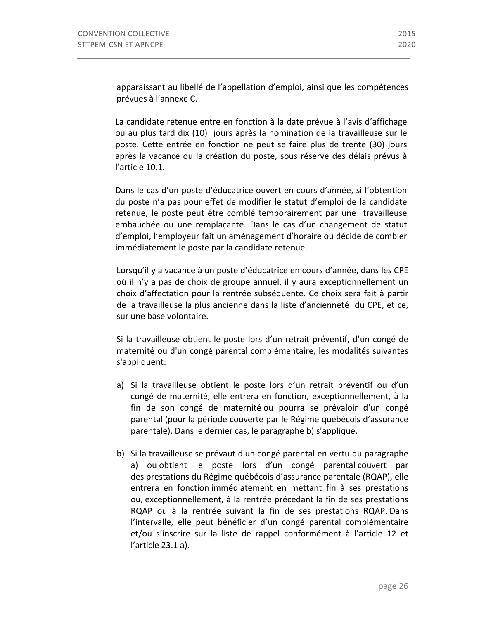apparaissant au libellé de l'appellation d'emploi, ainsi que les compétences prévues à l'annexe C.

La candidate retenue entre en fonction à la date prévue à l'avis d'affichage ou au plus tard dix (10) jours après la nomination de la travailleuse sur le poste. Cette entrée en fonction ne peut se faire plus de trente (30) jours après la vacance ou la création du poste, sous réserve des délais prévus à l'article 10.1.

Dans le cas d'un poste d'éducatrice ouvert en cours d'année, si l'obtention du poste n'a pas pour effet de modifier le statut d'emploi de la candidate retenue, le poste peut être comblé temporairement par une travailleuse embauchée ou une remplacante. Dans le cas d'un changement de statut d'emploi, l'employeur fait un aménagement d'horaire ou décide de combler immédiatement le poste par la candidate retenue.

Lorsqu'il y a vacance à un poste d'éducatrice en cours d'année, dans les CPE où il n'y a pas de choix de groupe annuel, il y aura exceptionnellement un choix d'affectation pour la rentrée subséquente. Ce choix sera fait à partir de la travailleuse la plus ancienne dans la liste d'ancienneté du CPE, et ce, sur une base volontaire.

Si la travailleuse obtient le poste lors d'un retrait préventif, d'un congé de maternité ou d'un congé parental complémentaire, les modalités suivantes s'appliquent:

- a) Si la travailleuse obtient le poste lors d'un retrait préventif ou d'un congé de maternité, elle entrera en fonction, exceptionnellement, à la fin de son congé de maternité ou pourra se prévaloir d'un congé parental (pour la période couverte par le Régime québécois d'assurance parentale). Dans le dernier cas, le paragraphe b) s'applique.
- b) Si la travailleuse se prévaut d'un congé parental en vertu du paragraphe a) ou obtient le poste lors d'un congé parental couvert par des prestations du Régime québécois d'assurance parentale (RQAP), elle entrera en fonction immédiatement en mettant fin à ses prestations ou, exceptionnellement, à la rentrée précédant la fin de ses prestations RQAP ou à la rentrée suivant la fin de ses prestations RQAP. Dans l'intervalle, elle peut bénéficier d'un congé parental complémentaire et/ou s'inscrire sur la liste de rappel conformément à l'article 12 et l'article 23.1 a).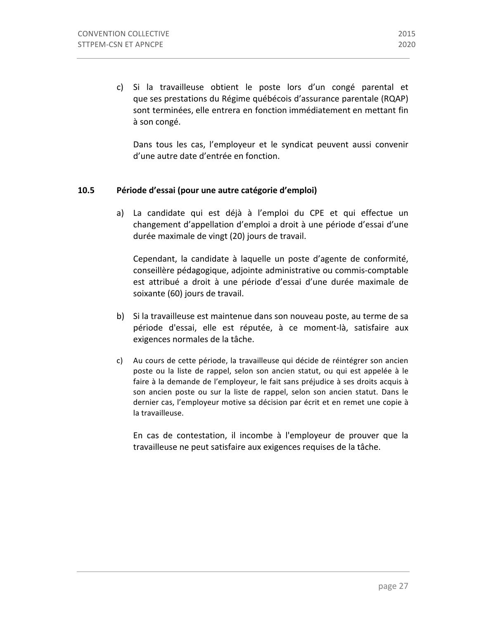c) Si la travailleuse obtient le poste lors d'un congé parental et que ses prestations du Régime québécois d'assurance parentale (RQAP) sont terminées, elle entrera en fonction immédiatement en mettant fin à son congé.

Dans tous les cas, l'employeur et le syndicat peuvent aussi convenir d'une autre date d'entrée en fonction.

## **10.5 Période d'essai (pour une autre catégorie d'emploi)**

a) La candidate qui est déjà à l'emploi du CPE et qui effectue un changement d'appellation d'emploi a droit à une période d'essai d'une durée maximale de vingt (20) jours de travail.

Cependant, la candidate à laquelle un poste d'agente de conformité, conseillère pédagogique, adjointe administrative ou commis-comptable est attribué a droit à une période d'essai d'une durée maximale de soixante (60) jours de travail.

- b) Si la travailleuse est maintenue dans son nouveau poste, au terme de sa période d'essai, elle est réputée, à ce moment-là, satisfaire aux exigences normales de la tâche.
- c) Au cours de cette période, la travailleuse qui décide de réintégrer son ancien poste ou la liste de rappel, selon son ancien statut, ou qui est appelée à le faire à la demande de l'employeur, le fait sans préjudice à ses droits acquis à son ancien poste ou sur la liste de rappel, selon son ancien statut. Dans le dernier cas, l'employeur motive sa décision par écrit et en remet une copie à la travailleuse.

En cas de contestation, il incombe à l'employeur de prouver que la travailleuse ne peut satisfaire aux exigences requises de la tâche.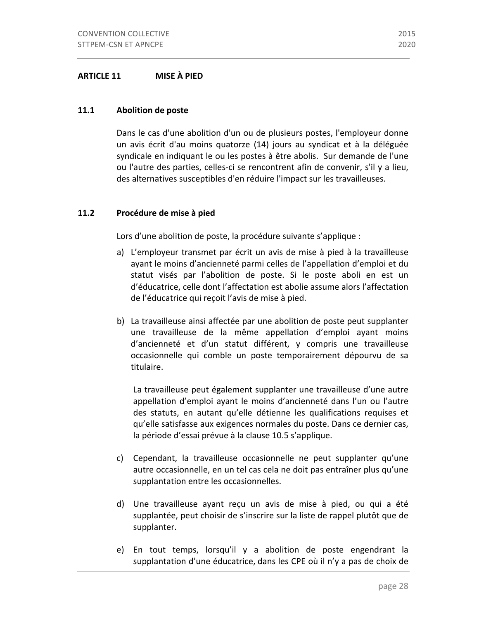## **ARTICLE 11 MISE À PIED**

#### 11.1 **Abolition de poste**

Dans le cas d'une abolition d'un ou de plusieurs postes, l'employeur donne un avis écrit d'au moins quatorze (14) jours au syndicat et à la déléguée syndicale en indiquant le ou les postes à être abolis. Sur demande de l'une ou l'autre des parties, celles-ci se rencontrent afin de convenir, s'il y a lieu, des alternatives susceptibles d'en réduire l'impact sur les travailleuses.

#### **11.2** Procédure de mise à pied

Lors d'une abolition de poste, la procédure suivante s'applique :

- a) L'employeur transmet par écrit un avis de mise à pied à la travailleuse ayant le moins d'ancienneté parmi celles de l'appellation d'emploi et du statut visés par l'abolition de poste. Si le poste aboli en est un d'éducatrice, celle dont l'affectation est abolie assume alors l'affectation de l'éducatrice qui reçoit l'avis de mise à pied.
- b) La travailleuse ainsi affectée par une abolition de poste peut supplanter une travailleuse de la même appellation d'emploi ayant moins d'ancienneté et d'un statut différent, y compris une travailleuse occasionnelle qui comble un poste temporairement dépourvu de sa titulaire.

La travailleuse peut également supplanter une travailleuse d'une autre appellation d'emploi ayant le moins d'ancienneté dans l'un ou l'autre des statuts, en autant qu'elle détienne les qualifications requises et qu'elle satisfasse aux exigences normales du poste. Dans ce dernier cas, la période d'essai prévue à la clause 10.5 s'applique.

- c) Cependant, la travailleuse occasionnelle ne peut supplanter qu'une autre occasionnelle, en un tel cas cela ne doit pas entraîner plus qu'une supplantation entre les occasionnelles.
- d) Une travailleuse ayant reçu un avis de mise à pied, ou qui a été supplantée, peut choisir de s'inscrire sur la liste de rappel plutôt que de supplanter.
- e) En tout temps, lorsqu'il y a abolition de poste engendrant la supplantation d'une éducatrice, dans les CPE où il n'y a pas de choix de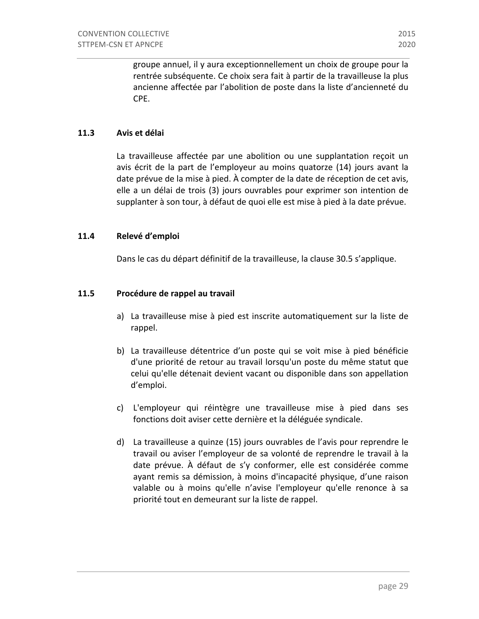groupe annuel, il y aura exceptionnellement un choix de groupe pour la rentrée subséquente. Ce choix sera fait à partir de la travailleuse la plus ancienne affectée par l'abolition de poste dans la liste d'ancienneté du CPE. 

#### **11.3 Avis et délai**

La travailleuse affectée par une abolition ou une supplantation reçoit un avis écrit de la part de l'employeur au moins quatorze (14) jours avant la date prévue de la mise à pied. À compter de la date de réception de cet avis, elle a un délai de trois (3) jours ouvrables pour exprimer son intention de supplanter à son tour, à défaut de quoi elle est mise à pied à la date prévue.

#### **11.4 Relevé d'emploi**

Dans le cas du départ définitif de la travailleuse, la clause 30.5 s'applique.

#### **11.5** Procédure de rappel au travail

- a) La travailleuse mise à pied est inscrite automatiquement sur la liste de rappel.
- b) La travailleuse détentrice d'un poste qui se voit mise à pied bénéficie d'une priorité de retour au travail lorsqu'un poste du même statut que celui qu'elle détenait devient vacant ou disponible dans son appellation d'emploi.
- c) L'employeur qui réintègre une travailleuse mise à pied dans ses fonctions doit aviser cette dernière et la déléguée syndicale.
- d) La travailleuse a quinze (15) jours ouvrables de l'avis pour reprendre le travail ou aviser l'employeur de sa volonté de reprendre le travail à la date prévue. À défaut de s'y conformer, elle est considérée comme ayant remis sa démission, à moins d'incapacité physique, d'une raison valable ou à moins qu'elle n'avise l'employeur qu'elle renonce à sa priorité tout en demeurant sur la liste de rappel.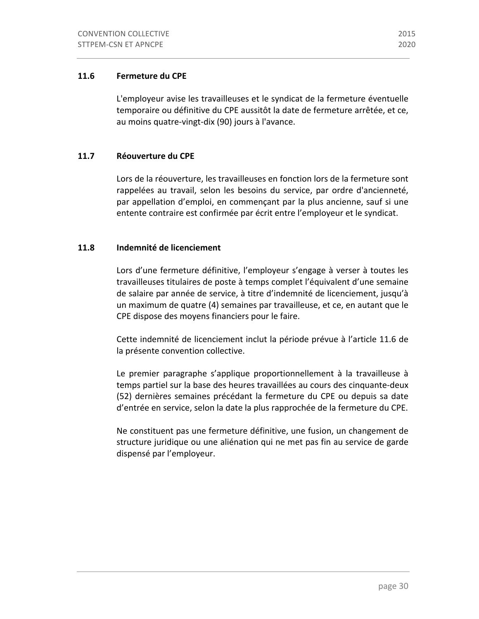# 11.6 **Fermeture du CPE**

L'employeur avise les travailleuses et le syndicat de la fermeture éventuelle temporaire ou définitive du CPE aussitôt la date de fermeture arrêtée, et ce, au moins quatre-vingt-dix (90) jours à l'avance.

# 11.7 **Réouverture du CPE**

Lors de la réouverture, les travailleuses en fonction lors de la fermeture sont rappelées au travail, selon les besoins du service, par ordre d'ancienneté, par appellation d'emploi, en commençant par la plus ancienne, sauf si une entente contraire est confirmée par écrit entre l'employeur et le syndicat.

# **11.8 Indemnité de licenciement**

Lors d'une fermeture définitive, l'employeur s'engage à verser à toutes les travailleuses titulaires de poste à temps complet l'équivalent d'une semaine de salaire par année de service, à titre d'indemnité de licenciement, jusqu'à un maximum de quatre (4) semaines par travailleuse, et ce, en autant que le CPE dispose des moyens financiers pour le faire.

Cette indemnité de licenciement inclut la période prévue à l'article 11.6 de la présente convention collective.

Le premier paragraphe s'applique proportionnellement à la travailleuse à temps partiel sur la base des heures travaillées au cours des cinquante-deux (52) dernières semaines précédant la fermeture du CPE ou depuis sa date d'entrée en service, selon la date la plus rapprochée de la fermeture du CPE.

Ne constituent pas une fermeture définitive, une fusion, un changement de structure juridique ou une aliénation qui ne met pas fin au service de garde dispensé par l'employeur.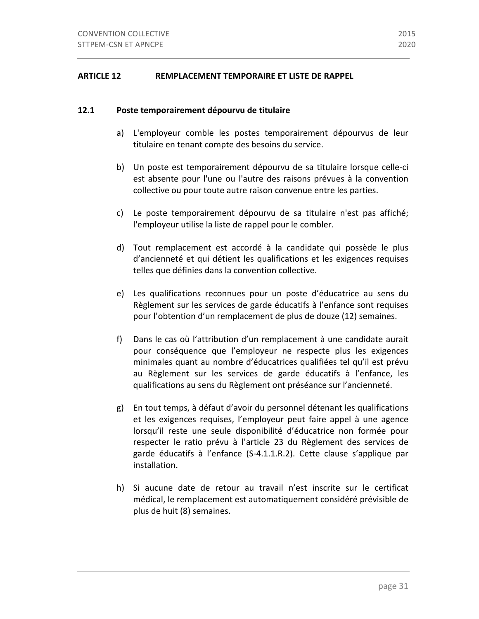#### **12.1 Poste temporairement dépourvu de titulaire**

- a) L'employeur comble les postes temporairement dépourvus de leur titulaire en tenant compte des besoins du service.
- b) Un poste est temporairement dépourvu de sa titulaire lorsque celle-ci est absente pour l'une ou l'autre des raisons prévues à la convention collective ou pour toute autre raison convenue entre les parties.
- c) Le poste temporairement dépourvu de sa titulaire n'est pas affiché; l'employeur utilise la liste de rappel pour le combler.
- d) Tout remplacement est accordé à la candidate qui possède le plus d'ancienneté et qui détient les qualifications et les exigences requises telles que définies dans la convention collective.
- e) Les qualifications reconnues pour un poste d'éducatrice au sens du Règlement sur les services de garde éducatifs à l'enfance sont requises pour l'obtention d'un remplacement de plus de douze (12) semaines.
- f) Dans le cas où l'attribution d'un remplacement à une candidate aurait pour conséquence que l'employeur ne respecte plus les exigences minimales quant au nombre d'éducatrices qualifiées tel qu'il est prévu au Règlement sur les services de garde éducatifs à l'enfance, les qualifications au sens du Règlement ont préséance sur l'ancienneté.
- g) En tout temps, à défaut d'avoir du personnel détenant les qualifications et les exigences requises, l'employeur peut faire appel à une agence lorsqu'il reste une seule disponibilité d'éducatrice non formée pour respecter le ratio prévu à l'article 23 du Règlement des services de garde éducatifs à l'enfance (S-4.1.1.R.2). Cette clause s'applique par installation.
- h) Si aucune date de retour au travail n'est inscrite sur le certificat médical, le remplacement est automatiquement considéré prévisible de plus de huit (8) semaines.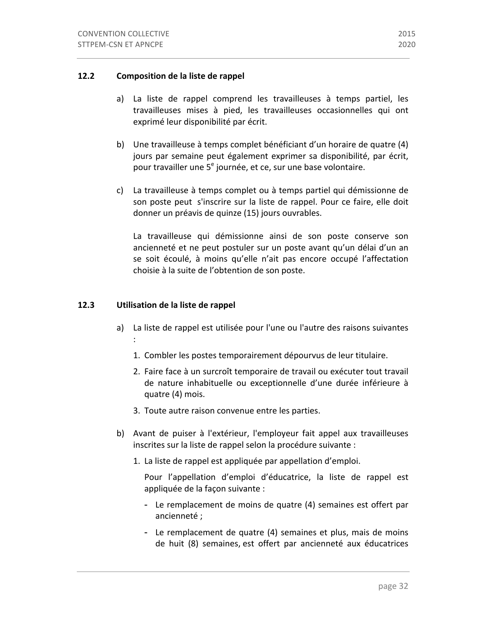- a) La liste de rappel comprend les travailleuses à temps partiel, les travailleuses mises à pied, les travailleuses occasionnelles qui ont exprimé leur disponibilité par écrit.
- b) Une travailleuse à temps complet bénéficiant d'un horaire de quatre (4) jours par semaine peut également exprimer sa disponibilité, par écrit, pour travailler une 5<sup>e</sup> journée, et ce, sur une base volontaire.
- c) La travailleuse à temps complet ou à temps partiel qui démissionne de son poste peut s'inscrire sur la liste de rappel. Pour ce faire, elle doit donner un préavis de quinze (15) jours ouvrables.

La travailleuse qui démissionne ainsi de son poste conserve son ancienneté et ne peut postuler sur un poste avant qu'un délai d'un an se soit écoulé, à moins qu'elle n'ait pas encore occupé l'affectation choisie à la suite de l'obtention de son poste.

## **12.3** Utilisation de la liste de rappel

- a) La liste de rappel est utilisée pour l'une ou l'autre des raisons suivantes :
	- 1. Combler les postes temporairement dépourvus de leur titulaire.
	- 2. Faire face à un surcroît temporaire de travail ou exécuter tout travail de nature inhabituelle ou exceptionnelle d'une durée inférieure à quatre (4) mois.
	- 3. Toute autre raison convenue entre les parties.
- b) Avant de puiser à l'extérieur, l'employeur fait appel aux travailleuses inscrites sur la liste de rappel selon la procédure suivante :
	- 1. La liste de rappel est appliquée par appellation d'emploi.

Pour l'appellation d'emploi d'éducatrice, la liste de rappel est appliquée de la façon suivante :

- Le remplacement de moins de quatre (4) semaines est offert par ancienneté ;
- Le remplacement de quatre (4) semaines et plus, mais de moins de huit (8) semaines, est offert par ancienneté aux éducatrices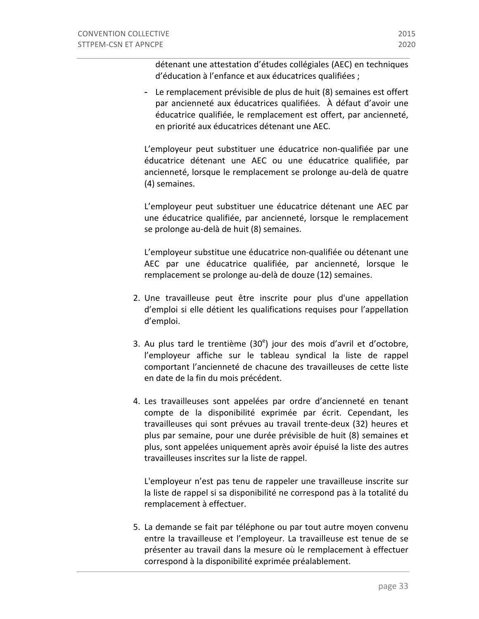détenant une attestation d'études collégiales (AEC) en techniques d'éducation à l'enfance et aux éducatrices qualifiées ;

- Le remplacement prévisible de plus de huit (8) semaines est offert par ancienneté aux éducatrices qualifiées. À défaut d'avoir une éducatrice qualifiée, le remplacement est offert, par ancienneté, en priorité aux éducatrices détenant une AEC.

L'employeur peut substituer une éducatrice non-qualifiée par une éducatrice détenant une AEC ou une éducatrice qualifiée, par ancienneté, lorsque le remplacement se prolonge au-delà de quatre (4) semaines.

L'employeur peut substituer une éducatrice détenant une AEC par une éducatrice qualifiée, par ancienneté, lorsque le remplacement se prolonge au-delà de huit (8) semaines.

L'employeur substitue une éducatrice non-qualifiée ou détenant une AEC par une éducatrice qualifiée, par ancienneté, lorsque le remplacement se prolonge au-delà de douze (12) semaines.

- 2. Une travailleuse peut être inscrite pour plus d'une appellation d'emploi si elle détient les qualifications requises pour l'appellation d'emploi.
- 3. Au plus tard le trentième  $(30<sup>e</sup>)$  jour des mois d'avril et d'octobre, l'employeur affiche sur le tableau syndical la liste de rappel comportant l'ancienneté de chacune des travailleuses de cette liste en date de la fin du mois précédent.
- 4. Les travailleuses sont appelées par ordre d'ancienneté en tenant compte de la disponibilité exprimée par écrit. Cependant, les travailleuses qui sont prévues au travail trente-deux (32) heures et plus par semaine, pour une durée prévisible de huit (8) semaines et plus, sont appelées uniquement après avoir épuisé la liste des autres travailleuses inscrites sur la liste de rappel.

L'employeur n'est pas tenu de rappeler une travailleuse inscrite sur la liste de rappel si sa disponibilité ne correspond pas à la totalité du remplacement à effectuer.

5. La demande se fait par téléphone ou par tout autre moyen convenu entre la travailleuse et l'employeur. La travailleuse est tenue de se présenter au travail dans la mesure où le remplacement à effectuer correspond à la disponibilité exprimée préalablement.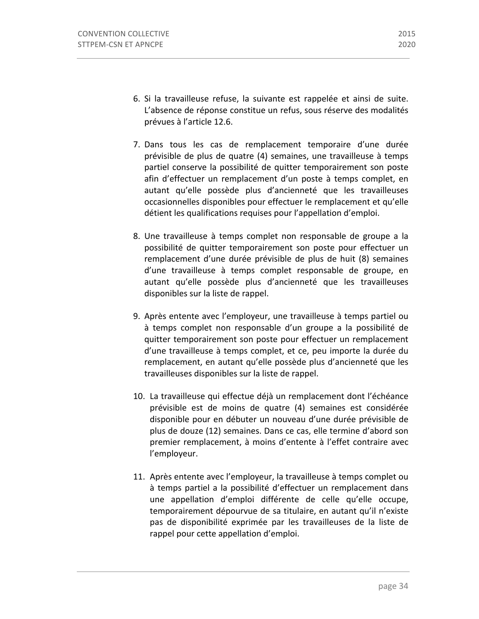- 6. Si la travailleuse refuse, la suivante est rappelée et ainsi de suite. L'absence de réponse constitue un refus, sous réserve des modalités prévues à l'article 12.6.
- 7. Dans tous les cas de remplacement temporaire d'une durée prévisible de plus de quatre (4) semaines, une travailleuse à temps partiel conserve la possibilité de quitter temporairement son poste afin d'effectuer un remplacement d'un poste à temps complet, en autant qu'elle possède plus d'ancienneté que les travailleuses occasionnelles disponibles pour effectuer le remplacement et qu'elle détient les qualifications requises pour l'appellation d'emploi.
- 8. Une travailleuse à temps complet non responsable de groupe a la possibilité de quitter temporairement son poste pour effectuer un remplacement d'une durée prévisible de plus de huit (8) semaines d'une travailleuse à temps complet responsable de groupe, en autant qu'elle possède plus d'ancienneté que les travailleuses disponibles sur la liste de rappel.
- 9. Après entente avec l'employeur, une travailleuse à temps partiel ou à temps complet non responsable d'un groupe a la possibilité de quitter temporairement son poste pour effectuer un remplacement d'une travailleuse à temps complet, et ce, peu importe la durée du remplacement, en autant qu'elle possède plus d'ancienneté que les travailleuses disponibles sur la liste de rappel.
- 10. La travailleuse qui effectue déjà un remplacement dont l'échéance prévisible est de moins de quatre (4) semaines est considérée disponible pour en débuter un nouveau d'une durée prévisible de plus de douze (12) semaines. Dans ce cas, elle termine d'abord son premier remplacement, à moins d'entente à l'effet contraire avec l'employeur.
- 11. Après entente avec l'employeur, la travailleuse à temps complet ou à temps partiel a la possibilité d'effectuer un remplacement dans une appellation d'emploi différente de celle qu'elle occupe, temporairement dépourvue de sa titulaire, en autant qu'il n'existe pas de disponibilité exprimée par les travailleuses de la liste de rappel pour cette appellation d'emploi.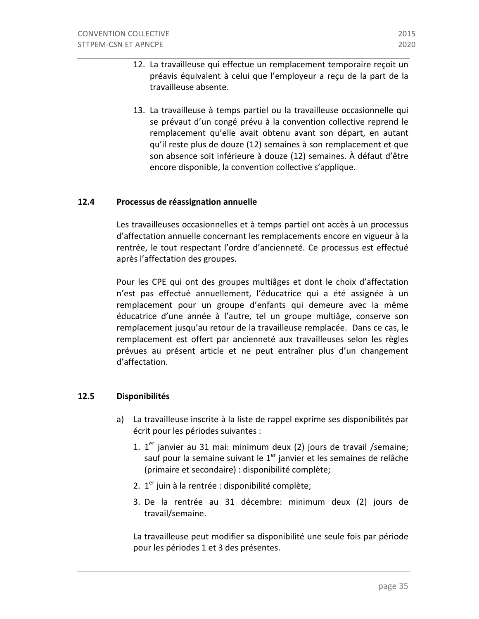- 12. La travailleuse qui effectue un remplacement temporaire reçoit un préavis équivalent à celui que l'employeur a reçu de la part de la travailleuse absente.
- 13. La travailleuse à temps partiel ou la travailleuse occasionnelle qui se prévaut d'un congé prévu à la convention collective reprend le remplacement qu'elle avait obtenu avant son départ, en autant qu'il reste plus de douze (12) semaines à son remplacement et que son absence soit inférieure à douze (12) semaines. À défaut d'être encore disponible, la convention collective s'applique.

### **12.4 Processus de réassignation annuelle**

Les travailleuses occasionnelles et à temps partiel ont accès à un processus d'affectation annuelle concernant les remplacements encore en vigueur à la rentrée, le tout respectant l'ordre d'ancienneté. Ce processus est effectué après l'affectation des groupes.

Pour les CPE qui ont des groupes multiâges et dont le choix d'affectation n'est pas effectué annuellement, l'éducatrice qui a été assignée à un remplacement pour un groupe d'enfants qui demeure avec la même éducatrice d'une année à l'autre, tel un groupe multiâge, conserve son remplacement jusqu'au retour de la travailleuse remplacée. Dans ce cas, le remplacement est offert par ancienneté aux travailleuses selon les règles prévues au présent article et ne peut entraîner plus d'un changement d'affectation. 

#### **12.5 Disponibilités**

- a) La travailleuse inscrite à la liste de rappel exprime ses disponibilités par écrit pour les périodes suivantes :
	- 1.  $1<sup>er</sup>$  janvier au 31 mai: minimum deux (2) jours de travail /semaine; sauf pour la semaine suivant le  $1<sup>er</sup>$  janvier et les semaines de relâche (primaire et secondaire) : disponibilité complète;
	- 2.  $1<sup>er</sup>$  juin à la rentrée : disponibilité complète;
	- 3. De la rentrée au 31 décembre: minimum deux (2) jours de travail/semaine.

La travailleuse peut modifier sa disponibilité une seule fois par période pour les périodes 1 et 3 des présentes.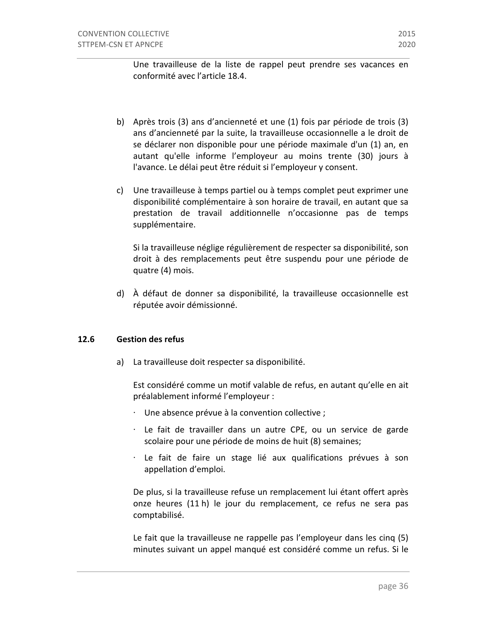Une travailleuse de la liste de rappel peut prendre ses vacances en conformité avec l'article 18.4.

- b) Après trois (3) ans d'ancienneté et une (1) fois par période de trois (3) ans d'ancienneté par la suite, la travailleuse occasionnelle a le droit de se déclarer non disponible pour une période maximale d'un (1) an, en autant qu'elle informe l'employeur au moins trente (30) jours à l'avance. Le délai peut être réduit si l'employeur y consent.
- c) Une travailleuse à temps partiel ou à temps complet peut exprimer une disponibilité complémentaire à son horaire de travail, en autant que sa prestation de travail additionnelle n'occasionne pas de temps supplémentaire.

Si la travailleuse néglige régulièrement de respecter sa disponibilité, son droit à des remplacements peut être suspendu pour une période de quatre (4) mois.

d) À défaut de donner sa disponibilité, la travailleuse occasionnelle est réputée avoir démissionné.

#### 12.6 **Gestion des refus**

a) La travailleuse doit respecter sa disponibilité.

Est considéré comme un motif valable de refus, en autant qu'elle en ait préalablement informé l'employeur :

- $\cdot$  Une absence prévue à la convention collective ;
- · Le fait de travailler dans un autre CPE, ou un service de garde scolaire pour une période de moins de huit (8) semaines;
- $\cdot$  Le fait de faire un stage lié aux qualifications prévues à son appellation d'emploi.

De plus, si la travailleuse refuse un remplacement lui étant offert après onze heures (11 h) le jour du remplacement, ce refus ne sera pas comptabilisé.

Le fait que la travailleuse ne rappelle pas l'employeur dans les cinq (5) minutes suivant un appel manqué est considéré comme un refus. Si le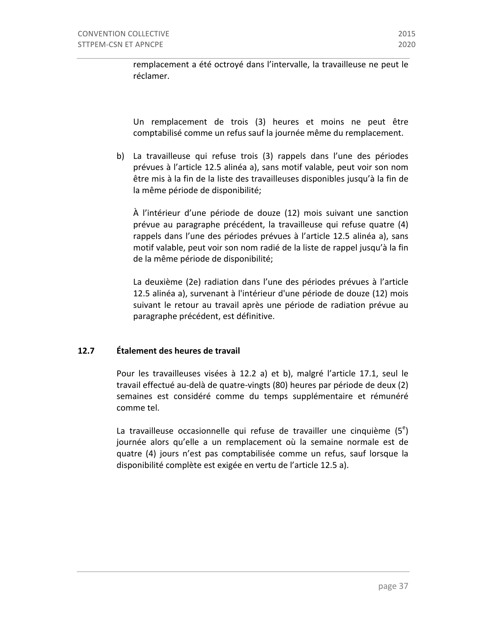remplacement a été octroyé dans l'intervalle, la travailleuse ne peut le réclamer.

Un remplacement de trois (3) heures et moins ne peut être comptabilisé comme un refus sauf la journée même du remplacement.

b) La travailleuse qui refuse trois (3) rappels dans l'une des périodes prévues à l'article 12.5 alinéa a), sans motif valable, peut voir son nom être mis à la fin de la liste des travailleuses disponibles jusqu'à la fin de la même période de disponibilité;

À l'intérieur d'une période de douze (12) mois suivant une sanction prévue au paragraphe précédent, la travailleuse qui refuse quatre (4) rappels dans l'une des périodes prévues à l'article 12.5 alinéa a), sans motif valable, peut voir son nom radié de la liste de rappel jusqu'à la fin de la même période de disponibilité;

La deuxième (2e) radiation dans l'une des périodes prévues à l'article 12.5 alinéa a), survenant à l'intérieur d'une période de douze (12) mois suivant le retour au travail après une période de radiation prévue au paragraphe précédent, est définitive.

### **12.7 Étalement des heures de travail**

Pour les travailleuses visées à 12.2 a) et b), malgré l'article 17.1, seul le travail effectué au-delà de quatre-vingts (80) heures par période de deux (2) semaines est considéré comme du temps supplémentaire et rémunéré comme tel.

La travailleuse occasionnelle qui refuse de travailler une cinquième  $(5<sup>e</sup>)$ journée alors qu'elle a un remplacement où la semaine normale est de quatre (4) jours n'est pas comptabilisée comme un refus, sauf lorsque la disponibilité complète est exigée en vertu de l'article 12.5 a).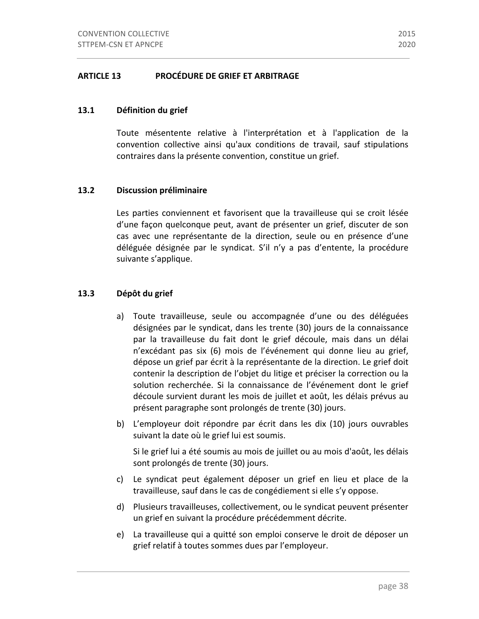#### **ARTICLE 13** PROCÉDURE DE GRIEF ET ARBITRAGE

#### 13.1 Définition du grief

Toute mésentente relative à l'interprétation et à l'application de la convention collective ainsi qu'aux conditions de travail, sauf stipulations contraires dans la présente convention, constitue un grief.

#### 13.2 **Discussion préliminaire**

Les parties conviennent et favorisent que la travailleuse qui se croit lésée d'une façon quelconque peut, avant de présenter un grief, discuter de son cas avec une représentante de la direction, seule ou en présence d'une déléguée désignée par le syndicat. S'il n'y a pas d'entente, la procédure suivante s'applique.

#### 13.3 Dépôt du grief

- a) Toute travailleuse, seule ou accompagnée d'une ou des déléguées désignées par le syndicat, dans les trente (30) jours de la connaissance par la travailleuse du fait dont le grief découle, mais dans un délai n'excédant pas six (6) mois de l'événement qui donne lieu au grief, dépose un grief par écrit à la représentante de la direction. Le grief doit contenir la description de l'objet du litige et préciser la correction ou la solution recherchée. Si la connaissance de l'événement dont le grief découle survient durant les mois de juillet et août, les délais prévus au présent paragraphe sont prolongés de trente (30) jours.
- b) L'employeur doit répondre par écrit dans les dix (10) jours ouvrables suivant la date où le grief lui est soumis.

Si le grief lui a été soumis au mois de juillet ou au mois d'août, les délais sont prolongés de trente (30) jours.

- c) Le syndicat peut également déposer un grief en lieu et place de la travailleuse, sauf dans le cas de congédiement si elle s'y oppose.
- d) Plusieurs travailleuses, collectivement, ou le syndicat peuvent présenter un grief en suivant la procédure précédemment décrite.
- e) La travailleuse qui a quitté son emploi conserve le droit de déposer un grief relatif à toutes sommes dues par l'employeur.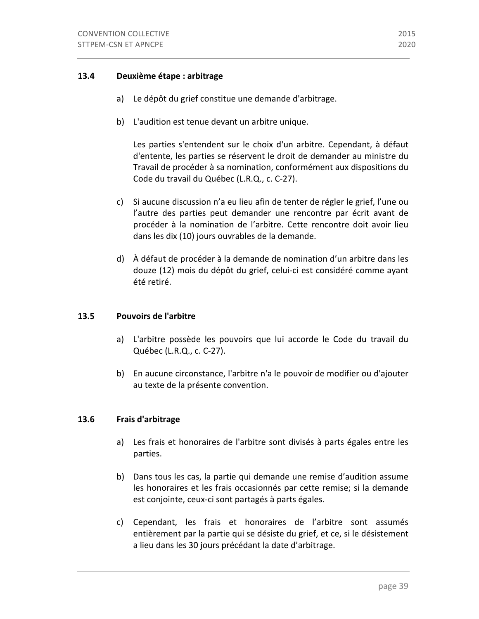### **13.4** Deuxième étape : arbitrage

- a) Le dépôt du grief constitue une demande d'arbitrage.
- b) L'audition est tenue devant un arbitre unique.

Les parties s'entendent sur le choix d'un arbitre. Cependant, à défaut d'entente, les parties se réservent le droit de demander au ministre du Travail de procéder à sa nomination, conformément aux dispositions du Code du travail du Québec (L.R.Q., c. C-27).

- c) Si aucune discussion n'a eu lieu afin de tenter de régler le grief, l'une ou l'autre des parties peut demander une rencontre par écrit avant de procéder à la nomination de l'arbitre. Cette rencontre doit avoir lieu dans les dix (10) jours ouvrables de la demande.
- d) À défaut de procéder à la demande de nomination d'un arbitre dans les douze (12) mois du dépôt du grief, celui-ci est considéré comme ayant été retiré.

#### **13.5 Pouvoirs de l'arbitre**

- a) L'arbitre possède les pouvoirs que lui accorde le Code du travail du Québec (L.R.Q., c. C-27).
- b) En aucune circonstance, l'arbitre n'a le pouvoir de modifier ou d'ajouter au texte de la présente convention.

### **13.6 Frais d'arbitrage**

- a) Les frais et honoraires de l'arbitre sont divisés à parts égales entre les parties.
- b) Dans tous les cas, la partie qui demande une remise d'audition assume les honoraires et les frais occasionnés par cette remise; si la demande est conjointe, ceux-ci sont partagés à parts égales.
- c) Cependant, les frais et honoraires de l'arbitre sont assumés entièrement par la partie qui se désiste du grief, et ce, si le désistement a lieu dans les 30 jours précédant la date d'arbitrage.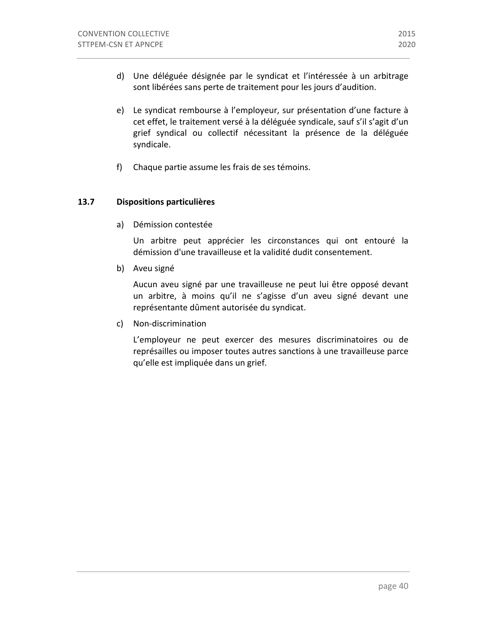- d) Une déléguée désignée par le syndicat et l'intéressée à un arbitrage sont libérées sans perte de traitement pour les jours d'audition.
- e) Le syndicat rembourse à l'employeur, sur présentation d'une facture à cet effet, le traitement versé à la déléguée syndicale, sauf s'il s'agit d'un grief syndical ou collectif nécessitant la présence de la déléguée syndicale.
- f) Chaque partie assume les frais de ses témoins.

### 13.7 **Dispositions particulières**

a) Démission contestée

Un arbitre peut apprécier les circonstances qui ont entouré la démission d'une travailleuse et la validité dudit consentement.

b) Aveu signé

Aucun aveu signé par une travailleuse ne peut lui être opposé devant un arbitre, à moins qu'il ne s'agisse d'un aveu signé devant une représentante dûment autorisée du syndicat.

c) Non-discrimination

L'employeur ne peut exercer des mesures discriminatoires ou de représailles ou imposer toutes autres sanctions à une travailleuse parce qu'elle est impliquée dans un grief.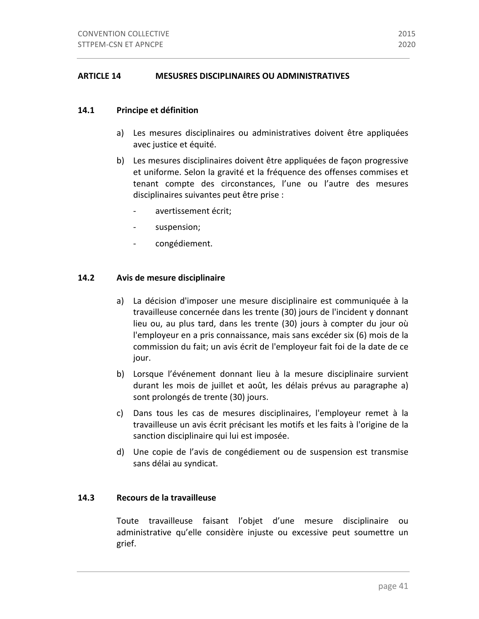### 14.1 **Principe et définition**

- a) Les mesures disciplinaires ou administratives doivent être appliquées avec justice et équité.
- b) Les mesures disciplinaires doivent être appliquées de façon progressive et uniforme. Selon la gravité et la fréquence des offenses commises et tenant compte des circonstances, l'une ou l'autre des mesures disciplinaires suivantes peut être prise :
	- avertissement écrit;
	- suspension;
	- congédiement.

### **14.2 Avis de mesure disciplinaire**

- a) La décision d'imposer une mesure disciplinaire est communiquée à la travailleuse concernée dans les trente (30) jours de l'incident y donnant lieu ou, au plus tard, dans les trente (30) jours à compter du jour où l'employeur en a pris connaissance, mais sans excéder six (6) mois de la commission du fait; un avis écrit de l'employeur fait foi de la date de ce jour.
- b) Lorsque l'événement donnant lieu à la mesure disciplinaire survient durant les mois de juillet et août, les délais prévus au paragraphe a) sont prolongés de trente (30) jours.
- c) Dans tous les cas de mesures disciplinaires, l'employeur remet à la travailleuse un avis écrit précisant les motifs et les faits à l'origine de la sanction disciplinaire qui lui est imposée.
- d) Une copie de l'avis de congédiement ou de suspension est transmise sans délai au syndicat.

### **14.3 Recours de la travailleuse**

Toute travailleuse faisant l'objet d'une mesure disciplinaire ou administrative qu'elle considère injuste ou excessive peut soumettre un grief.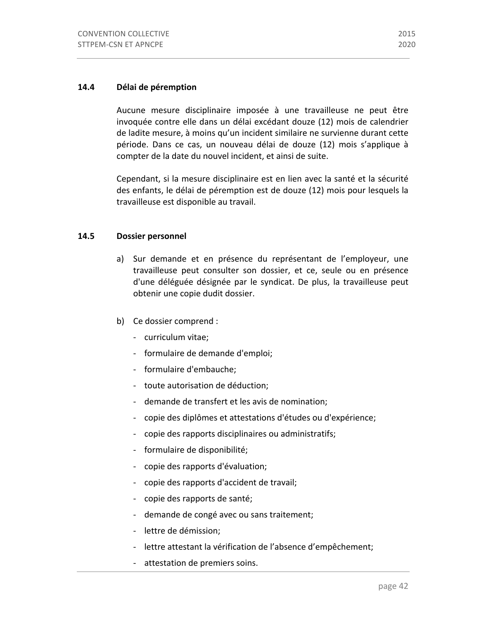#### 14.4 Délai de péremption

Aucune mesure disciplinaire imposée à une travailleuse ne peut être invoquée contre elle dans un délai excédant douze (12) mois de calendrier de ladite mesure, à moins qu'un incident similaire ne survienne durant cette période. Dans ce cas, un nouveau délai de douze (12) mois s'applique à compter de la date du nouvel incident, et ainsi de suite.

Cependant, si la mesure disciplinaire est en lien avec la santé et la sécurité des enfants, le délai de péremption est de douze (12) mois pour lesquels la travailleuse est disponible au travail.

#### **14.5 Dossier personnel**

- a) Sur demande et en présence du représentant de l'employeur, une travailleuse peut consulter son dossier, et ce, seule ou en présence d'une déléguée désignée par le syndicat. De plus, la travailleuse peut obtenir une copie dudit dossier.
- b) Ce dossier comprend :
	- curriculum vitae;
	- formulaire de demande d'emploi;
	- formulaire d'embauche;
	- toute autorisation de déduction;
	- demande de transfert et les avis de nomination;
	- copie des diplômes et attestations d'études ou d'expérience;
	- copie des rapports disciplinaires ou administratifs;
	- formulaire de disponibilité;
	- copie des rapports d'évaluation;
	- copie des rapports d'accident de travail;
	- copie des rapports de santé;
	- demande de congé avec ou sans traitement;
	- lettre de démission;
	- lettre attestant la vérification de l'absence d'empêchement;
	- attestation de premiers soins.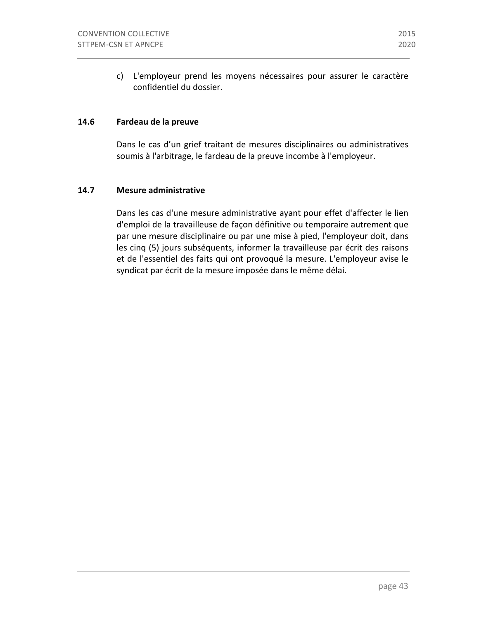c) L'employeur prend les moyens nécessaires pour assurer le caractère confidentiel du dossier.

#### **14.6 Fardeau de la preuve**

Dans le cas d'un grief traitant de mesures disciplinaires ou administratives soumis à l'arbitrage, le fardeau de la preuve incombe à l'employeur.

### **14.7 Mesure administrative**

Dans les cas d'une mesure administrative ayant pour effet d'affecter le lien d'emploi de la travailleuse de façon définitive ou temporaire autrement que par une mesure disciplinaire ou par une mise à pied, l'employeur doit, dans les cinq (5) jours subséquents, informer la travailleuse par écrit des raisons et de l'essentiel des faits qui ont provoqué la mesure. L'employeur avise le syndicat par écrit de la mesure imposée dans le même délai.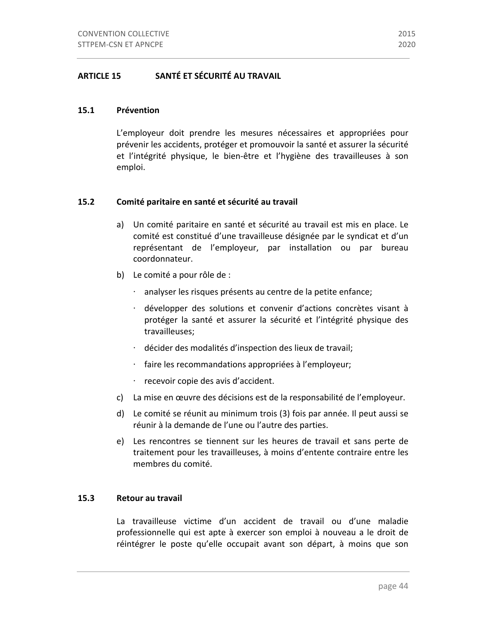### **15.1 Prévention**

L'employeur doit prendre les mesures nécessaires et appropriées pour prévenir les accidents, protéger et promouvoir la santé et assurer la sécurité et l'intégrité physique, le bien-être et l'hygiène des travailleuses à son emploi.

### **15.2** Comité paritaire en santé et sécurité au travail

- a) Un comité paritaire en santé et sécurité au travail est mis en place. Le comité est constitué d'une travailleuse désignée par le syndicat et d'un représentant de l'employeur, par installation ou par bureau coordonnateur.
- b) Le comité a pour rôle de :
	- · analyser les risques présents au centre de la petite enfance;
	- · développer des solutions et convenir d'actions concrètes visant à protéger la santé et assurer la sécurité et l'intégrité physique des travailleuses;
	- ⋅ décider des modalités d'inspection des lieux de travail;
	- $\cdot$  faire les recommandations appropriées à l'employeur;
	- $\cdot$  recevoir copie des avis d'accident.
- c) La mise en œuvre des décisions est de la responsabilité de l'employeur.
- d) Le comité se réunit au minimum trois (3) fois par année. Il peut aussi se réunir à la demande de l'une ou l'autre des parties.
- e) Les rencontres se tiennent sur les heures de travail et sans perte de traitement pour les travailleuses, à moins d'entente contraire entre les membres du comité.

### **15.3 Retour au travail**

La travailleuse victime d'un accident de travail ou d'une maladie professionnelle qui est apte à exercer son emploi à nouveau a le droit de réintégrer le poste qu'elle occupait avant son départ, à moins que son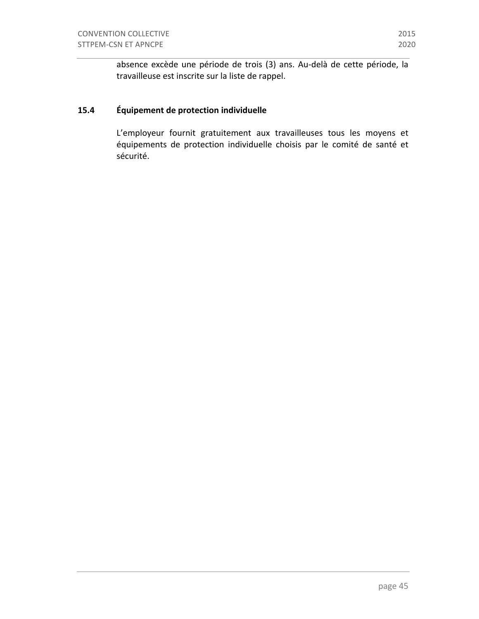absence excède une période de trois (3) ans. Au-delà de cette période, la travailleuse est inscrite sur la liste de rappel.

# **15.4 Équipement de protection individuelle**

L'employeur fournit gratuitement aux travailleuses tous les moyens et équipements de protection individuelle choisis par le comité de santé et sécurité.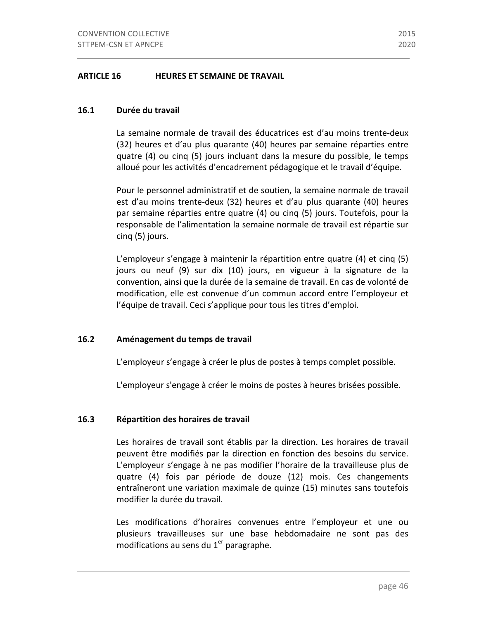#### **16.1 Durée du travail**

La semaine normale de travail des éducatrices est d'au moins trente-deux (32) heures et d'au plus quarante (40) heures par semaine réparties entre quatre (4) ou cinq (5) jours incluant dans la mesure du possible, le temps alloué pour les activités d'encadrement pédagogique et le travail d'équipe.

Pour le personnel administratif et de soutien, la semaine normale de travail est d'au moins trente-deux (32) heures et d'au plus quarante (40) heures par semaine réparties entre quatre (4) ou cinq (5) jours. Toutefois, pour la responsable de l'alimentation la semaine normale de travail est répartie sur cinq (5) jours.

L'employeur s'engage à maintenir la répartition entre quatre  $(4)$  et cinq  $(5)$ jours ou neuf (9) sur dix (10) jours, en vigueur à la signature de la convention, ainsi que la durée de la semaine de travail. En cas de volonté de modification, elle est convenue d'un commun accord entre l'employeur et l'équipe de travail. Ceci s'applique pour tous les titres d'emploi.

### **16.2 Aménagement du temps de travail**

L'employeur s'engage à créer le plus de postes à temps complet possible.

L'employeur s'engage à créer le moins de postes à heures brisées possible.

### **16.3 Répartition des horaires de travail**

Les horaires de travail sont établis par la direction. Les horaires de travail peuvent être modifiés par la direction en fonction des besoins du service. L'employeur s'engage à ne pas modifier l'horaire de la travailleuse plus de quatre (4) fois par période de douze (12) mois. Ces changements entraîneront une variation maximale de quinze (15) minutes sans toutefois modifier la durée du travail.

Les modifications d'horaires convenues entre l'employeur et une ou plusieurs travailleuses sur une base hebdomadaire ne sont pas des modifications au sens du  $1<sup>er</sup>$  paragraphe.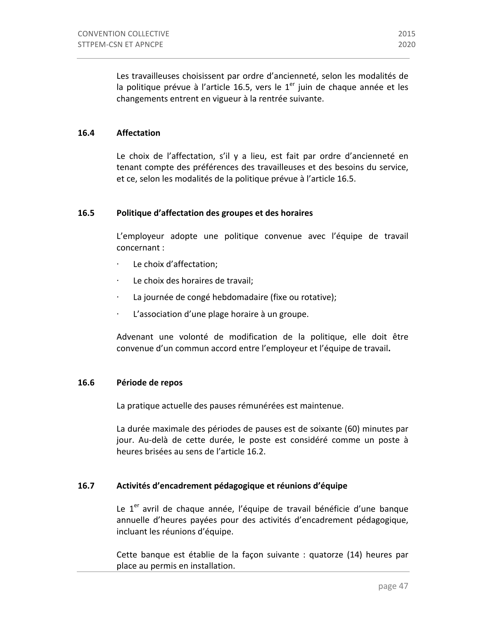Les travailleuses choisissent par ordre d'ancienneté, selon les modalités de la politique prévue à l'article 16.5, vers le  $1<sup>er</sup>$  juin de chaque année et les changements entrent en vigueur à la rentrée suivante.

### **16.4 Affectation**

Le choix de l'affectation, s'il y a lieu, est fait par ordre d'ancienneté en tenant compte des préférences des travailleuses et des besoins du service, et ce, selon les modalités de la politique prévue à l'article 16.5.

#### **16.5** Politique d'affectation des groupes et des horaires

L'employeur adopte une politique convenue avec l'équipe de travail concernant :

- Le choix d'affectation;
- Le choix des horaires de travail;
- La journée de congé hebdomadaire (fixe ou rotative);
- $\cdot$  L'association d'une plage horaire à un groupe.

Advenant une volonté de modification de la politique, elle doit être convenue d'un commun accord entre l'employeur et l'équipe de travail.

#### 16.6 Période de repos

La pratique actuelle des pauses rémunérées est maintenue.

La durée maximale des périodes de pauses est de soixante (60) minutes par jour. Au-delà de cette durée, le poste est considéré comme un poste à heures brisées au sens de l'article 16.2.

### **16.7 Activités d'encadrement pédagogique et réunions d'équipe**

Le  $1<sup>er</sup>$  avril de chaque année, l'équipe de travail bénéficie d'une banque annuelle d'heures payées pour des activités d'encadrement pédagogique, incluant les réunions d'équipe.

Cette banque est établie de la façon suivante : quatorze (14) heures par place au permis en installation.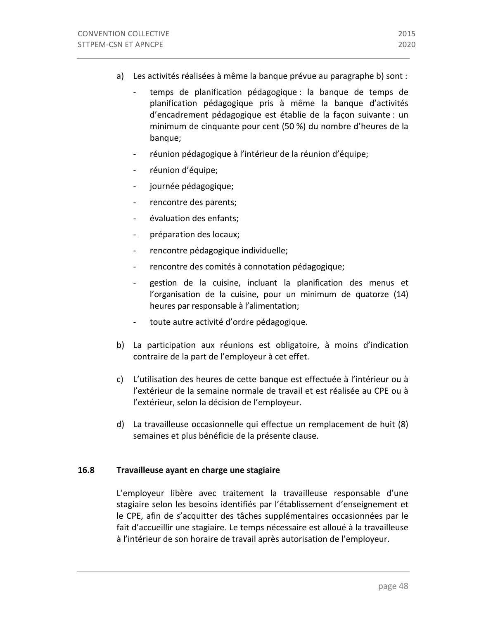- a) Les activités réalisées à même la banque prévue au paragraphe b) sont :
	- temps de planification pédagogique : la banque de temps de planification pédagogique pris à même la banque d'activités d'encadrement pédagogique est établie de la façon suivante : un minimum de cinquante pour cent (50 %) du nombre d'heures de la banque;
	- réunion pédagogique à l'intérieur de la réunion d'équipe;
	- réunion d'équipe;
	- journée pédagogique;
	- rencontre des parents;
	- évaluation des enfants;
	- préparation des locaux;
	- rencontre pédagogique individuelle;
	- rencontre des comités à connotation pédagogique;
	- gestion de la cuisine, incluant la planification des menus et l'organisation de la cuisine, pour un minimum de quatorze  $(14)$ heures par responsable à l'alimentation;
	- toute autre activité d'ordre pédagogique.
- b) La participation aux réunions est obligatoire, à moins d'indication contraire de la part de l'employeur à cet effet.
- c) L'utilisation des heures de cette banque est effectuée à l'intérieur ou à l'extérieur de la semaine normale de travail et est réalisée au CPE ou à l'extérieur, selon la décision de l'employeur.
- d) La travailleuse occasionnelle qui effectue un remplacement de huit (8) semaines et plus bénéficie de la présente clause.

#### **16.8 Travailleuse ayant en charge une stagiaire**

L'employeur libère avec traitement la travailleuse responsable d'une stagiaire selon les besoins identifiés par l'établissement d'enseignement et le CPE, afin de s'acquitter des tâches supplémentaires occasionnées par le fait d'accueillir une stagiaire. Le temps nécessaire est alloué à la travailleuse à l'intérieur de son horaire de travail après autorisation de l'employeur.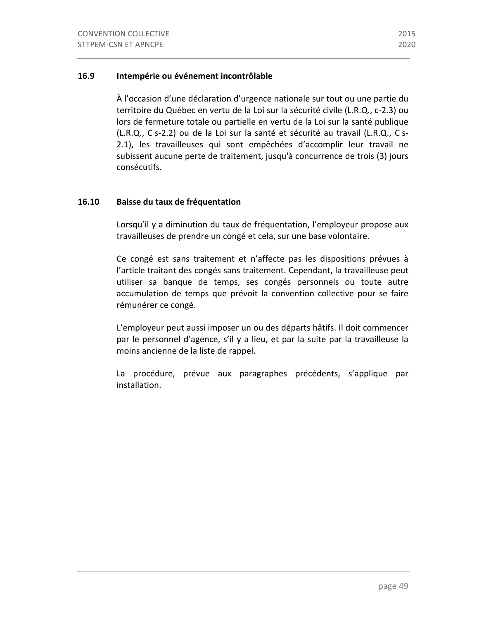### **16.9 Intempérie ou événement incontrôlable**

À l'occasion d'une déclaration d'urgence nationale sur tout ou une partie du territoire du Québec en vertu de la Loi sur la sécurité civile (L.R.Q., c-2.3) ou lors de fermeture totale ou partielle en vertu de la Loi sur la santé publique (L.R.Q., C s-2.2) ou de la Loi sur la santé et sécurité au travail (L.R.Q., C s-2.1), les travailleuses qui sont empêchées d'accomplir leur travail ne subissent aucune perte de traitement, jusqu'à concurrence de trois (3) jours consécutifs.

### **16.10 Baisse du taux de fréquentation**

Lorsqu'il y a diminution du taux de fréquentation, l'employeur propose aux travailleuses de prendre un congé et cela, sur une base volontaire.

Ce congé est sans traitement et n'affecte pas les dispositions prévues à l'article traitant des congés sans traitement. Cependant, la travailleuse peut utiliser sa banque de temps, ses congés personnels ou toute autre accumulation de temps que prévoit la convention collective pour se faire rémunérer ce congé.

L'employeur peut aussi imposer un ou des départs hâtifs. Il doit commencer par le personnel d'agence, s'il y a lieu, et par la suite par la travailleuse la moins ancienne de la liste de rappel.

La procédure, prévue aux paragraphes précédents, s'applique par installation.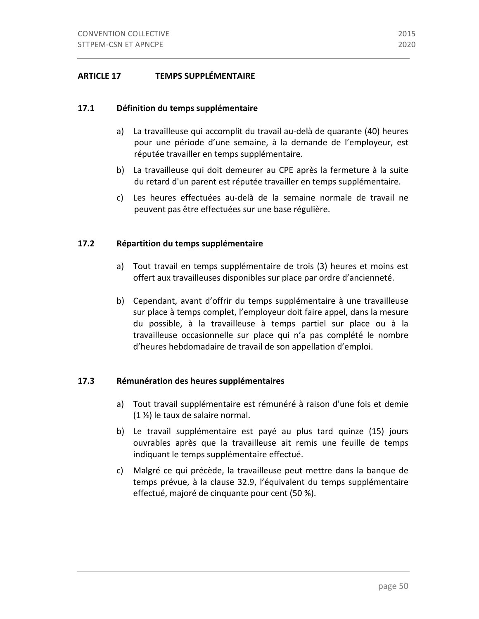### **ARTICLE 17 TEMPS SUPPLÉMENTAIRE**

### **17.1 Définition du temps supplémentaire**

- a) La travailleuse qui accomplit du travail au-delà de quarante (40) heures pour une période d'une semaine, à la demande de l'employeur, est réputée travailler en temps supplémentaire.
- b) La travailleuse qui doit demeurer au CPE après la fermeture à la suite du retard d'un parent est réputée travailler en temps supplémentaire.
- c) Les heures effectuées au-delà de la semaine normale de travail ne peuvent pas être effectuées sur une base régulière.

### **17.2 Répartition du temps supplémentaire**

- a) Tout travail en temps supplémentaire de trois (3) heures et moins est offert aux travailleuses disponibles sur place par ordre d'ancienneté.
- b) Cependant, avant d'offrir du temps supplémentaire à une travailleuse sur place à temps complet, l'employeur doit faire appel, dans la mesure du possible, à la travailleuse à temps partiel sur place ou à la travailleuse occasionnelle sur place qui n'a pas complété le nombre d'heures hebdomadaire de travail de son appellation d'emploi.

### **17.3 Rémunération des heures supplémentaires**

- a) Tout travail supplémentaire est rémunéré à raison d'une fois et demie  $(1 \frac{1}{2})$  le taux de salaire normal.
- b) Le travail supplémentaire est payé au plus tard quinze (15) jours ouvrables après que la travailleuse ait remis une feuille de temps indiquant le temps supplémentaire effectué.
- c) Malgré ce qui précède, la travailleuse peut mettre dans la banque de temps prévue, à la clause 32.9, l'équivalent du temps supplémentaire effectué, majoré de cinquante pour cent (50 %).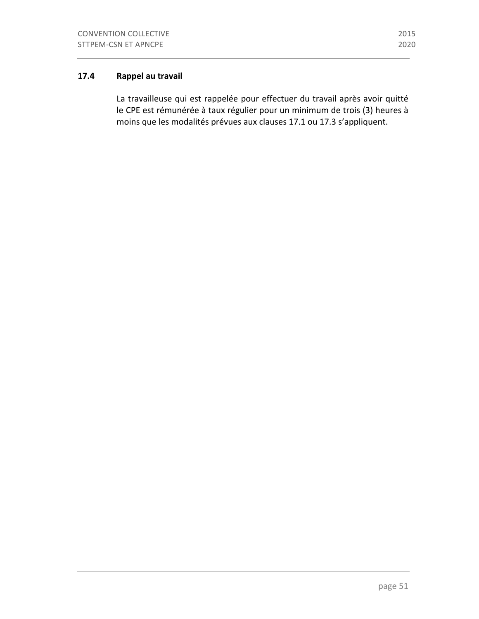# **17.4 Rappel au travail**

La travailleuse qui est rappelée pour effectuer du travail après avoir quitté le CPE est rémunérée à taux régulier pour un minimum de trois (3) heures à moins que les modalités prévues aux clauses 17.1 ou 17.3 s'appliquent.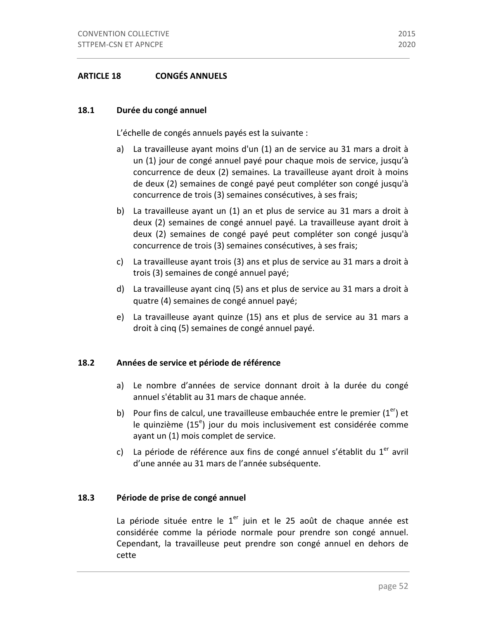### 18.1 Durée du congé annuel

L'échelle de congés annuels payés est la suivante :

- a) La travailleuse ayant moins d'un (1) an de service au 31 mars a droit à un (1) jour de congé annuel payé pour chaque mois de service, jusqu'à concurrence de deux (2) semaines. La travailleuse ayant droit à moins de deux (2) semaines de congé payé peut compléter son congé jusqu'à concurrence de trois (3) semaines consécutives, à ses frais;
- b) La travailleuse avant un (1) an et plus de service au 31 mars a droit à deux (2) semaines de congé annuel payé. La travailleuse ayant droit à deux (2) semaines de congé payé peut compléter son congé jusqu'à concurrence de trois (3) semaines consécutives, à ses frais;
- c) La travailleuse ayant trois (3) ans et plus de service au 31 mars a droit à trois (3) semaines de congé annuel payé;
- d) La travailleuse ayant cinq (5) ans et plus de service au 31 mars a droit à quatre (4) semaines de congé annuel payé;
- e) La travailleuse ayant quinze (15) ans et plus de service au 31 mars a droit à cinq (5) semaines de congé annuel payé.

### 18.2 Années de service et période de référence

- a) Le nombre d'années de service donnant droit à la durée du congé annuel s'établit au 31 mars de chaque année.
- b) Pour fins de calcul, une travailleuse embauchée entre le premier  $(1<sup>er</sup>)$  et le quinzième (15<sup>e</sup>) jour du mois inclusivement est considérée comme ayant un (1) mois complet de service.
- c) La période de référence aux fins de congé annuel s'établit du  $1<sup>er</sup>$  avril d'une année au 31 mars de l'année subséquente.

### **18.3** Période de prise de congé annuel

La période située entre le  $1<sup>er</sup>$  juin et le 25 août de chaque année est considérée comme la période normale pour prendre son congé annuel. Cependant, la travailleuse peut prendre son congé annuel en dehors de cette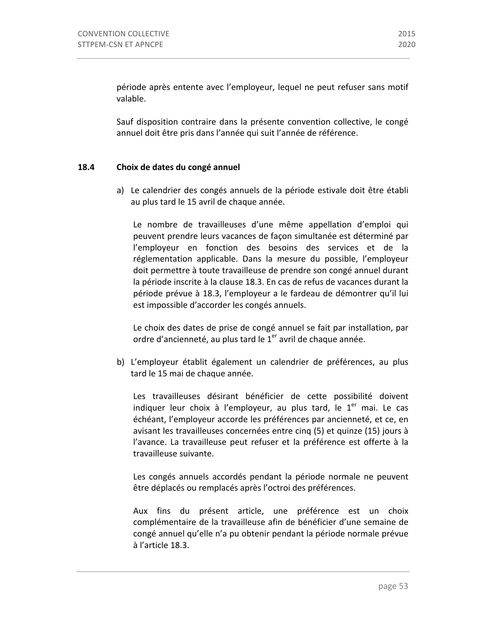période après entente avec l'employeur, lequel ne peut refuser sans motif valable.

Sauf disposition contraire dans la présente convention collective, le congé annuel doit être pris dans l'année qui suit l'année de référence.

### **18.4 Choix de dates du congé annuel**

a) Le calendrier des congés annuels de la période estivale doit être établi au plus tard le 15 avril de chaque année.

Le nombre de travailleuses d'une même appellation d'emploi qui peuvent prendre leurs vacances de façon simultanée est déterminé par l'employeur en fonction des besoins des services et de la réglementation applicable. Dans la mesure du possible, l'employeur doit permettre à toute travailleuse de prendre son congé annuel durant la période inscrite à la clause 18.3. En cas de refus de vacances durant la période prévue à 18.3, l'employeur a le fardeau de démontrer qu'il lui est impossible d'accorder les congés annuels.

Le choix des dates de prise de congé annuel se fait par installation, par ordre d'ancienneté, au plus tard le  $1<sup>er</sup>$  avril de chaque année.

b) L'employeur établit également un calendrier de préférences, au plus tard le 15 mai de chaque année.

Les travailleuses désirant bénéficier de cette possibilité doivent indiquer leur choix à l'employeur, au plus tard, le  $1<sup>er</sup>$  mai. Le cas échéant, l'employeur accorde les préférences par ancienneté, et ce, en avisant les travailleuses concernées entre cinq (5) et quinze (15) jours à l'avance. La travailleuse peut refuser et la préférence est offerte à la travailleuse suivante.

Les congés annuels accordés pendant la période normale ne peuvent être déplacés ou remplacés après l'octroi des préférences.

Aux fins du présent article, une préférence est un choix complémentaire de la travailleuse afin de bénéficier d'une semaine de congé annuel qu'elle n'a pu obtenir pendant la période normale prévue à l'article 18.3.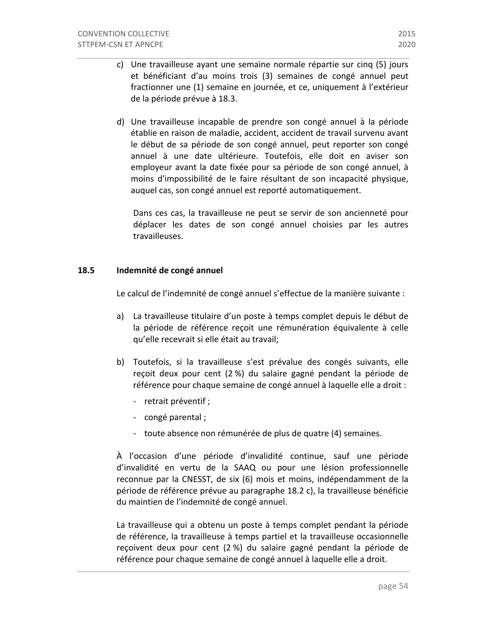- c) Une travailleuse ayant une semaine normale répartie sur cinq (5) jours et bénéficiant d'au moins trois (3) semaines de congé annuel peut fractionner une (1) semaine en journée, et ce, uniquement à l'extérieur de la période prévue à 18.3.
- d) Une travailleuse incapable de prendre son congé annuel à la période établie en raison de maladie, accident, accident de travail survenu avant le début de sa période de son congé annuel, peut reporter son congé annuel à une date ultérieure. Toutefois, elle doit en aviser son employeur avant la date fixée pour sa période de son congé annuel, à moins d'impossibilité de le faire résultant de son incapacité physique, auquel cas, son congé annuel est reporté automatiquement.

Dans ces cas, la travailleuse ne peut se servir de son ancienneté pour déplacer les dates de son congé annuel choisies par les autres travailleuses.

### 18.5 **Indemnité de congé annuel**

Le calcul de l'indemnité de congé annuel s'effectue de la manière suivante :

- a) La travailleuse titulaire d'un poste à temps complet depuis le début de la période de référence reçoit une rémunération équivalente à celle qu'elle recevrait si elle était au travail;
- b) Toutefois, si la travailleuse s'est prévalue des congés suivants, elle reçoit deux pour cent (2 %) du salaire gagné pendant la période de référence pour chaque semaine de congé annuel à laquelle elle a droit :
	- retrait préventif ;
	- congé parental ;
	- toute absence non rémunérée de plus de quatre (4) semaines.

À l'occasion d'une période d'invalidité continue, sauf une période d'invalidité en vertu de la SAAQ ou pour une lésion professionnelle reconnue par la CNESST, de six (6) mois et moins, indépendamment de la période de référence prévue au paragraphe 18.2 c), la travailleuse bénéficie du maintien de l'indemnité de congé annuel.

La travailleuse qui a obtenu un poste à temps complet pendant la période de référence, la travailleuse à temps partiel et la travailleuse occasionnelle reçoivent deux pour cent (2 %) du salaire gagné pendant la période de référence pour chaque semaine de congé annuel à laquelle elle a droit.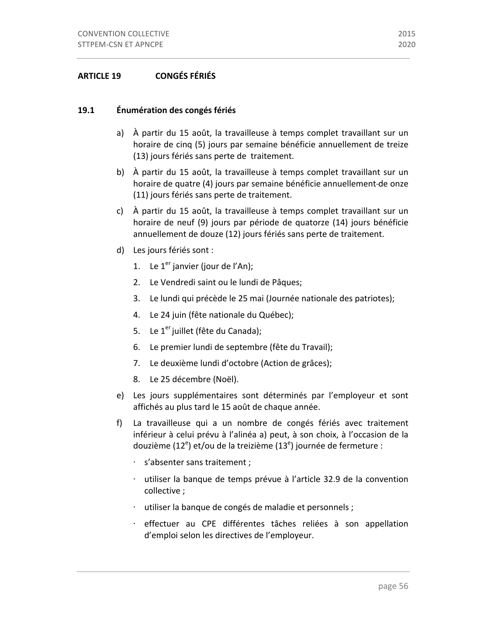### 19.1 **Énumération des congés fériés**

- a) À partir du 15 août, la travailleuse à temps complet travaillant sur un horaire de cinq (5) jours par semaine bénéficie annuellement de treize (13) jours fériés sans perte de traitement.
- b) À partir du 15 août, la travailleuse à temps complet travaillant sur un horaire de quatre (4) jours par semaine bénéficie annuellement-de onze (11) jours fériés sans perte de traitement.
- c) À partir du 15 août, la travailleuse à temps complet travaillant sur un horaire de neuf (9) jours par période de quatorze (14) jours bénéficie annuellement de douze (12) jours fériés sans perte de traitement.
- d) Les jours fériés sont :
	- 1. Le  $1<sup>er</sup>$  janvier (jour de l'An);
	- 2. Le Vendredi saint ou le lundi de Pâques;
	- 3. Le lundi qui précède le 25 mai (Journée nationale des patriotes);
	- 4. Le 24 juin (fête nationale du Québec);
	- 5. Le  $1<sup>er</sup>$  juillet (fête du Canada);
	- 6. Le premier lundi de septembre (fête du Travail);
	- 7. Le deuxième lundi d'octobre (Action de grâces);
	- 8. Le 25 décembre (Noël).
- e) Les jours supplémentaires sont déterminés par l'employeur et sont affichés au plus tard le 15 août de chaque année.
- f) La travailleuse qui a un nombre de congés fériés avec traitement inférieur à celui prévu à l'alinéa a) peut, à son choix, à l'occasion de la douzième (12<sup>e</sup>) et/ou de la treizième (13<sup>e</sup>) journée de fermeture :
	- ⋅ s'absenter sans traitement ;
	- · utiliser la banque de temps prévue à l'article 32.9 de la convention collective ;
	- ⋅ utiliser la banque de congés de maladie et personnels ;
	- ⋅ effectuer au CPE différentes tâches reliées à son appellation d'emploi selon les directives de l'employeur.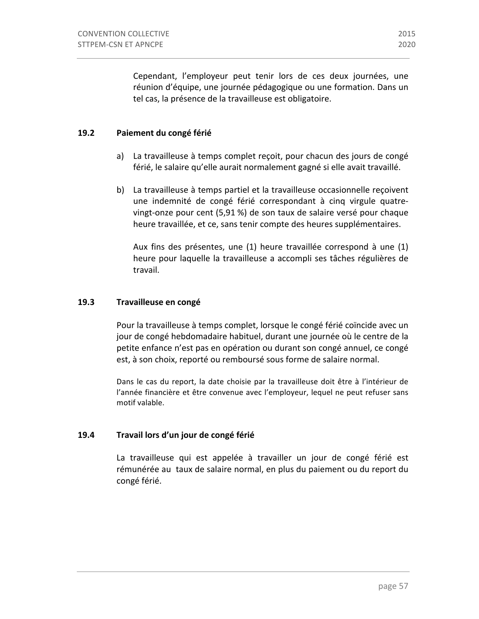Cependant, l'employeur peut tenir lors de ces deux journées, une réunion d'équipe, une journée pédagogique ou une formation. Dans un tel cas, la présence de la travailleuse est obligatoire.

#### 19.2 Paiement du congé férié

- a) La travailleuse à temps complet reçoit, pour chacun des jours de congé férié, le salaire qu'elle aurait normalement gagné si elle avait travaillé.
- b) La travailleuse à temps partiel et la travailleuse occasionnelle reçoivent une indemnité de congé férié correspondant à cinq virgule quatrevingt-onze pour cent (5,91 %) de son taux de salaire versé pour chaque heure travaillée, et ce, sans tenir compte des heures supplémentaires.

Aux fins des présentes, une (1) heure travaillée correspond à une (1) heure pour laquelle la travailleuse a accompli ses tâches régulières de travail.

#### 19.3 Travailleuse en congé

Pour la travailleuse à temps complet, lorsque le congé férié coïncide avec un jour de congé hebdomadaire habituel, durant une journée où le centre de la petite enfance n'est pas en opération ou durant son congé annuel, ce congé est, à son choix, reporté ou remboursé sous forme de salaire normal.

Dans le cas du report, la date choisie par la travailleuse doit être à l'intérieur de l'année financière et être convenue avec l'employeur, lequel ne peut refuser sans motif valable.

#### **19.4 Travail lors d'un jour de congé férié**

La travailleuse qui est appelée à travailler un jour de congé férié est rémunérée au taux de salaire normal, en plus du paiement ou du report du congé férié.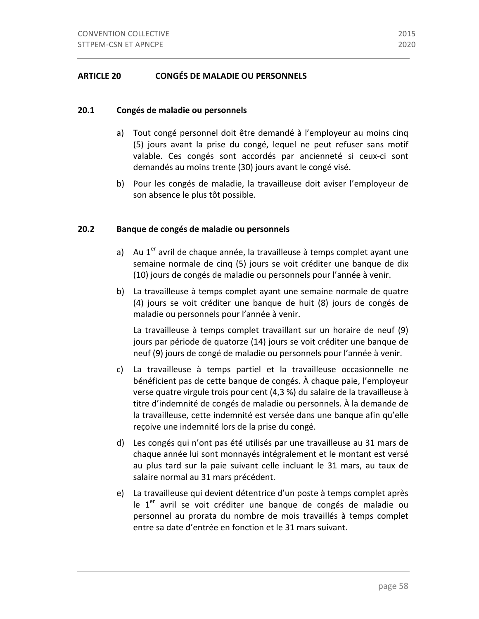### **20.1 Congés de maladie ou personnels**

- a) Tout congé personnel doit être demandé à l'employeur au moins cinq (5) jours avant la prise du congé, lequel ne peut refuser sans motif valable. Ces congés sont accordés par ancienneté si ceux-ci sont demandés au moins trente (30) jours avant le congé visé.
- b) Pour les congés de maladie, la travailleuse doit aviser l'employeur de son absence le plus tôt possible.

### **20.2** Banque de congés de maladie ou personnels

- a) Au  $1<sup>er</sup>$  avril de chaque année, la travailleuse à temps complet ayant une semaine normale de cinq (5) jours se voit créditer une banque de dix (10) jours de congés de maladie ou personnels pour l'année à venir.
- b) La travailleuse à temps complet ayant une semaine normale de quatre (4) jours se voit créditer une banque de huit (8) jours de congés de maladie ou personnels pour l'année à venir.

La travailleuse à temps complet travaillant sur un horaire de neuf (9) jours par période de quatorze (14) jours se voit créditer une banque de neuf (9) jours de congé de maladie ou personnels pour l'année à venir.

- c) La travailleuse à temps partiel et la travailleuse occasionnelle ne bénéficient pas de cette banque de congés. À chaque paie, l'employeur verse quatre virgule trois pour cent (4,3 %) du salaire de la travailleuse à titre d'indemnité de congés de maladie ou personnels. À la demande de la travailleuse, cette indemnité est versée dans une banque afin qu'elle reçoive une indemnité lors de la prise du congé.
- d) Les congés qui n'ont pas été utilisés par une travailleuse au 31 mars de chaque année lui sont monnayés intégralement et le montant est versé au plus tard sur la paie suivant celle incluant le 31 mars, au taux de salaire normal au 31 mars précédent.
- e) La travailleuse qui devient détentrice d'un poste à temps complet après le  $1<sup>er</sup>$  avril se voit créditer une banque de congés de maladie ou personnel au prorata du nombre de mois travaillés à temps complet entre sa date d'entrée en fonction et le 31 mars suivant.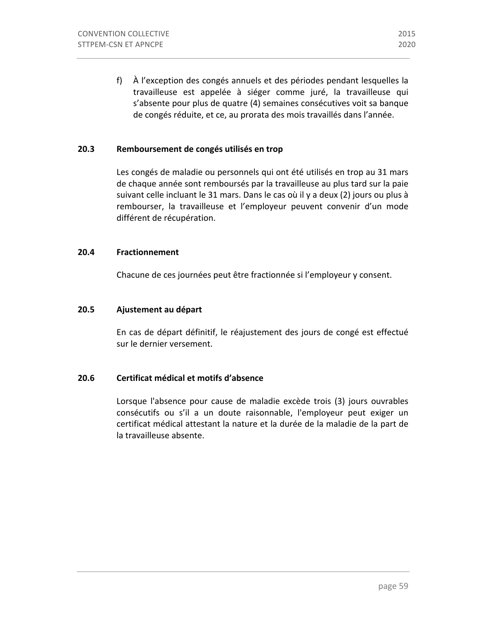f) À l'exception des congés annuels et des périodes pendant lesquelles la travailleuse est appelée à siéger comme juré, la travailleuse qui s'absente pour plus de quatre (4) semaines consécutives voit sa banque de congés réduite, et ce, au prorata des mois travaillés dans l'année.

### **20.3** Remboursement de congés utilisés en trop

Les congés de maladie ou personnels qui ont été utilisés en trop au 31 mars de chaque année sont remboursés par la travailleuse au plus tard sur la paie suivant celle incluant le 31 mars. Dans le cas où il y a deux (2) jours ou plus à rembourser, la travailleuse et l'employeur peuvent convenir d'un mode différent de récupération.

#### **20.4 Fractionnement**

Chacune de ces journées peut être fractionnée si l'employeur y consent.

### **20.5 Ajustement au départ**

En cas de départ définitif, le réajustement des jours de congé est effectué sur le dernier versement.

### **20.6 Certificat médical et motifs d'absence**

Lorsque l'absence pour cause de maladie excède trois (3) jours ouvrables consécutifs ou s'il a un doute raisonnable, l'employeur peut exiger un certificat médical attestant la nature et la durée de la maladie de la part de la travailleuse absente.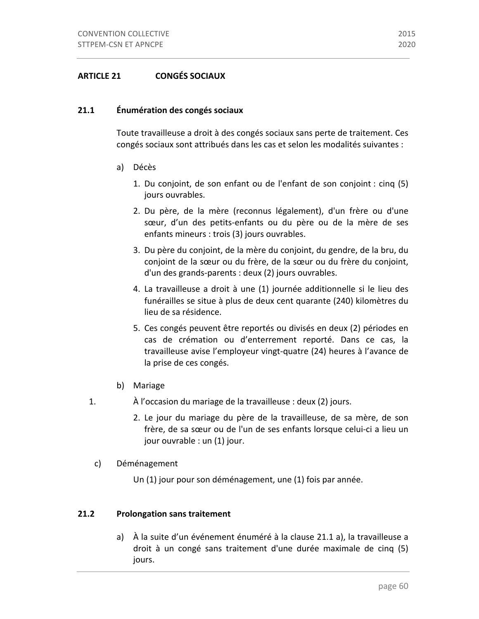### **21.1 Énumération des congés sociaux**

Toute travailleuse a droit à des congés sociaux sans perte de traitement. Ces congés sociaux sont attribués dans les cas et selon les modalités suivantes :

- a) Décès
	- 1. Du conjoint, de son enfant ou de l'enfant de son conjoint : cinq  $(5)$ jours ouvrables.
	- 2. Du père, de la mère (reconnus légalement), d'un frère ou d'une sœur, d'un des petits-enfants ou du père ou de la mère de ses enfants mineurs : trois (3) jours ouvrables.
	- 3. Du père du conjoint, de la mère du conjoint, du gendre, de la bru, du conjoint de la sœur ou du frère, de la sœur ou du frère du conjoint, d'un des grands-parents : deux (2) jours ouvrables.
	- 4. La travailleuse a droit à une (1) journée additionnelle si le lieu des funérailles se situe à plus de deux cent quarante (240) kilomètres du lieu de sa résidence.
	- 5. Ces congés peuvent être reportés ou divisés en deux (2) périodes en cas de crémation ou d'enterrement reporté. Dans ce cas, la travailleuse avise l'employeur vingt-quatre (24) heures à l'avance de la prise de ces congés.
- b) Mariage
- 1.  $\hat{A}$  l'occasion du mariage de la travailleuse : deux (2) jours.
	- 2. Le jour du mariage du père de la travailleuse, de sa mère, de son frère, de sa sœur ou de l'un de ses enfants lorsque celui-ci a lieu un jour ouvrable : un (1) jour.
	- c) Déménagement
		- Un (1) jour pour son déménagement, une (1) fois par année.

#### **21.2** Prolongation sans traitement

a) À la suite d'un événement énuméré à la clause 21.1 a), la travailleuse a droit à un congé sans traitement d'une durée maximale de cinq (5) jours.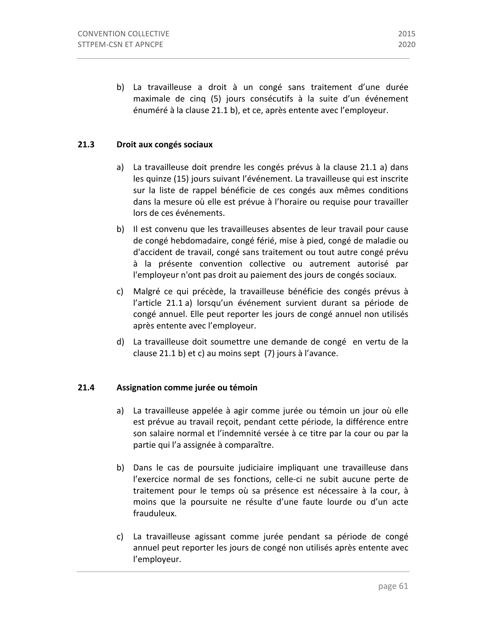## **21.3 Droit aux congés sociaux**

- a) La travailleuse doit prendre les congés prévus à la clause 21.1 a) dans les quinze (15) jours suivant l'événement. La travailleuse qui est inscrite sur la liste de rappel bénéficie de ces congés aux mêmes conditions dans la mesure où elle est prévue à l'horaire ou requise pour travailler lors de ces événements.
- b) Il est convenu que les travailleuses absentes de leur travail pour cause de congé hebdomadaire, congé férié, mise à pied, congé de maladie ou d'accident de travail, congé sans traitement ou tout autre congé prévu à la présente convention collective ou autrement autorisé par l'employeur n'ont pas droit au paiement des jours de congés sociaux.
- c) Malgré ce qui précède, la travailleuse bénéficie des congés prévus à l'article 21.1 a) lorsqu'un événement survient durant sa période de congé annuel. Elle peut reporter les jours de congé annuel non utilisés après entente avec l'employeur.
- d) La travailleuse doit soumettre une demande de congé en vertu de la clause  $21.1$  b) et c) au moins sept  $(7)$  jours à l'avance.

### **21.4 Assignation comme jurée ou témoin**

- a) La travailleuse appelée à agir comme jurée ou témoin un jour où elle est prévue au travail reçoit, pendant cette période, la différence entre son salaire normal et l'indemnité versée à ce titre par la cour ou par la partie qui l'a assignée à comparaître.
- b) Dans le cas de poursuite judiciaire impliquant une travailleuse dans l'exercice normal de ses fonctions, celle-ci ne subit aucune perte de traitement pour le temps où sa présence est nécessaire à la cour, à moins que la poursuite ne résulte d'une faute lourde ou d'un acte frauduleux.
- c) La travailleuse agissant comme jurée pendant sa période de congé annuel peut reporter les jours de congé non utilisés après entente avec l'employeur.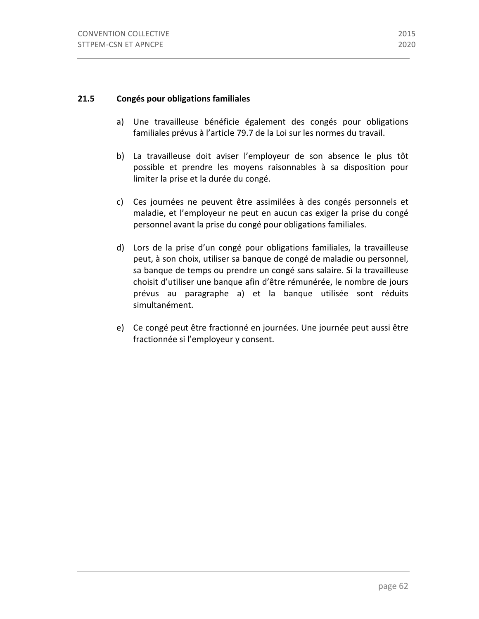#### **21.5 Congés pour obligations familiales**

- a) Une travailleuse bénéficie également des congés pour obligations familiales prévus à l'article 79.7 de la Loi sur les normes du travail.
- b) La travailleuse doit aviser l'employeur de son absence le plus tôt possible et prendre les moyens raisonnables à sa disposition pour limiter la prise et la durée du congé.
- c) Ces journées ne peuvent être assimilées à des congés personnels et maladie, et l'employeur ne peut en aucun cas exiger la prise du congé personnel avant la prise du congé pour obligations familiales.
- d) Lors de la prise d'un congé pour obligations familiales, la travailleuse peut, à son choix, utiliser sa banque de congé de maladie ou personnel, sa banque de temps ou prendre un congé sans salaire. Si la travailleuse choisit d'utiliser une banque afin d'être rémunérée, le nombre de jours prévus au paragraphe a) et la banque utilisée sont réduits simultanément.
- e) Ce congé peut être fractionné en journées. Une journée peut aussi être fractionnée si l'employeur y consent.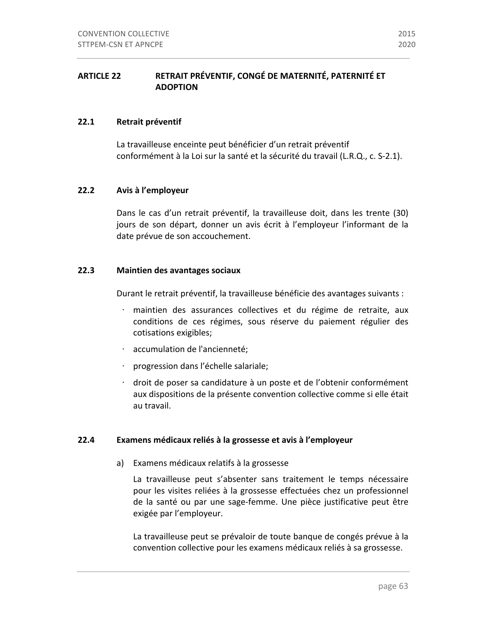# ARTICLE 22 RETRAIT PRÉVENTIF, CONGÉ DE MATERNITÉ, PATERNITÉ ET **ADOPTION**

#### **22.1** Retrait préventif

La travailleuse enceinte peut bénéficier d'un retrait préventif conformément à la Loi sur la santé et la sécurité du travail (L.R.Q., c. S-2.1).

### **22.2 Avis à l'employeur**

Dans le cas d'un retrait préventif, la travailleuse doit, dans les trente (30) jours de son départ, donner un avis écrit à l'employeur l'informant de la date prévue de son accouchement.

### **22.3 Maintien des avantages sociaux**

Durant le retrait préventif, la travailleuse bénéficie des avantages suivants :

- maintien des assurances collectives et du régime de retraite, aux conditions de ces régimes, sous réserve du paiement régulier des cotisations exigibles;
- ⋅ accumulation de l'ancienneté;
- ⋅ progression dans l'échelle salariale;
- · droit de poser sa candidature à un poste et de l'obtenir conformément aux dispositions de la présente convention collective comme si elle était au travail.

#### **22.4 Examens médicaux reliés à la grossesse et avis à l'employeur**

a) Examens médicaux relatifs à la grossesse

La travailleuse peut s'absenter sans traitement le temps nécessaire pour les visites reliées à la grossesse effectuées chez un professionnel de la santé ou par une sage-femme. Une pièce justificative peut être exigée par l'employeur.

La travailleuse peut se prévaloir de toute banque de congés prévue à la convention collective pour les examens médicaux reliés à sa grossesse.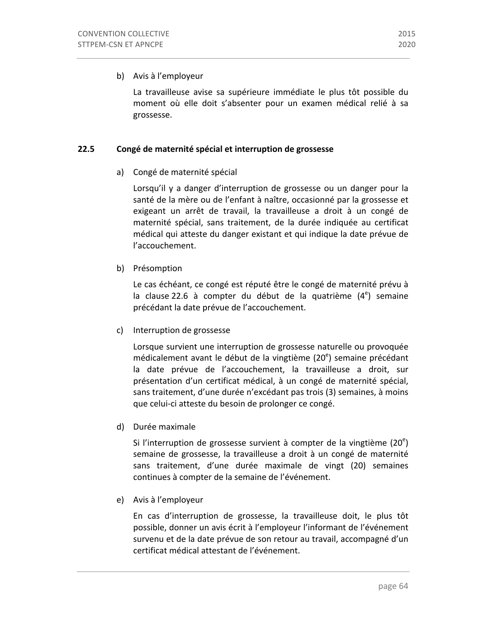## b) Avis à l'employeur

La travailleuse avise sa supérieure immédiate le plus tôt possible du moment où elle doit s'absenter pour un examen médical relié à sa grossesse.

### **22.5 Congé de maternité spécial et interruption de grossesse**

# a) Congé de maternité spécial

Lorsqu'il y a danger d'interruption de grossesse ou un danger pour la santé de la mère ou de l'enfant à naître, occasionné par la grossesse et exigeant un arrêt de travail, la travailleuse a droit à un congé de maternité spécial, sans traitement, de la durée indiquée au certificat médical qui atteste du danger existant et qui indique la date prévue de l'accouchement.

b) Présomption

Le cas échéant, ce congé est réputé être le congé de maternité prévu à la clause 22.6 à compter du début de la quatrième  $(4^e)$  semaine précédant la date prévue de l'accouchement.

c) Interruption de grossesse

Lorsque survient une interruption de grossesse naturelle ou provoquée médicalement avant le début de la vingtième (20<sup>e</sup>) semaine précédant la date prévue de l'accouchement, la travailleuse a droit, sur présentation d'un certificat médical, à un congé de maternité spécial, sans traitement, d'une durée n'excédant pas trois (3) semaines, à moins que celui-ci atteste du besoin de prolonger ce congé.

d) Durée maximale

Si l'interruption de grossesse survient à compter de la vingtième (20<sup>e</sup>) semaine de grossesse, la travailleuse a droit à un congé de maternité sans traitement, d'une durée maximale de vingt (20) semaines continues à compter de la semaine de l'événement.

e) Avis à l'employeur

En cas d'interruption de grossesse, la travailleuse doit, le plus tôt possible, donner un avis écrit à l'employeur l'informant de l'événement survenu et de la date prévue de son retour au travail, accompagné d'un certificat médical attestant de l'événement.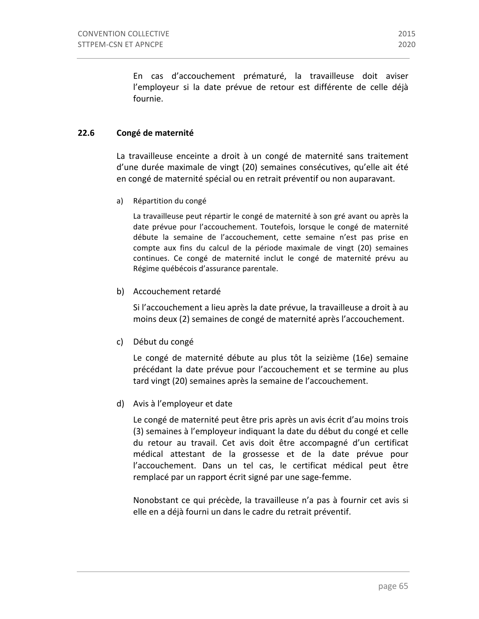En cas d'accouchement prématuré, la travailleuse doit aviser l'employeur si la date prévue de retour est différente de celle déjà fournie.

# **22.6 Congé de maternité**

La travailleuse enceinte a droit à un congé de maternité sans traitement d'une durée maximale de vingt (20) semaines consécutives, qu'elle ait été en congé de maternité spécial ou en retrait préventif ou non auparavant.

a) Répartition du congé

La travailleuse peut répartir le congé de maternité à son gré avant ou après la date prévue pour l'accouchement. Toutefois, lorsque le congé de maternité débute la semaine de l'accouchement, cette semaine n'est pas prise en compte aux fins du calcul de la période maximale de vingt (20) semaines continues. Ce congé de maternité inclut le congé de maternité prévu au Régime québécois d'assurance parentale.

b) Accouchement retardé

Si l'accouchement a lieu après la date prévue, la travailleuse a droit à au moins deux (2) semaines de congé de maternité après l'accouchement.

c) Début du congé

Le congé de maternité débute au plus tôt la seizième (16e) semaine précédant la date prévue pour l'accouchement et se termine au plus tard vingt (20) semaines après la semaine de l'accouchement.

#### d) Avis à l'employeur et date

Le congé de maternité peut être pris après un avis écrit d'au moins trois (3) semaines à l'employeur indiquant la date du début du congé et celle du retour au travail. Cet avis doit être accompagné d'un certificat médical attestant de la grossesse et de la date prévue pour l'accouchement. Dans un tel cas, le certificat médical peut être remplacé par un rapport écrit signé par une sage-femme.

Nonobstant ce qui précède, la travailleuse n'a pas à fournir cet avis si elle en a déjà fourni un dans le cadre du retrait préventif.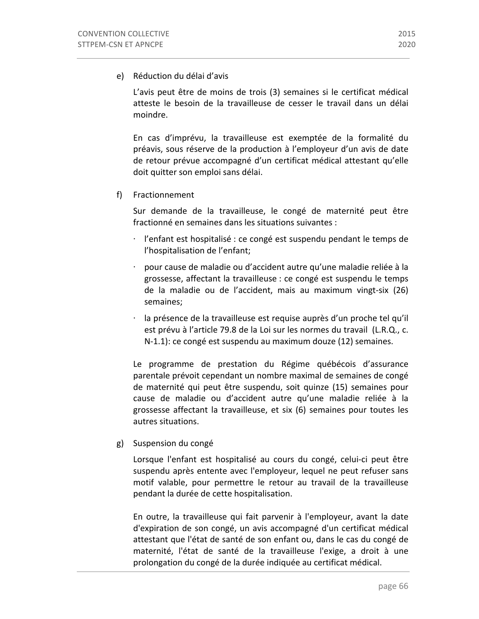e) Réduction du délai d'avis

L'avis peut être de moins de trois (3) semaines si le certificat médical atteste le besoin de la travailleuse de cesser le travail dans un délai moindre.

En cas d'imprévu, la travailleuse est exemptée de la formalité du préavis, sous réserve de la production à l'employeur d'un avis de date de retour prévue accompagné d'un certificat médical attestant qu'elle doit quitter son emploi sans délai.

# f) Fractionnement

Sur demande de la travailleuse, le congé de maternité peut être fractionné en semaines dans les situations suivantes :

- · l'enfant est hospitalisé : ce congé est suspendu pendant le temps de l'hospitalisation de l'enfant;
- $\cdot$  pour cause de maladie ou d'accident autre qu'une maladie reliée à la grossesse, affectant la travailleuse : ce congé est suspendu le temps de la maladie ou de l'accident, mais au maximum vingt-six (26) semaines;
- $\cdot$  la présence de la travailleuse est requise auprès d'un proche tel qu'il est prévu à l'article 79.8 de la Loi sur les normes du travail (L.R.Q., c. N-1.1): ce congé est suspendu au maximum douze (12) semaines.

Le programme de prestation du Régime québécois d'assurance parentale prévoit cependant un nombre maximal de semaines de congé de maternité qui peut être suspendu, soit quinze (15) semaines pour cause de maladie ou d'accident autre qu'une maladie reliée à la grossesse affectant la travailleuse, et six (6) semaines pour toutes les autres situations.

# g) Suspension du congé

Lorsque l'enfant est hospitalisé au cours du congé, celui-ci peut être suspendu après entente avec l'employeur, lequel ne peut refuser sans motif valable, pour permettre le retour au travail de la travailleuse pendant la durée de cette hospitalisation.

En outre, la travailleuse qui fait parvenir à l'employeur, avant la date d'expiration de son congé, un avis accompagné d'un certificat médical attestant que l'état de santé de son enfant ou, dans le cas du congé de maternité, l'état de santé de la travailleuse l'exige, a droit à une prolongation du congé de la durée indiquée au certificat médical.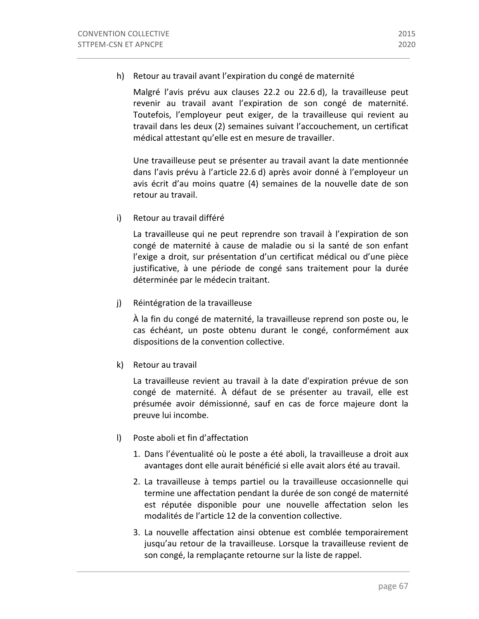h) Retour au travail avant l'expiration du congé de maternité

Malgré l'avis prévu aux clauses 22.2 ou 22.6 d), la travailleuse peut revenir au travail avant l'expiration de son congé de maternité. Toutefois, l'employeur peut exiger, de la travailleuse qui revient au travail dans les deux (2) semaines suivant l'accouchement, un certificat médical attestant qu'elle est en mesure de travailler.

Une travailleuse peut se présenter au travail avant la date mentionnée dans l'avis prévu à l'article 22.6 d) après avoir donné à l'employeur un avis écrit d'au moins quatre (4) semaines de la nouvelle date de son retour au travail.

i) Retour au travail différé

La travailleuse qui ne peut reprendre son travail à l'expiration de son congé de maternité à cause de maladie ou si la santé de son enfant l'exige a droit, sur présentation d'un certificat médical ou d'une pièce justificative, à une période de congé sans traitement pour la durée déterminée par le médecin traitant.

j) Réintégration de la travailleuse

À la fin du congé de maternité, la travailleuse reprend son poste ou, le cas échéant, un poste obtenu durant le congé, conformément aux dispositions de la convention collective.

k) Retour au travail

La travailleuse revient au travail à la date d'expiration prévue de son congé de maternité. À défaut de se présenter au travail, elle est présumée avoir démissionné, sauf en cas de force majeure dont la preuve lui incombe.

- l) Poste aboli et fin d'affectation
	- 1. Dans l'éventualité où le poste a été aboli, la travailleuse a droit aux avantages dont elle aurait bénéficié si elle avait alors été au travail.
	- 2. La travailleuse à temps partiel ou la travailleuse occasionnelle qui termine une affectation pendant la durée de son congé de maternité est réputée disponible pour une nouvelle affectation selon les modalités de l'article 12 de la convention collective.
	- 3. La nouvelle affectation ainsi obtenue est comblée temporairement jusqu'au retour de la travailleuse. Lorsque la travailleuse revient de son congé, la remplaçante retourne sur la liste de rappel.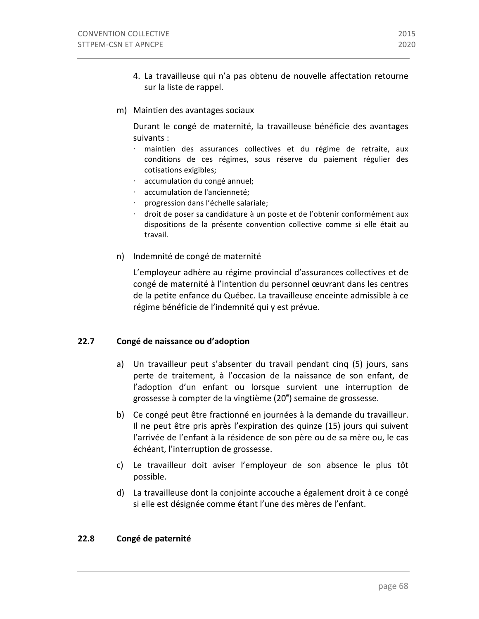- 4. La travailleuse qui n'a pas obtenu de nouvelle affectation retourne sur la liste de rappel.
- m) Maintien des avantages sociaux

Durant le congé de maternité, la travailleuse bénéficie des avantages suivants :

- maintien des assurances collectives et du régime de retraite, aux conditions de ces régimes, sous réserve du paiement régulier des cotisations exigibles;
- accumulation du congé annuel;
- accumulation de l'ancienneté;
- progression dans l'échelle salariale;
- droit de poser sa candidature à un poste et de l'obtenir conformément aux dispositions de la présente convention collective comme si elle était au travail.
- n) Indemnité de congé de maternité

L'employeur adhère au régime provincial d'assurances collectives et de congé de maternité à l'intention du personnel œuvrant dans les centres de la petite enfance du Québec. La travailleuse enceinte admissible à ce régime bénéficie de l'indemnité qui y est prévue.

#### **22.7 Congé de naissance ou d'adoption**

- a) Un travailleur peut s'absenter du travail pendant cinq (5) jours, sans perte de traitement, à l'occasion de la naissance de son enfant, de l'adoption d'un enfant ou lorsque survient une interruption de grossesse à compter de la vingtième (20<sup>e</sup>) semaine de grossesse.
- b) Ce congé peut être fractionné en journées à la demande du travailleur. Il ne peut être pris après l'expiration des quinze (15) jours qui suivent l'arrivée de l'enfant à la résidence de son père ou de sa mère ou, le cas échéant, l'interruption de grossesse.
- c) Le travailleur doit aviser l'employeur de son absence le plus tôt possible.
- d) La travailleuse dont la conjointe accouche a également droit à ce congé si elle est désignée comme étant l'une des mères de l'enfant.

#### **22.8 Congé de paternité**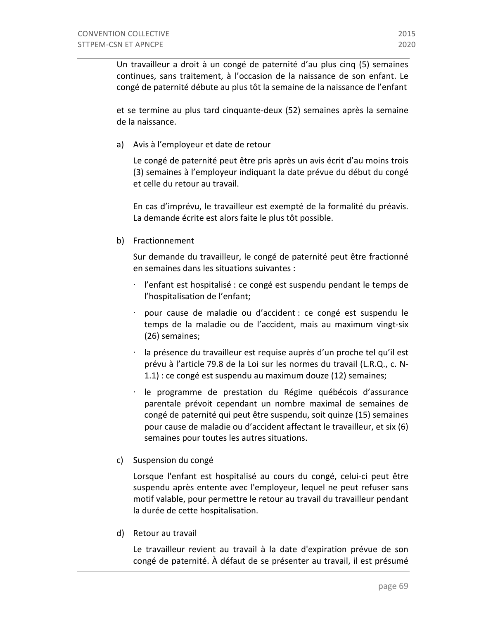Un travailleur a droit à un congé de paternité d'au plus cinq (5) semaines continues, sans traitement, à l'occasion de la naissance de son enfant. Le congé de paternité débute au plus tôt la semaine de la naissance de l'enfant

et se termine au plus tard cinquante-deux (52) semaines après la semaine de la naissance.

a) Avis à l'employeur et date de retour

Le congé de paternité peut être pris après un avis écrit d'au moins trois (3) semaines à l'employeur indiquant la date prévue du début du congé et celle du retour au travail.

En cas d'imprévu, le travailleur est exempté de la formalité du préavis. La demande écrite est alors faite le plus tôt possible.

b) Fractionnement

Sur demande du travailleur, le congé de paternité peut être fractionné en semaines dans les situations suivantes :

- $\cdot$  l'enfant est hospitalisé : ce congé est suspendu pendant le temps de l'hospitalisation de l'enfant;
- pour cause de maladie ou d'accident : ce congé est suspendu le temps de la maladie ou de l'accident, mais au maximum vingt-six (26) semaines;
- la présence du travailleur est requise auprès d'un proche tel qu'il est prévu à l'article 79.8 de la Loi sur les normes du travail (L.R.Q., c. N- $1.1$ ) : ce congé est suspendu au maximum douze  $(12)$  semaines;
- $\cdot$  le programme de prestation du Régime québécois d'assurance parentale prévoit cependant un nombre maximal de semaines de congé de paternité qui peut être suspendu, soit quinze (15) semaines pour cause de maladie ou d'accident affectant le travailleur, et six (6) semaines pour toutes les autres situations.
- c) Suspension du congé

Lorsque l'enfant est hospitalisé au cours du congé, celui-ci peut être suspendu après entente avec l'employeur, lequel ne peut refuser sans motif valable, pour permettre le retour au travail du travailleur pendant la durée de cette hospitalisation.

d) Retour au travail

Le travailleur revient au travail à la date d'expiration prévue de son congé de paternité. À défaut de se présenter au travail, il est présumé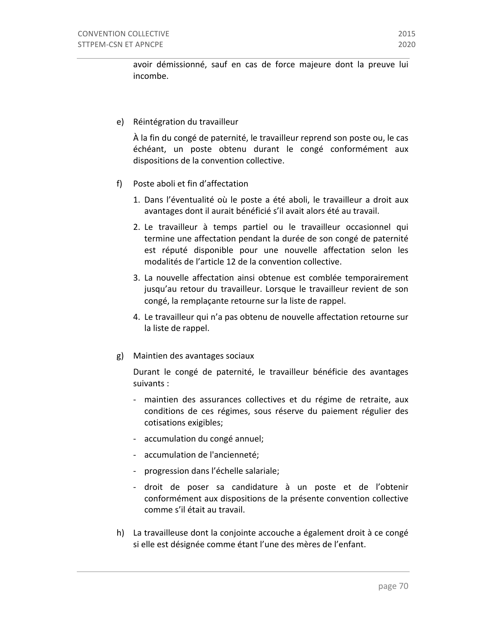avoir démissionné, sauf en cas de force majeure dont la preuve lui incombe.

e) Réintégration du travailleur

À la fin du congé de paternité, le travailleur reprend son poste ou, le cas échéant, un poste obtenu durant le congé conformément aux dispositions de la convention collective.

- f) Poste aboli et fin d'affectation
	- 1. Dans l'éventualité où le poste a été aboli, le travailleur a droit aux avantages dont il aurait bénéficié s'il avait alors été au travail.
	- 2. Le travailleur à temps partiel ou le travailleur occasionnel qui termine une affectation pendant la durée de son congé de paternité est réputé disponible pour une nouvelle affectation selon les modalités de l'article 12 de la convention collective.
	- 3. La nouvelle affectation ainsi obtenue est comblée temporairement jusqu'au retour du travailleur. Lorsque le travailleur revient de son congé, la remplaçante retourne sur la liste de rappel.
	- 4. Le travailleur qui n'a pas obtenu de nouvelle affectation retourne sur la liste de rappel.
- g) Maintien des avantages sociaux

Durant le congé de paternité, le travailleur bénéficie des avantages suivants :

- maintien des assurances collectives et du régime de retraite, aux conditions de ces régimes, sous réserve du paiement régulier des cotisations exigibles;
- accumulation du congé annuel;
- accumulation de l'ancienneté;
- progression dans l'échelle salariale;
- droit de poser sa candidature à un poste et de l'obtenir conformément aux dispositions de la présente convention collective comme s'il était au travail.
- h) La travailleuse dont la conjointe accouche a également droit à ce congé si elle est désignée comme étant l'une des mères de l'enfant.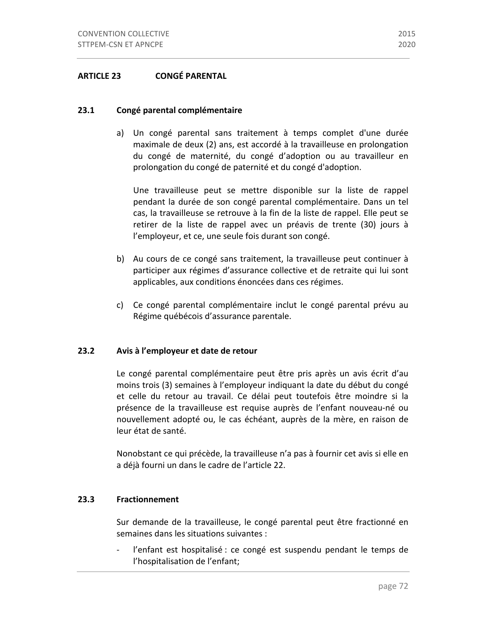# **ARTICLE 23 CONGÉ PARENTAL**

#### **23.1 Congé parental complémentaire**

a) Un congé parental sans traitement à temps complet d'une durée maximale de deux (2) ans, est accordé à la travailleuse en prolongation du congé de maternité, du congé d'adoption ou au travailleur en prolongation du congé de paternité et du congé d'adoption.

Une travailleuse peut se mettre disponible sur la liste de rappel pendant la durée de son congé parental complémentaire. Dans un tel cas, la travailleuse se retrouve à la fin de la liste de rappel. Elle peut se retirer de la liste de rappel avec un préavis de trente (30) jours à l'employeur, et ce, une seule fois durant son congé.

- b) Au cours de ce congé sans traitement, la travailleuse peut continuer à participer aux régimes d'assurance collective et de retraite qui lui sont applicables, aux conditions énoncées dans ces régimes.
- c) Ce congé parental complémentaire inclut le congé parental prévu au Régime québécois d'assurance parentale.

#### **23.2 Avis à l'employeur et date de retour**

Le congé parental complémentaire peut être pris après un avis écrit d'au moins trois (3) semaines à l'employeur indiquant la date du début du congé et celle du retour au travail. Ce délai peut toutefois être moindre si la présence de la travailleuse est requise auprès de l'enfant nouveau-né ou nouvellement adopté ou, le cas échéant, auprès de la mère, en raison de leur état de santé.

Nonobstant ce qui précède, la travailleuse n'a pas à fournir cet avis si elle en a déjà fourni un dans le cadre de l'article 22.

#### **23.3 Fractionnement**

Sur demande de la travailleuse, le congé parental peut être fractionné en semaines dans les situations suivantes :

- l'enfant est hospitalisé : ce congé est suspendu pendant le temps de l'hospitalisation de l'enfant;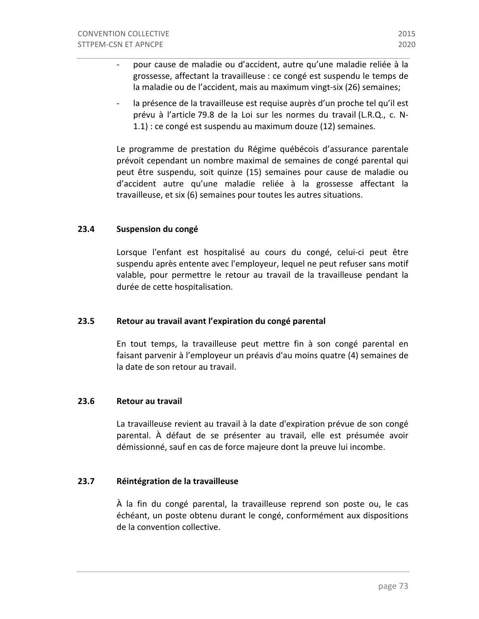- pour cause de maladie ou d'accident, autre qu'une maladie reliée à la grossesse, affectant la travailleuse : ce congé est suspendu le temps de la maladie ou de l'accident, mais au maximum vingt-six (26) semaines;
- la présence de la travailleuse est requise auprès d'un proche tel qu'il est prévu à l'article 79.8 de la Loi sur les normes du travail (L.R.Q., c. N-1.1) : ce congé est suspendu au maximum douze (12) semaines.

Le programme de prestation du Régime québécois d'assurance parentale prévoit cependant un nombre maximal de semaines de congé parental qui peut être suspendu, soit quinze (15) semaines pour cause de maladie ou d'accident autre qu'une maladie reliée à la grossesse affectant la travailleuse, et six (6) semaines pour toutes les autres situations.

#### **23.4 Suspension du congé**

Lorsque l'enfant est hospitalisé au cours du congé, celui-ci peut être suspendu après entente avec l'employeur, lequel ne peut refuser sans motif valable, pour permettre le retour au travail de la travailleuse pendant la durée de cette hospitalisation.

#### **23.5** Retour au travail avant l'expiration du congé parental

En tout temps, la travailleuse peut mettre fin à son congé parental en faisant parvenir à l'employeur un préavis d'au moins quatre (4) semaines de la date de son retour au travail.

#### **23.6 Retour au travail**

La travailleuse revient au travail à la date d'expiration prévue de son congé parental. À défaut de se présenter au travail, elle est présumée avoir démissionné, sauf en cas de force majeure dont la preuve lui incombe.

# **23.7 Réintégration de la travailleuse**

À la fin du congé parental, la travailleuse reprend son poste ou, le cas échéant, un poste obtenu durant le congé, conformément aux dispositions de la convention collective.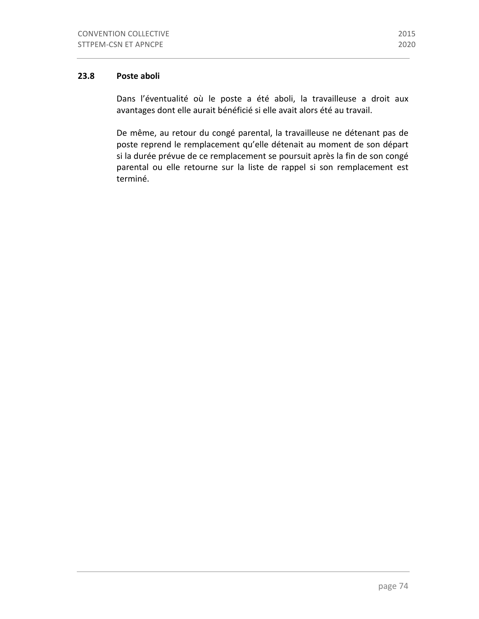# 23.8 **Poste aboli**

Dans l'éventualité où le poste a été aboli, la travailleuse a droit aux avantages dont elle aurait bénéficié si elle avait alors été au travail.

De même, au retour du congé parental, la travailleuse ne détenant pas de poste reprend le remplacement qu'elle détenait au moment de son départ si la durée prévue de ce remplacement se poursuit après la fin de son congé parental ou elle retourne sur la liste de rappel si son remplacement est terminé.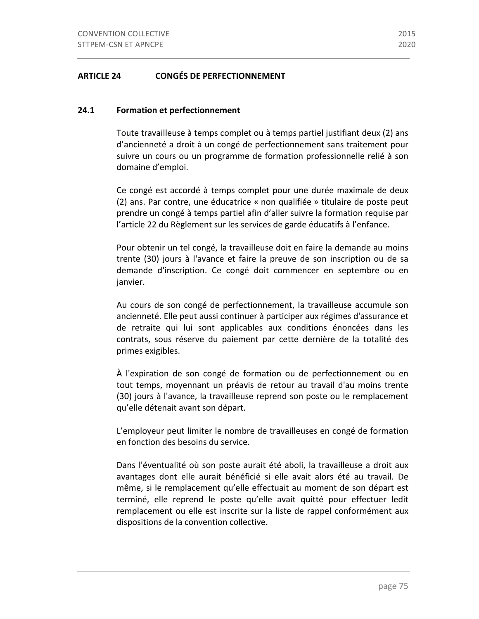#### **24.1 Formation et perfectionnement**

Toute travailleuse à temps complet ou à temps partiel justifiant deux (2) ans d'ancienneté a droit à un congé de perfectionnement sans traitement pour suivre un cours ou un programme de formation professionnelle relié à son domaine d'emploi.

Ce congé est accordé à temps complet pour une durée maximale de deux (2) ans. Par contre, une éducatrice « non qualifiée » titulaire de poste peut prendre un congé à temps partiel afin d'aller suivre la formation requise par l'article 22 du Règlement sur les services de garde éducatifs à l'enfance.

Pour obtenir un tel congé, la travailleuse doit en faire la demande au moins trente (30) jours à l'avance et faire la preuve de son inscription ou de sa demande d'inscription. Ce congé doit commencer en septembre ou en janvier.

Au cours de son congé de perfectionnement, la travailleuse accumule son ancienneté. Elle peut aussi continuer à participer aux régimes d'assurance et de retraite qui lui sont applicables aux conditions énoncées dans les contrats, sous réserve du paiement par cette dernière de la totalité des primes exigibles.

À l'expiration de son congé de formation ou de perfectionnement ou en tout temps, moyennant un préavis de retour au travail d'au moins trente (30) jours à l'avance, la travailleuse reprend son poste ou le remplacement qu'elle détenait avant son départ.

L'employeur peut limiter le nombre de travailleuses en congé de formation en fonction des besoins du service.

Dans l'éventualité où son poste aurait été aboli, la travailleuse a droit aux avantages dont elle aurait bénéficié si elle avait alors été au travail. De même, si le remplacement qu'elle effectuait au moment de son départ est terminé, elle reprend le poste qu'elle avait quitté pour effectuer ledit remplacement ou elle est inscrite sur la liste de rappel conformément aux dispositions de la convention collective.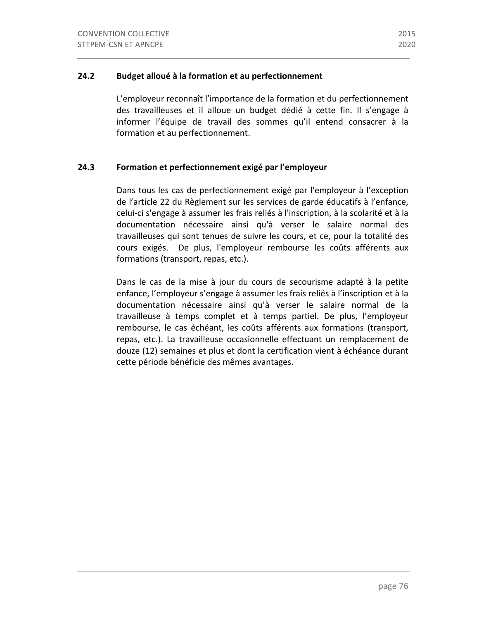# **24.2 Budget alloué à la formation et au perfectionnement**

L'employeur reconnaît l'importance de la formation et du perfectionnement des travailleuses et il alloue un budget dédié à cette fin. Il s'engage à informer l'équipe de travail des sommes qu'il entend consacrer à la formation et au perfectionnement.

# 24.3 Formation et perfectionnement exigé par l'employeur

Dans tous les cas de perfectionnement exigé par l'employeur à l'exception de l'article 22 du Règlement sur les services de garde éducatifs à l'enfance, celui-ci s'engage à assumer les frais reliés à l'inscription, à la scolarité et à la documentation nécessaire ainsi qu'à verser le salaire normal des travailleuses qui sont tenues de suivre les cours, et ce, pour la totalité des cours exigés. De plus, l'employeur rembourse les coûts afférents aux formations (transport, repas, etc.).

Dans le cas de la mise à jour du cours de secourisme adapté à la petite enfance, l'employeur s'engage à assumer les frais reliés à l'inscription et à la documentation nécessaire ainsi qu'à verser le salaire normal de la travailleuse à temps complet et à temps partiel. De plus, l'employeur rembourse, le cas échéant, les coûts afférents aux formations (transport, repas, etc.). La travailleuse occasionnelle effectuant un remplacement de douze (12) semaines et plus et dont la certification vient à échéance durant cette période bénéficie des mêmes avantages.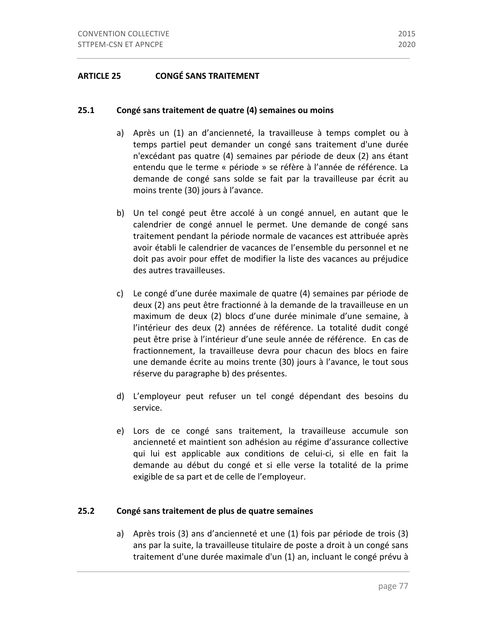# **ARTICLE 25 CONGÉ SANS TRAITEMENT**

#### **25.1** Congé sans traitement de quatre (4) semaines ou moins

- a) Après un (1) an d'ancienneté, la travailleuse à temps complet ou à temps partiel peut demander un congé sans traitement d'une durée n'excédant pas quatre (4) semaines par période de deux (2) ans étant entendu que le terme « période » se réfère à l'année de référence. La demande de congé sans solde se fait par la travailleuse par écrit au moins trente (30) jours à l'avance.
- b) Un tel congé peut être accolé à un congé annuel, en autant que le calendrier de congé annuel le permet. Une demande de congé sans traitement pendant la période normale de vacances est attribuée après avoir établi le calendrier de vacances de l'ensemble du personnel et ne doit pas avoir pour effet de modifier la liste des vacances au préjudice des autres travailleuses.
- c) Le congé d'une durée maximale de quatre (4) semaines par période de deux (2) ans peut être fractionné à la demande de la travailleuse en un maximum de deux (2) blocs d'une durée minimale d'une semaine, à l'intérieur des deux (2) années de référence. La totalité dudit congé peut être prise à l'intérieur d'une seule année de référence. En cas de fractionnement, la travailleuse devra pour chacun des blocs en faire une demande écrite au moins trente (30) jours à l'avance, le tout sous réserve du paragraphe b) des présentes.
- d) L'employeur peut refuser un tel congé dépendant des besoins du service.
- e) Lors de ce congé sans traitement, la travailleuse accumule son ancienneté et maintient son adhésion au régime d'assurance collective qui lui est applicable aux conditions de celui-ci, si elle en fait la demande au début du congé et si elle verse la totalité de la prime exigible de sa part et de celle de l'employeur.

#### **25.2 Congé sans traitement de plus de quatre semaines**

a) Après trois (3) ans d'ancienneté et une (1) fois par période de trois (3) ans par la suite, la travailleuse titulaire de poste a droit à un congé sans traitement d'une durée maximale d'un (1) an, incluant le congé prévu à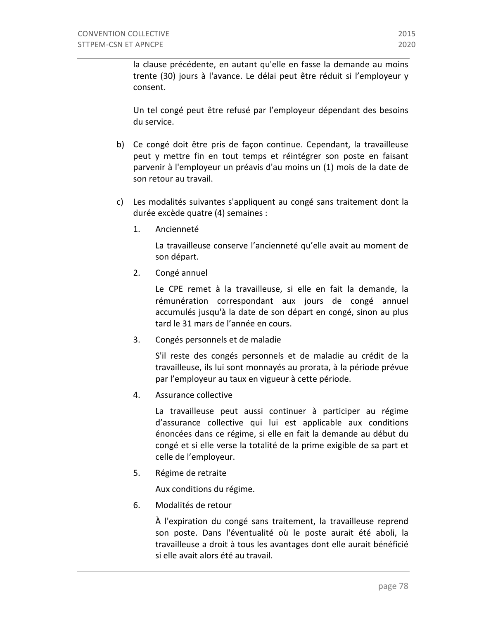la clause précédente, en autant qu'elle en fasse la demande au moins trente (30) jours à l'avance. Le délai peut être réduit si l'employeur y consent.

Un tel congé peut être refusé par l'employeur dépendant des besoins du service.

- b) Ce congé doit être pris de façon continue. Cependant, la travailleuse peut y mettre fin en tout temps et réintégrer son poste en faisant parvenir à l'employeur un préavis d'au moins un (1) mois de la date de son retour au travail.
- c) Les modalités suivantes s'appliquent au congé sans traitement dont la durée excède quatre (4) semaines :
	- 1. Ancienneté

La travailleuse conserve l'ancienneté qu'elle avait au moment de son départ.

2. Congé annuel

Le CPE remet à la travailleuse, si elle en fait la demande, la rémunération correspondant aux jours de congé annuel accumulés jusqu'à la date de son départ en congé, sinon au plus tard le 31 mars de l'année en cours.

3. Congés personnels et de maladie

S'il reste des congés personnels et de maladie au crédit de la travailleuse, ils lui sont monnayés au prorata, à la période prévue par l'employeur au taux en vigueur à cette période.

4. Assurance collective

La travailleuse peut aussi continuer à participer au régime d'assurance collective qui lui est applicable aux conditions énoncées dans ce régime, si elle en fait la demande au début du congé et si elle verse la totalité de la prime exigible de sa part et celle de l'employeur.

5. Régime de retraite

Aux conditions du régime.

6. Modalités de retour

À l'expiration du congé sans traitement, la travailleuse reprend son poste. Dans l'éventualité où le poste aurait été aboli, la travailleuse a droit à tous les avantages dont elle aurait bénéficié si elle avait alors été au travail.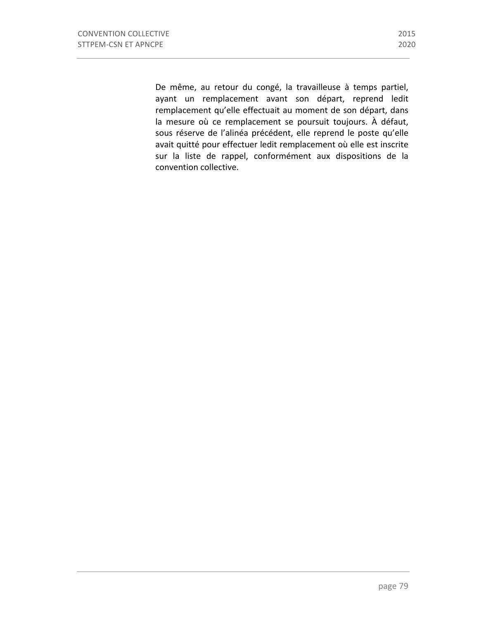De même, au retour du congé, la travailleuse à temps partiel, ayant un remplacement avant son départ, reprend ledit remplacement qu'elle effectuait au moment de son départ, dans la mesure où ce remplacement se poursuit toujours. À défaut, sous réserve de l'alinéa précédent, elle reprend le poste qu'elle avait quitté pour effectuer ledit remplacement où elle est inscrite sur la liste de rappel, conformément aux dispositions de la convention collective.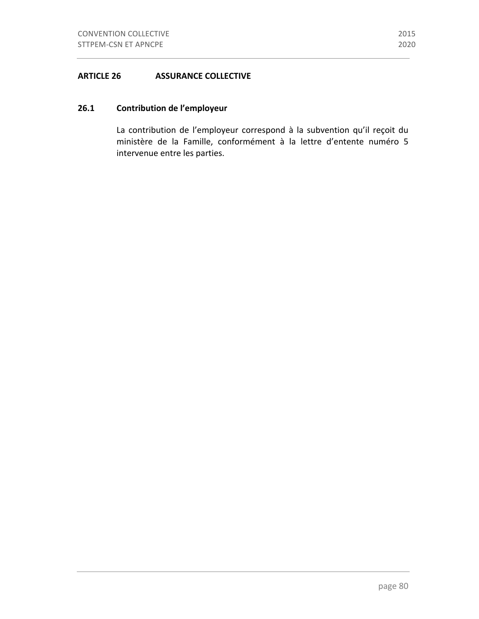#### **ARTICLE 26 ASSURANCE COLLECTIVE**

# **26.1 Contribution de l'employeur**

La contribution de l'employeur correspond à la subvention qu'il reçoit du ministère de la Famille, conformément à la lettre d'entente numéro 5 intervenue entre les parties.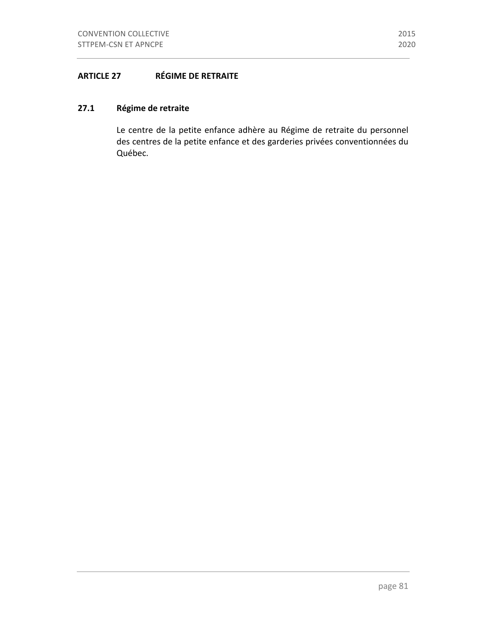# 27.1 Régime de retraite

Le centre de la petite enfance adhère au Régime de retraite du personnel des centres de la petite enfance et des garderies privées conventionnées du Québec.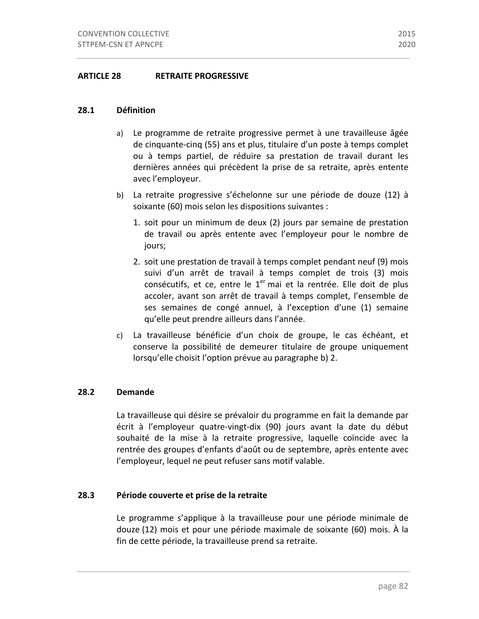#### **28.1 Définition**

- a) Le programme de retraite progressive permet à une travailleuse âgée de cinquante-cinq (55) ans et plus, titulaire d'un poste à temps complet ou à temps partiel, de réduire sa prestation de travail durant les dernières années qui précèdent la prise de sa retraite, après entente avec l'employeur.
- b) La retraite progressive s'échelonne sur une période de douze (12) à soixante (60) mois selon les dispositions suivantes :
	- 1. soit pour un minimum de deux (2) jours par semaine de prestation de travail ou après entente avec l'employeur pour le nombre de jours;
	- 2. soit une prestation de travail à temps complet pendant neuf (9) mois suivi d'un arrêt de travail à temps complet de trois (3) mois consécutifs, et ce, entre le  $1<sup>er</sup>$  mai et la rentrée. Elle doit de plus accoler, avant son arrêt de travail à temps complet, l'ensemble de ses semaines de congé annuel, à l'exception d'une (1) semaine qu'elle peut prendre ailleurs dans l'année.
- c) La travailleuse bénéficie d'un choix de groupe, le cas échéant, et conserve la possibilité de demeurer titulaire de groupe uniquement lorsqu'elle choisit l'option prévue au paragraphe b) 2.

# **28.2 Demande**

La travailleuse qui désire se prévaloir du programme en fait la demande par écrit à l'employeur quatre-vingt-dix (90) jours avant la date du début souhaité de la mise à la retraite progressive, laquelle coïncide avec la rentrée des groupes d'enfants d'août ou de septembre, après entente avec l'employeur, lequel ne peut refuser sans motif valable.

#### **28.3** Période couverte et prise de la retraite

Le programme s'applique à la travailleuse pour une période minimale de douze (12) mois et pour une période maximale de soixante (60) mois. À la fin de cette période, la travailleuse prend sa retraite.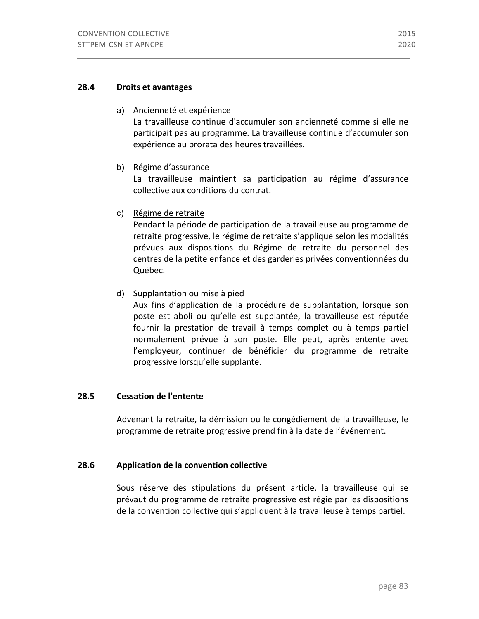# **28.4 Droits et avantages**

# a) Ancienneté et expérience

La travailleuse continue d'accumuler son ancienneté comme si elle ne participait pas au programme. La travailleuse continue d'accumuler son expérience au prorata des heures travaillées.

# b) Régime d'assurance

La travailleuse maintient sa participation au régime d'assurance collective aux conditions du contrat.

c) Régime de retraite

Pendant la période de participation de la travailleuse au programme de retraite progressive, le régime de retraite s'applique selon les modalités prévues aux dispositions du Régime de retraite du personnel des centres de la petite enfance et des garderies privées conventionnées du Québec.

d) Supplantation ou mise à pied

Aux fins d'application de la procédure de supplantation, lorsque son poste est aboli ou qu'elle est supplantée, la travailleuse est réputée fournir la prestation de travail à temps complet ou à temps partiel normalement prévue à son poste. Elle peut, après entente avec l'employeur, continuer de bénéficier du programme de retraite progressive lorsqu'elle supplante.

# **28.5 Cessation de l'entente**

Advenant la retraite, la démission ou le congédiement de la travailleuse, le programme de retraite progressive prend fin à la date de l'événement.

# **28.6 Application de la convention collective**

Sous réserve des stipulations du présent article, la travailleuse qui se prévaut du programme de retraite progressive est régie par les dispositions de la convention collective qui s'appliquent à la travailleuse à temps partiel.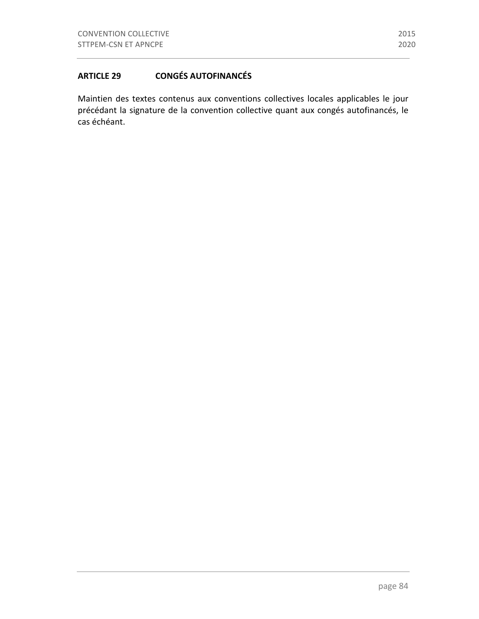Maintien des textes contenus aux conventions collectives locales applicables le jour précédant la signature de la convention collective quant aux congés autofinancés, le cas échéant.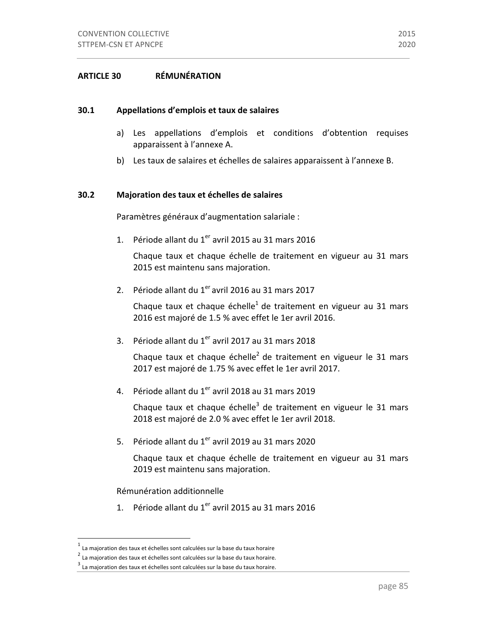# **ARTICLE 30 RÉMUNÉRATION**

#### **30.1 Appellations d'emplois et taux de salaires**

- a) Les appellations d'emplois et conditions d'obtention requises apparaissent à l'annexe A.
- b) Les taux de salaires et échelles de salaires apparaissent à l'annexe B.

### **30.2 Majoration des taux et échelles de salaires**

Paramètres généraux d'augmentation salariale :

1. Période allant du  $1<sup>er</sup>$  avril 2015 au 31 mars 2016

Chaque taux et chaque échelle de traitement en vigueur au 31 mars 2015 est maintenu sans majoration.

2. Période allant du  $1<sup>er</sup>$  avril 2016 au 31 mars 2017

Chaque taux et chaque échelle<sup>1</sup> de traitement en vigueur au 31 mars 2016 est majoré de 1.5 % avec effet le 1er avril 2016.

3. Période allant du  $1<sup>er</sup>$  avril 2017 au 31 mars 2018

Chaque taux et chaque échelle<sup>2</sup> de traitement en vigueur le 31 mars 2017 est majoré de 1.75 % avec effet le 1er avril 2017.

4. Période allant du  $1<sup>er</sup>$  avril 2018 au 31 mars 2019

Chaque taux et chaque échelle<sup>3</sup> de traitement en vigueur le 31 mars 2018 est majoré de 2.0 % avec effet le 1er avril 2018.

5. Période allant du  $1<sup>er</sup>$  avril 2019 au 31 mars 2020

Chaque taux et chaque échelle de traitement en vigueur au 31 mars 2019 est maintenu sans majoration.

Rémunération additionnelle

1. Période allant du  $1<sup>er</sup>$  avril 2015 au 31 mars 2016

La majoration des taux et échelles sont calculées sur la base du taux horaire

 $^2$  La majoration des taux et échelles sont calculées sur la base du taux horaire.

 $3$  La majoration des taux et échelles sont calculées sur la base du taux horaire.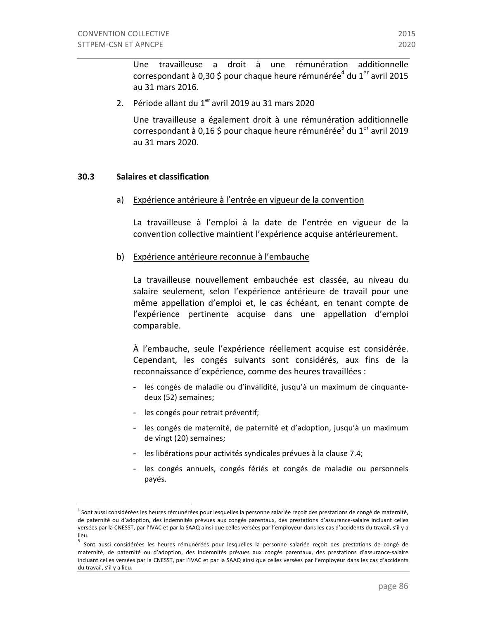Une travailleuse a droit à une rémunération additionnelle correspondant à 0,30 \$ pour chaque heure rémunérée<sup>4</sup> du 1<sup>er</sup> avril 2015 au 31 mars 2016.

2. Période allant du  $1<sup>er</sup>$  avril 2019 au 31 mars 2020

Une travailleuse a également droit à une rémunération additionnelle correspondant à 0,16 \$ pour chaque heure rémunérée<sup>5</sup> du 1<sup>er</sup> avril 2019 au 31 mars 2020. 

#### **30.3 Salaires et classification**

 

a) Expérience antérieure à l'entrée en vigueur de la convention

La travailleuse à l'emploi à la date de l'entrée en vigueur de la convention collective maintient l'expérience acquise antérieurement.

b) Expérience antérieure reconnue à l'embauche

La travailleuse nouvellement embauchée est classée, au niveau du salaire seulement, selon l'expérience antérieure de travail pour une même appellation d'emploi et, le cas échéant, en tenant compte de l'expérience pertinente acquise dans une appellation d'emploi comparable. 

À l'embauche, seule l'expérience réellement acquise est considérée. Cependant, les congés suivants sont considérés, aux fins de la reconnaissance d'expérience, comme des heures travaillées :

- les congés de maladie ou d'invalidité, jusqu'à un maximum de cinquantedeux (52) semaines;
- les congés pour retrait préventif;
- les congés de maternité, de paternité et d'adoption, jusqu'à un maximum de vingt (20) semaines;
- les libérations pour activités syndicales prévues à la clause 7.4;
- les congés annuels, congés fériés et congés de maladie ou personnels payés.

 $^4$  Sont aussi considérées les heures rémunérées pour lesquelles la personne salariée reçoit des prestations de congé de maternité, de paternité ou d'adoption, des indemnités prévues aux congés parentaux, des prestations d'assurance-salaire incluant celles versées par la CNESST, par l'IVAC et par la SAAQ ainsi que celles versées par l'employeur dans les cas d'accidents du travail, s'il y a lieu.

<sup>&</sup>lt;sup>5</sup> Sont aussi considérées les heures rémunérées pour lesquelles la personne salariée reçoit des prestations de congé de maternité, de paternité ou d'adoption, des indemnités prévues aux congés parentaux, des prestations d'assurance-salaire incluant celles versées par la CNESST, par l'IVAC et par la SAAQ ainsi que celles versées par l'employeur dans les cas d'accidents du travail, s'il y a lieu.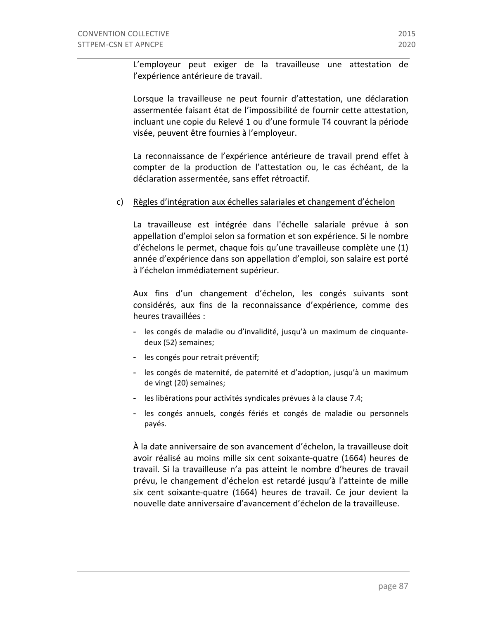L'employeur peut exiger de la travailleuse une attestation de l'expérience antérieure de travail.

Lorsque la travailleuse ne peut fournir d'attestation, une déclaration assermentée faisant état de l'impossibilité de fournir cette attestation, incluant une copie du Relevé 1 ou d'une formule T4 couvrant la période visée, peuvent être fournies à l'employeur.

La reconnaissance de l'expérience antérieure de travail prend effet à compter de la production de l'attestation ou, le cas échéant, de la déclaration assermentée, sans effet rétroactif.

#### c) Règles d'intégration aux échelles salariales et changement d'échelon

La travailleuse est intégrée dans l'échelle salariale prévue à son appellation d'emploi selon sa formation et son expérience. Si le nombre d'échelons le permet, chaque fois qu'une travailleuse complète une (1) année d'expérience dans son appellation d'emploi, son salaire est porté à l'échelon immédiatement supérieur.

Aux fins d'un changement d'échelon, les congés suivants sont considérés, aux fins de la reconnaissance d'expérience, comme des heures travaillées :

- les congés de maladie ou d'invalidité, jusqu'à un maximum de cinquantedeux (52) semaines;
- les congés pour retrait préventif;
- les congés de maternité, de paternité et d'adoption, jusqu'à un maximum de vingt (20) semaines;
- les libérations pour activités syndicales prévues à la clause 7.4;
- les congés annuels, congés fériés et congés de maladie ou personnels payés.

À la date anniversaire de son avancement d'échelon, la travailleuse doit avoir réalisé au moins mille six cent soixante-quatre (1664) heures de travail. Si la travailleuse n'a pas atteint le nombre d'heures de travail prévu, le changement d'échelon est retardé jusqu'à l'atteinte de mille six cent soixante-quatre (1664) heures de travail. Ce jour devient la nouvelle date anniversaire d'avancement d'échelon de la travailleuse.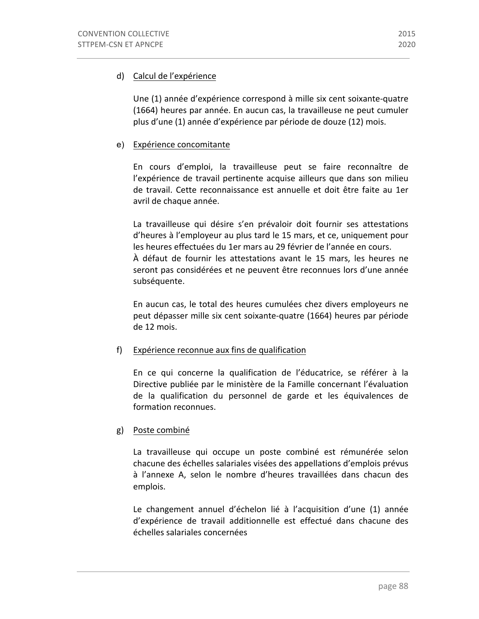# d) Calcul de l'expérience

Une (1) année d'expérience correspond à mille six cent soixante-quatre (1664) heures par année. En aucun cas, la travailleuse ne peut cumuler plus d'une (1) année d'expérience par période de douze (12) mois.

#### e) Expérience concomitante

En cours d'emploi, la travailleuse peut se faire reconnaître de l'expérience de travail pertinente acquise ailleurs que dans son milieu de travail. Cette reconnaissance est annuelle et doit être faite au 1er avril de chaque année.

La travailleuse qui désire s'en prévaloir doit fournir ses attestations d'heures à l'employeur au plus tard le 15 mars, et ce, uniquement pour les heures effectuées du 1er mars au 29 février de l'année en cours. À défaut de fournir les attestations avant le 15 mars, les heures ne seront pas considérées et ne peuvent être reconnues lors d'une année subséquente.

En aucun cas, le total des heures cumulées chez divers employeurs ne peut dépasser mille six cent soixante-quatre (1664) heures par période de 12 mois.

#### f) Expérience reconnue aux fins de qualification

En ce qui concerne la qualification de l'éducatrice, se référer à la Directive publiée par le ministère de la Famille concernant l'évaluation de la qualification du personnel de garde et les équivalences de formation reconnues.

# g) Poste combiné

La travailleuse qui occupe un poste combiné est rémunérée selon chacune des échelles salariales visées des appellations d'emplois prévus à l'annexe A, selon le nombre d'heures travaillées dans chacun des emplois.

Le changement annuel d'échelon lié à l'acquisition d'une (1) année d'expérience de travail additionnelle est effectué dans chacune des échelles salariales concernées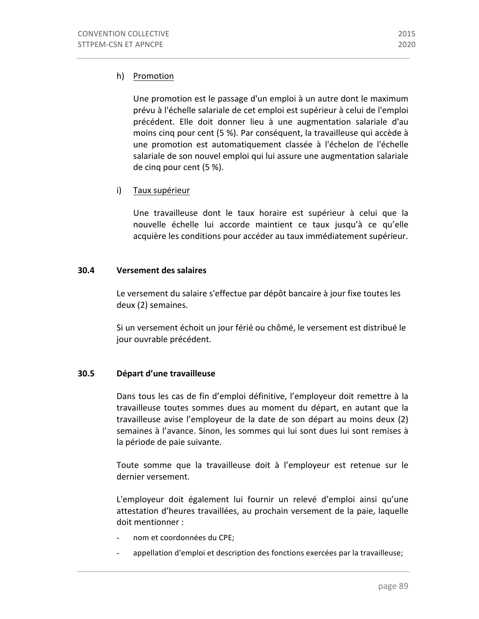# h) Promotion

Une promotion est le passage d'un emploi à un autre dont le maximum prévu à l'échelle salariale de cet emploi est supérieur à celui de l'emploi précédent. Elle doit donner lieu à une augmentation salariale d'au moins cinq pour cent (5 %). Par conséquent, la travailleuse qui accède à une promotion est automatiquement classée à l'échelon de l'échelle salariale de son nouvel emploi qui lui assure une augmentation salariale de cinq pour cent (5 %).

# i) Taux supérieur

Une travailleuse dont le taux horaire est supérieur à celui que la nouvelle échelle lui accorde maintient ce taux jusqu'à ce qu'elle acquière les conditions pour accéder au taux immédiatement supérieur.

# **30.4 Versement des salaires**

Le versement du salaire s'effectue par dépôt bancaire à jour fixe toutes les deux (2) semaines.

Si un versement échoit un jour férié ou chômé, le versement est distribué le jour ouvrable précédent.

# **30.5 Départ d'une travailleuse**

Dans tous les cas de fin d'emploi définitive, l'employeur doit remettre à la travailleuse toutes sommes dues au moment du départ, en autant que la travailleuse avise l'employeur de la date de son départ au moins deux (2) semaines à l'avance. Sinon, les sommes qui lui sont dues lui sont remises à la période de paie suivante.

Toute somme que la travailleuse doit à l'employeur est retenue sur le dernier versement.

L'employeur doit également lui fournir un relevé d'emploi ainsi qu'une attestation d'heures travaillées, au prochain versement de la paie, laquelle doit mentionner :

- nom et coordonnées du CPE;
- appellation d'emploi et description des fonctions exercées par la travailleuse;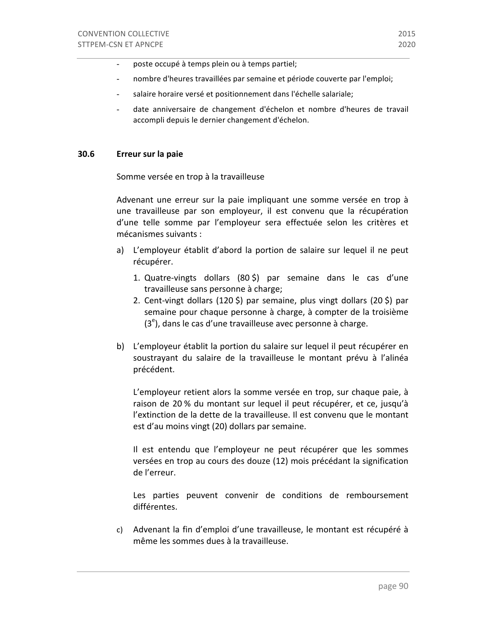- poste occupé à temps plein ou à temps partiel;
- nombre d'heures travaillées par semaine et période couverte par l'emploi;
- salaire horaire versé et positionnement dans l'échelle salariale;
- date anniversaire de changement d'échelon et nombre d'heures de travail accompli depuis le dernier changement d'échelon.

#### **30.6 Erreur sur la paie**

Somme versée en trop à la travailleuse

Advenant une erreur sur la paie impliquant une somme versée en trop à une travailleuse par son employeur, il est convenu que la récupération d'une telle somme par l'employeur sera effectuée selon les critères et mécanismes suivants :

- a) L'employeur établit d'abord la portion de salaire sur lequel il ne peut récupérer.
	- 1. Quatre-vingts dollars  $(80, 5)$  par semaine dans le cas d'une travailleuse sans personne à charge;
	- 2. Cent-vingt dollars  $(120 \xi)$  par semaine, plus vingt dollars  $(20 \xi)$  par semaine pour chaque personne à charge, à compter de la troisième  $(3<sup>e</sup>)$ , dans le cas d'une travailleuse avec personne à charge.
- b) L'employeur établit la portion du salaire sur lequel il peut récupérer en soustrayant du salaire de la travailleuse le montant prévu à l'alinéa précédent.

L'employeur retient alors la somme versée en trop, sur chaque paie, à raison de 20 % du montant sur lequel il peut récupérer, et ce, jusqu'à l'extinction de la dette de la travailleuse. Il est convenu que le montant est d'au moins vingt (20) dollars par semaine.

Il est entendu que l'employeur ne peut récupérer que les sommes versées en trop au cours des douze (12) mois précédant la signification de l'erreur.

Les parties peuvent convenir de conditions de remboursement différentes.

c) Advenant la fin d'emploi d'une travailleuse, le montant est récupéré à même les sommes dues à la travailleuse.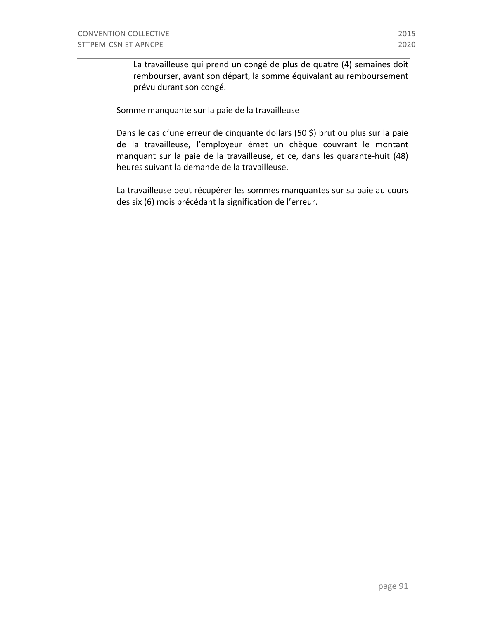La travailleuse qui prend un congé de plus de quatre (4) semaines doit rembourser, avant son départ, la somme équivalant au remboursement prévu durant son congé.

Somme manquante sur la paie de la travailleuse

Dans le cas d'une erreur de cinquante dollars (50 \$) brut ou plus sur la paie de la travailleuse, l'employeur émet un chèque couvrant le montant manquant sur la paie de la travailleuse, et ce, dans les quarante-huit (48) heures suivant la demande de la travailleuse.

La travailleuse peut récupérer les sommes manquantes sur sa paie au cours des six (6) mois précédant la signification de l'erreur.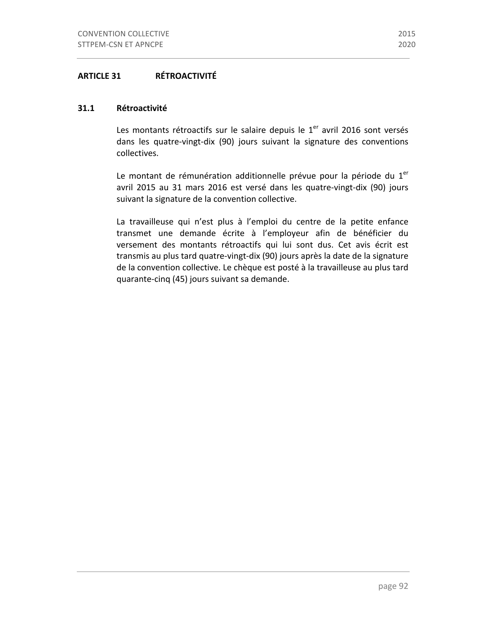# **ARTICLE 31 RÉTROACTIVITÉ**

# **31.1 Rétroactivité**

Les montants rétroactifs sur le salaire depuis le  $1<sup>er</sup>$  avril 2016 sont versés dans les quatre-vingt-dix (90) jours suivant la signature des conventions collectives.

Le montant de rémunération additionnelle prévue pour la période du  $1<sup>er</sup>$ avril 2015 au 31 mars 2016 est versé dans les quatre-vingt-dix (90) jours suivant la signature de la convention collective.

La travailleuse qui n'est plus à l'emploi du centre de la petite enfance transmet une demande écrite à l'employeur afin de bénéficier du versement des montants rétroactifs qui lui sont dus. Cet avis écrit est transmis au plus tard quatre-vingt-dix (90) jours après la date de la signature de la convention collective. Le chèque est posté à la travailleuse au plus tard quarante-cinq (45) jours suivant sa demande.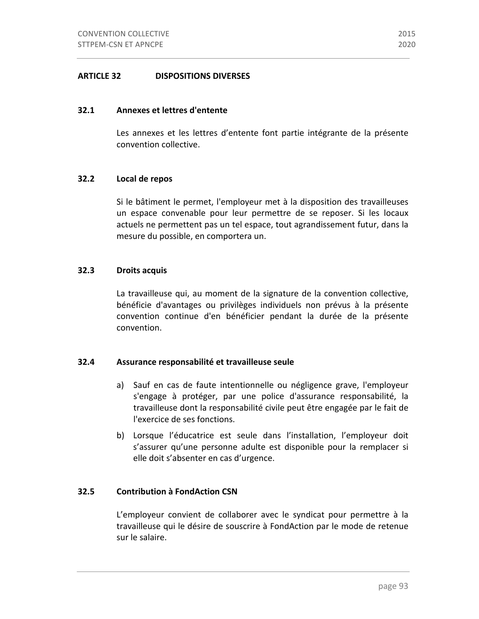# **ARTICLE 32 DISPOSITIONS DIVERSES**

#### **32.1 Annexes et lettres d'entente**

Les annexes et les lettres d'entente font partie intégrante de la présente convention collective.

# **32.2 Local de repos**

Si le bâtiment le permet, l'employeur met à la disposition des travailleuses un espace convenable pour leur permettre de se reposer. Si les locaux actuels ne permettent pas un tel espace, tout agrandissement futur, dans la mesure du possible, en comportera un.

# **32.3 Droits acquis**

La travailleuse qui, au moment de la signature de la convention collective, bénéficie d'avantages ou privilèges individuels non prévus à la présente convention continue d'en bénéficier pendant la durée de la présente convention.

#### **32.4 Assurance responsabilité et travailleuse seule**

- a) Sauf en cas de faute intentionnelle ou négligence grave, l'employeur s'engage à protéger, par une police d'assurance responsabilité, la travailleuse dont la responsabilité civile peut être engagée par le fait de l'exercice de ses fonctions.
- b) Lorsque l'éducatrice est seule dans l'installation, l'employeur doit s'assurer qu'une personne adulte est disponible pour la remplacer si elle doit s'absenter en cas d'urgence.

#### **32.5 Contribution à FondAction CSN**

L'employeur convient de collaborer avec le syndicat pour permettre à la travailleuse qui le désire de souscrire à FondAction par le mode de retenue sur le salaire.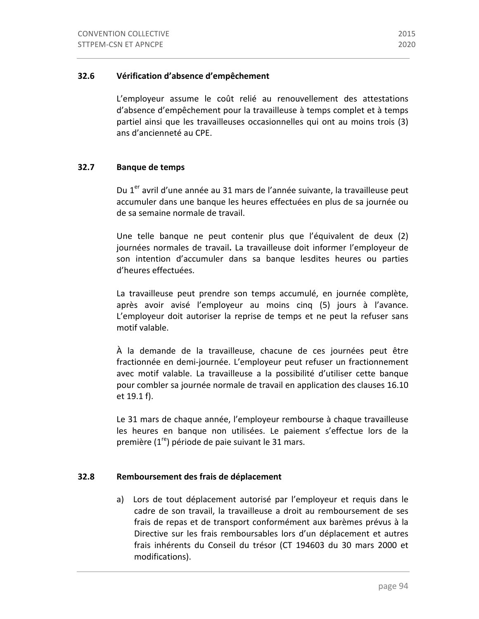# **32.6 Vérification d'absence d'empêchement**

L'employeur assume le coût relié au renouvellement des attestations d'absence d'empêchement pour la travailleuse à temps complet et à temps partiel ainsi que les travailleuses occasionnelles qui ont au moins trois (3) ans d'ancienneté au CPE.

#### **32.7 Banque de temps**

Du 1<sup>er</sup> avril d'une année au 31 mars de l'année suivante, la travailleuse peut accumuler dans une banque les heures effectuées en plus de sa journée ou de sa semaine normale de travail.

Une telle banque ne peut contenir plus que l'équivalent de deux (2) journées normales de travail. La travailleuse doit informer l'employeur de son intention d'accumuler dans sa banque lesdites heures ou parties d'heures effectuées. 

La travailleuse peut prendre son temps accumulé, en journée complète, après avoir avisé l'employeur au moins cinq (5) jours à l'avance. L'employeur doit autoriser la reprise de temps et ne peut la refuser sans motif valable.

À la demande de la travailleuse, chacune de ces journées peut être fractionnée en demi-journée. L'employeur peut refuser un fractionnement avec motif valable. La travailleuse a la possibilité d'utiliser cette banque pour combler sa journée normale de travail en application des clauses 16.10 et 19.1 f). 

Le 31 mars de chaque année, l'employeur rembourse à chaque travailleuse les heures en banque non utilisées. Le paiement s'effectue lors de la première  $(1^{re})$  période de paie suivant le 31 mars.

#### **32.8 Remboursement des frais de déplacement**

a) Lors de tout déplacement autorisé par l'employeur et requis dans le cadre de son travail, la travailleuse a droit au remboursement de ses frais de repas et de transport conformément aux barèmes prévus à la Directive sur les frais remboursables lors d'un déplacement et autres frais inhérents du Conseil du trésor (CT 194603 du 30 mars 2000 et modifications).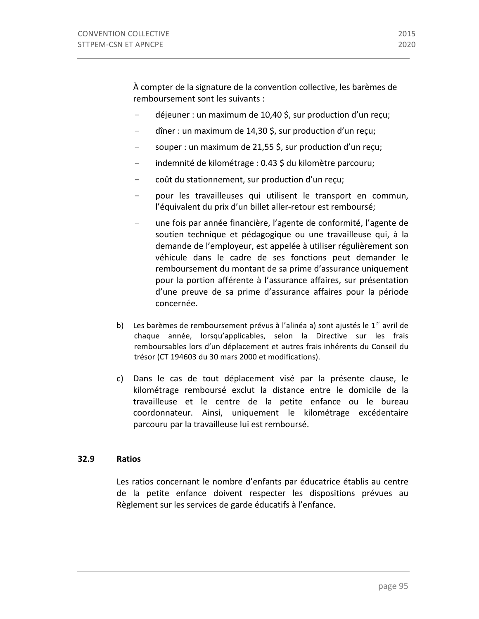À compter de la signature de la convention collective, les barèmes de remboursement sont les suivants :

- $-$  déjeuner : un maximum de 10,40 \$, sur production d'un reçu;
- $-$  dîner : un maximum de 14,30 \$, sur production d'un reçu;
- souper : un maximum de 21,55 \$, sur production d'un reçu;
- indemnité de kilométrage : 0.43 \$ du kilomètre parcouru;
- coût du stationnement, sur production d'un reçu;
- pour les travailleuses qui utilisent le transport en commun, l'équivalent du prix d'un billet aller-retour est remboursé;
- une fois par année financière, l'agente de conformité, l'agente de soutien technique et pédagogique ou une travailleuse qui, à la demande de l'employeur, est appelée à utiliser régulièrement son véhicule dans le cadre de ses fonctions peut demander le remboursement du montant de sa prime d'assurance uniquement pour la portion afférente à l'assurance affaires, sur présentation d'une preuve de sa prime d'assurance affaires pour la période concernée.
- b) Les barèmes de remboursement prévus à l'alinéa a) sont ajustés le  $1<sup>er</sup>$  avril de chaque année, lorsqu'applicables, selon la Directive sur les frais remboursables lors d'un déplacement et autres frais inhérents du Conseil du trésor (CT 194603 du 30 mars 2000 et modifications).
- c) Dans le cas de tout déplacement visé par la présente clause, le kilométrage remboursé exclut la distance entre le domicile de la travailleuse et le centre de la petite enfance ou le bureau coordonnateur. Ainsi, uniquement le kilométrage excédentaire parcouru par la travailleuse lui est remboursé.

# **32.9 Ratios**

Les ratios concernant le nombre d'enfants par éducatrice établis au centre de la petite enfance doivent respecter les dispositions prévues au Règlement sur les services de garde éducatifs à l'enfance.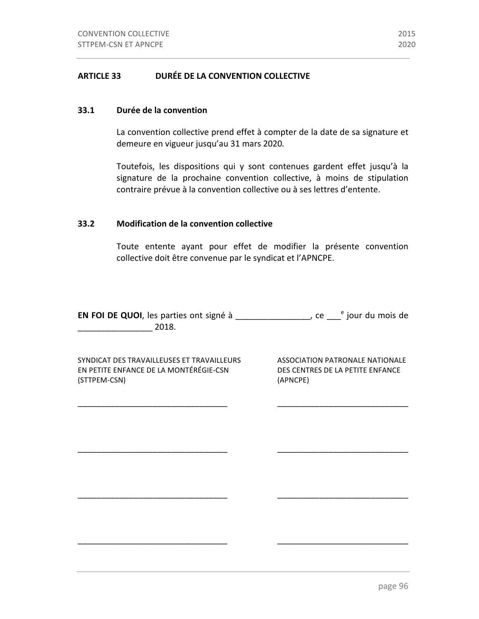#### **33.1 Durée de la convention**

La convention collective prend effet à compter de la date de sa signature et demeure en vigueur jusqu'au 31 mars 2020.

Toutefois, les dispositions qui y sont contenues gardent effet jusqu'à la signature de la prochaine convention collective, à moins de stipulation contraire prévue à la convention collective ou à ses lettres d'entente.

# **33.2 Modification de la convention collective**

Toute entente ayant pour effet de modifier la présente convention collective doit être convenue par le syndicat et l'APNCPE.

**EN FOI DE QUOI**, les parties ont signé à \_\_\_\_\_\_\_\_\_\_\_\_\_\_\_\_, ce \_\_\_<sup>e</sup> jour du mois de  $2018.$ 

\_\_\_\_\_\_\_\_\_\_\_\_\_\_\_\_\_\_\_\_\_\_\_\_\_\_\_\_\_\_\_\_ \_\_\_\_\_\_\_\_\_\_\_\_\_\_\_\_\_\_\_\_\_\_\_\_\_\_\_\_

\_\_\_\_\_\_\_\_\_\_\_\_\_\_\_\_\_\_\_\_\_\_\_\_\_\_\_\_\_\_\_\_ \_\_\_\_\_\_\_\_\_\_\_\_\_\_\_\_\_\_\_\_\_\_\_\_\_\_\_\_

\_\_\_\_\_\_\_\_\_\_\_\_\_\_\_\_\_\_\_\_\_\_\_\_\_\_\_\_\_\_\_\_ \_\_\_\_\_\_\_\_\_\_\_\_\_\_\_\_\_\_\_\_\_\_\_\_\_\_\_\_

\_\_\_\_\_\_\_\_\_\_\_\_\_\_\_\_\_\_\_\_\_\_\_\_\_\_\_\_\_\_\_\_ \_\_\_\_\_\_\_\_\_\_\_\_\_\_\_\_\_\_\_\_\_\_\_\_\_\_\_\_

SYNDICAT DES TRAVAILLEUSES ET TRAVAILLEURS ASSOCIATION PATRONALE NATIONALE EN PETITE ENFANCE DE LA MONTÉRÉGIE-CSN DES CENTRES DE LA PETITE ENFANCE (STTPEM-CSN) (APNCPE)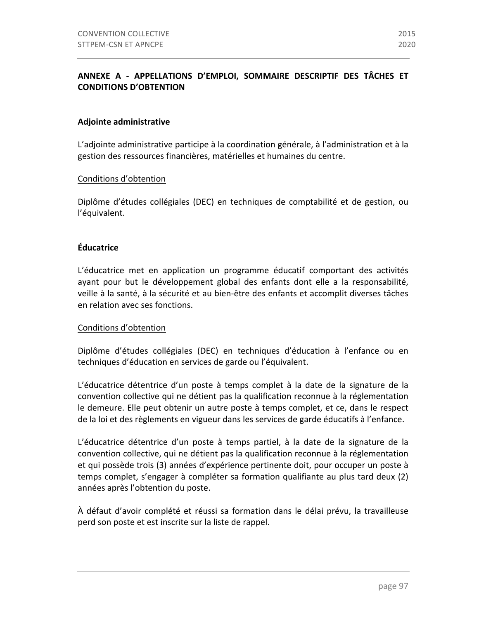# **ANNEXE A - APPELLATIONS D'EMPLOI, SOMMAIRE DESCRIPTIF DES TÂCHES ET CONDITIONS D'OBTENTION**

# **Adjointe administrative**

L'adjointe administrative participe à la coordination générale, à l'administration et à la gestion des ressources financières, matérielles et humaines du centre.

# Conditions d'obtention

Diplôme d'études collégiales (DEC) en techniques de comptabilité et de gestion, ou l'équivalent.

# **Éducatrice**

L'éducatrice met en application un programme éducatif comportant des activités ayant pour but le développement global des enfants dont elle a la responsabilité, veille à la santé, à la sécurité et au bien-être des enfants et accomplit diverses tâches en relation avec ses fonctions.

#### Conditions d'obtention

Diplôme d'études collégiales (DEC) en techniques d'éducation à l'enfance ou en techniques d'éducation en services de garde ou l'équivalent.

L'éducatrice détentrice d'un poste à temps complet à la date de la signature de la convention collective qui ne détient pas la qualification reconnue à la réglementation le demeure. Elle peut obtenir un autre poste à temps complet, et ce, dans le respect de la loi et des règlements en vigueur dans les services de garde éducatifs à l'enfance.

L'éducatrice détentrice d'un poste à temps partiel, à la date de la signature de la convention collective, qui ne détient pas la qualification reconnue à la réglementation et qui possède trois (3) années d'expérience pertinente doit, pour occuper un poste à temps complet, s'engager à compléter sa formation qualifiante au plus tard deux (2) années après l'obtention du poste.

À défaut d'avoir complété et réussi sa formation dans le délai prévu, la travailleuse perd son poste et est inscrite sur la liste de rappel.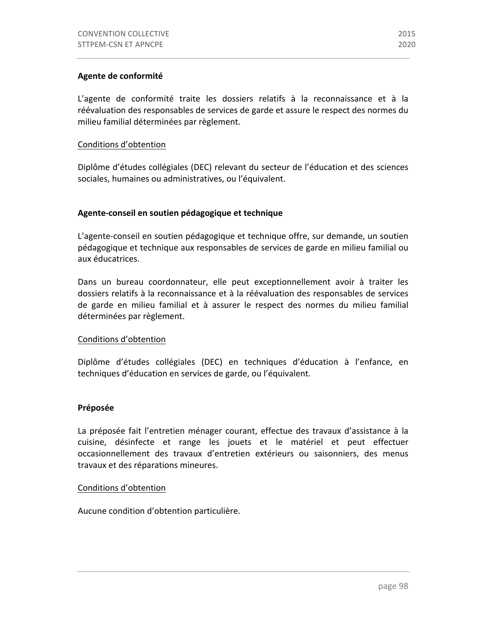# **Agente de conformité**

L'agente de conformité traite les dossiers relatifs à la reconnaissance et à la réévaluation des responsables de services de garde et assure le respect des normes du milieu familial déterminées par règlement.

#### Conditions d'obtention

Diplôme d'études collégiales (DEC) relevant du secteur de l'éducation et des sciences sociales, humaines ou administratives, ou l'équivalent.

# Agente-conseil en soutien pédagogique et technique

L'agente-conseil en soutien pédagogique et technique offre, sur demande, un soutien pédagogique et technique aux responsables de services de garde en milieu familial ou aux éducatrices. 

Dans un bureau coordonnateur, elle peut exceptionnellement avoir à traiter les dossiers relatifs à la reconnaissance et à la réévaluation des responsables de services de garde en milieu familial et à assurer le respect des normes du milieu familial déterminées par règlement.

#### Conditions d'obtention

Diplôme d'études collégiales (DEC) en techniques d'éducation à l'enfance, en techniques d'éducation en services de garde, ou l'équivalent.

#### **Préposée**

La préposée fait l'entretien ménager courant, effectue des travaux d'assistance à la cuisine, désinfecte et range les jouets et le matériel et peut effectuer occasionnellement des travaux d'entretien extérieurs ou saisonniers, des menus travaux et des réparations mineures.

# Conditions d'obtention

Aucune condition d'obtention particulière.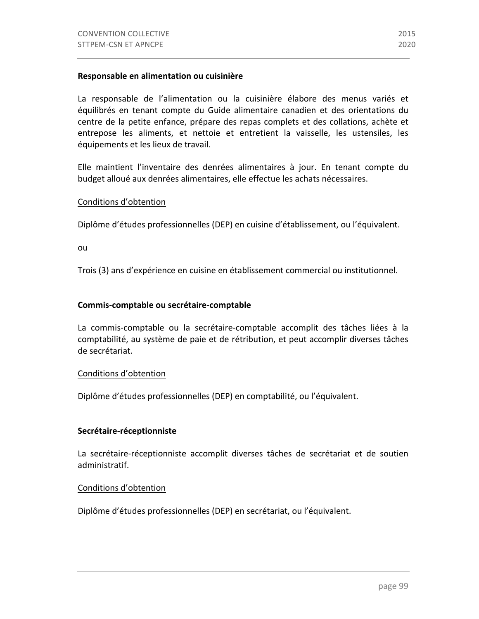La responsable de l'alimentation ou la cuisinière élabore des menus variés et équilibrés en tenant compte du Guide alimentaire canadien et des orientations du centre de la petite enfance, prépare des repas complets et des collations, achète et entrepose les aliments, et nettoie et entretient la vaisselle, les ustensiles, les équipements et les lieux de travail.

Elle maintient l'inventaire des denrées alimentaires à jour. En tenant compte du budget alloué aux denrées alimentaires, elle effectue les achats nécessaires.

# Conditions d'obtention

Diplôme d'études professionnelles (DEP) en cuisine d'établissement, ou l'équivalent.

ou

Trois (3) ans d'expérience en cuisine en établissement commercial ou institutionnel.

# **Commis-comptable ou secrétaire-comptable**

La commis-comptable ou la secrétaire-comptable accomplit des tâches liées à la comptabilité, au système de paie et de rétribution, et peut accomplir diverses tâches de secrétariat.

#### Conditions d'obtention

Diplôme d'études professionnelles (DEP) en comptabilité, ou l'équivalent.

#### **Secrétaire-réceptionniste**

La secrétaire-réceptionniste accomplit diverses tâches de secrétariat et de soutien administratif.

# Conditions d'obtention

Diplôme d'études professionnelles (DEP) en secrétariat, ou l'équivalent.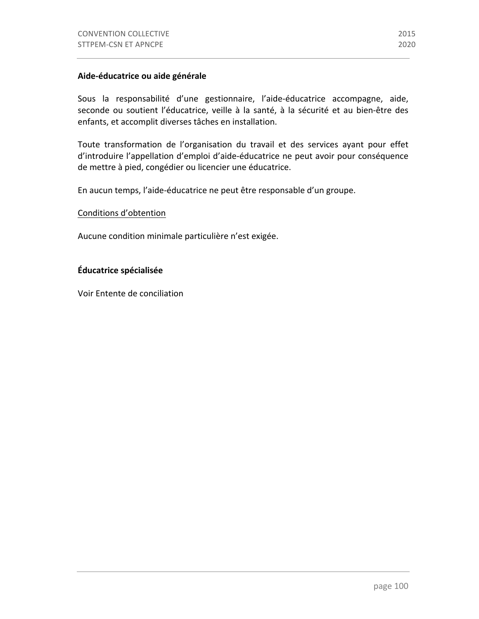# **Aide-éducatrice ou aide générale**

Sous la responsabilité d'une gestionnaire, l'aide-éducatrice accompagne, aide, seconde ou soutient l'éducatrice, veille à la santé, à la sécurité et au bien-être des enfants, et accomplit diverses tâches en installation.

Toute transformation de l'organisation du travail et des services ayant pour effet d'introduire l'appellation d'emploi d'aide-éducatrice ne peut avoir pour conséquence de mettre à pied, congédier ou licencier une éducatrice.

En aucun temps, l'aide-éducatrice ne peut être responsable d'un groupe.

#### Conditions d'obtention

Aucune condition minimale particulière n'est exigée.

# **Éducatrice spécialisée**

Voir Entente de conciliation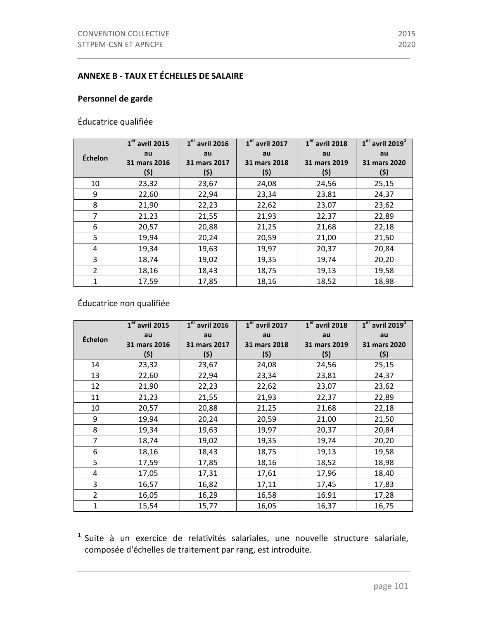### **ANNEXE B - TAUX ET ÉCHELLES DE SALAIRE**

### Personnel de garde

Éducatrice qualifiée

|                | $\overline{\mathbf{1}}^{\text{er}}$ avril 2015 | $\overline{1^{\text{er}}}$ avril 2016 | $1er$ avril 2017 | $1er$ avril 2018 | $1er$ avril 2019 <sup>1</sup> |
|----------------|------------------------------------------------|---------------------------------------|------------------|------------------|-------------------------------|
| Échelon        | au                                             | au                                    | au               | au               | au                            |
|                | 31 mars 2016                                   | 31 mars 2017                          | 31 mars 2018     | 31 mars 2019     | 31 mars 2020                  |
|                | (\$)                                           | (5)                                   | (\$)             | (\$)             | (\$)                          |
| 10             | 23,32                                          | 23,67                                 | 24,08            | 24,56            | 25,15                         |
| 9              | 22,60                                          | 22,94                                 | 23,34            | 23,81            | 24,37                         |
| 8              | 21,90                                          | 22,23                                 | 22,62            | 23,07            | 23,62                         |
| 7              | 21,23                                          | 21,55                                 | 21,93            | 22,37            | 22,89                         |
| 6              | 20,57                                          | 20,88                                 | 21,25            | 21,68            | 22,18                         |
| 5              | 19,94                                          | 20,24                                 | 20,59            | 21,00            | 21,50                         |
| 4              | 19,34                                          | 19,63                                 | 19,97            | 20,37            | 20,84                         |
| 3              | 18,74                                          | 19,02                                 | 19,35            | 19,74            | 20,20                         |
| $\overline{2}$ | 18,16                                          | 18,43                                 | 18,75            | 19,13            | 19,58                         |
| 1              | 17,59                                          | 17,85                                 | 18,16            | 18,52            | 18,98                         |

## Éducatrice non qualifiée

|                | $1er$ avril 2015 | $1er$ avril 2016 | $1er$ avril 2017 | $1er$ avril 2018 | $1er$ avril 2019 <sup>1</sup> |
|----------------|------------------|------------------|------------------|------------------|-------------------------------|
| Échelon        | au               | au               | au               | au               | au                            |
|                | 31 mars 2016     | 31 mars 2017     | 31 mars 2018     | 31 mars 2019     | 31 mars 2020                  |
|                | (\$)             | (\$)             | (\$)             | (\$)             | (5)                           |
| 14             | 23,32            | 23,67            | 24,08            | 24,56            | 25,15                         |
| 13             | 22,60            | 22,94            | 23,34            | 23,81            | 24,37                         |
| 12             | 21,90            | 22,23            | 22,62            | 23,07            | 23,62                         |
| 11             | 21,23            | 21,55            | 21,93            | 22,37            | 22,89                         |
| 10             | 20,57            | 20,88            | 21,25            | 21,68            | 22,18                         |
| 9              | 19,94            | 20,24            | 20,59            | 21,00            | 21,50                         |
| 8              | 19,34            | 19,63            | 19,97            | 20,37            | 20,84                         |
| 7              | 18,74            | 19,02            | 19,35            | 19,74            | 20,20                         |
| 6              | 18,16            | 18,43            | 18,75            | 19,13            | 19,58                         |
| 5              | 17,59            | 17,85            | 18,16            | 18,52            | 18,98                         |
| 4              | 17,05            | 17,31            | 17,61            | 17,96            | 18,40                         |
| 3              | 16,57            | 16,82            | 17,11            | 17,45            | 17,83                         |
| $\overline{2}$ | 16,05            | 16,29            | 16,58            | 16,91            | 17,28                         |
| 1              | 15,54            | 15,77            | 16,05            | 16,37            | 16,75                         |

 $1$  Suite à un exercice de relativités salariales, une nouvelle structure salariale, composée d'échelles de traitement par rang, est introduite.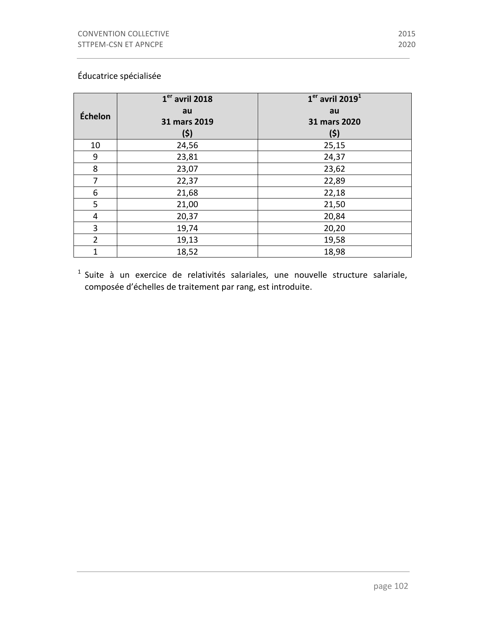|                | $1er$ avril 2018 | $1er$ avril 2019 <sup>1</sup> |
|----------------|------------------|-------------------------------|
| Échelon        | au               | au                            |
|                | 31 mars 2019     | 31 mars 2020                  |
|                | (5)              | (\$)                          |
| 10             | 24,56            | 25,15                         |
| 9              | 23,81            | 24,37                         |
| 8              | 23,07            | 23,62                         |
| 7              | 22,37            | 22,89                         |
| 6              | 21,68            | 22,18                         |
| 5              | 21,00            | 21,50                         |
| 4              | 20,37            | 20,84                         |
| 3              | 19,74            | 20,20                         |
| $\overline{2}$ | 19,13            | 19,58                         |
| $\mathbf{1}$   | 18,52            | 18,98                         |

 $1$  Suite à un exercice de relativités salariales, une nouvelle structure salariale, composée d'échelles de traitement par rang, est introduite.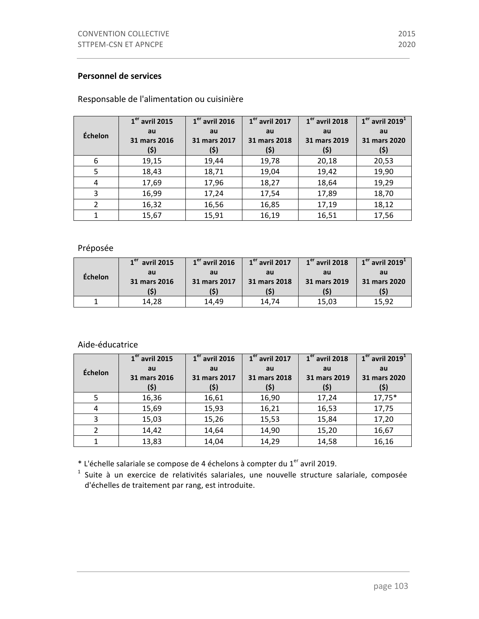#### **Personnel de services**

#### **Échelon 1er avril 2015 au 31 mars 2016 (\$) 1er avril 2016 au 31 mars 2017 (\$) 1er avril 2017 au 31 mars 2018 (\$) 1er avril 2018 au 31 mars 2019 (\$) 1er avril 2019<sup>1</sup> au 31 mars 2020 (\$)** 6 19,15 19,44 19,78 20,18 20,53 5 18,43 18,71 19,04 19,42 19,90 4 17,69 17,96 18,27 18,64 19,29 3 16,99 17,24 17,54 17,89 18,70 2 16,32 16,56 16,85 17,19 18,12 1 15,67 15,91 16,19 16,51 17,56

#### Responsable de l'alimentation ou cuisinière

#### Préposée

| <b>Échelon</b> | $1er$ avril 2015 | $1er$ avril 2016 | $1er$ avril 2017 | $1er$ avril 2018 | $1er$ avril 2019 <sup>1</sup> |
|----------------|------------------|------------------|------------------|------------------|-------------------------------|
|                | au               | au               | au               | au               | au                            |
|                | 31 mars 2016     | 31 mars 2017     | 31 mars 2018     | 31 mars 2019     | 31 mars 2020                  |
|                |                  |                  |                  |                  |                               |
|                | 14.28            | 14.49            | 14.74            | 15,03            | 15.92                         |

#### Aide-éducatrice

|         | $\overline{1}^{\text{er}}$ avril 2015 | $1er$ avril 2016 | $\overline{1^{\text{er}}}$ avril 2017 | $1er$ avril 2018 | $1er$ avril 2019 <sup>1</sup> |
|---------|---------------------------------------|------------------|---------------------------------------|------------------|-------------------------------|
| Échelon | au                                    | au               | au                                    | au               | au                            |
|         | 31 mars 2016                          | 31 mars 2017     | 31 mars 2018                          | 31 mars 2019     | 31 mars 2020                  |
|         | (\$)                                  | (\$)             | (\$)                                  | (\$)             | (\$)                          |
| 5       | 16,36                                 | 16,61            | 16,90                                 | 17,24            | $17,75*$                      |
| 4       | 15,69                                 | 15,93            | 16,21                                 | 16,53            | 17,75                         |
| 3       | 15,03                                 | 15,26            | 15,53                                 | 15,84            | 17,20                         |
| 2       | 14,42                                 | 14,64            | 14,90                                 | 15,20            | 16,67                         |
|         | 13,83                                 | 14,04            | 14,29                                 | 14,58            | 16,16                         |

\* L'échelle salariale se compose de 4 échelons à compter du  $1<sup>er</sup>$  avril 2019.

 $1$  Suite à un exercice de relativités salariales, une nouvelle structure salariale, composée d'échelles de traitement par rang, est introduite.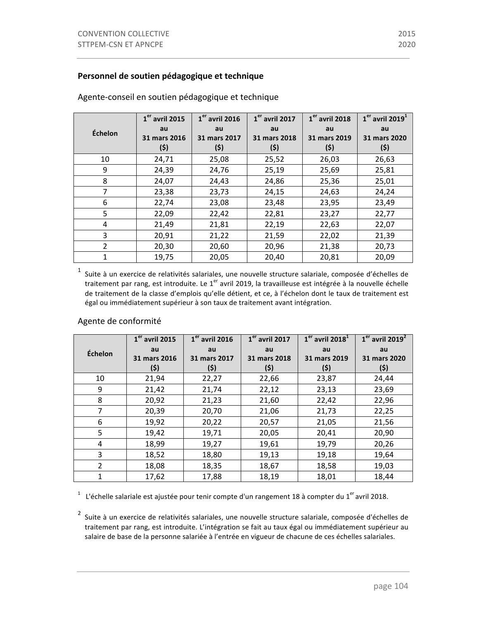### Personnel de soutien pédagogique et technique

|                | $1er$ avril 2015   | $1er$ avril 2016   | $1er$ avril 2017   | $1er$ avril 2018   | $1er$ avril 2019 <sup>1</sup> |
|----------------|--------------------|--------------------|--------------------|--------------------|-------------------------------|
| Échelon        | au<br>31 mars 2016 | au<br>31 mars 2017 | au<br>31 mars 2018 | au<br>31 mars 2019 | au<br>31 mars 2020            |
|                | (5)                | (5)                | (5)                | (5)                | (\$)                          |
| 10             | 24,71              | 25,08              | 25,52              | 26,03              | 26,63                         |
| 9              | 24,39              | 24,76              | 25,19              | 25,69              | 25,81                         |
| 8              | 24,07              | 24,43              | 24,86              | 25,36              | 25,01                         |
| 7              | 23,38              | 23,73              | 24,15              | 24,63              | 24,24                         |
| 6              | 22,74              | 23,08              | 23,48              | 23,95              | 23,49                         |
| 5              | 22,09              | 22,42              | 22,81              | 23,27              | 22,77                         |
| 4              | 21,49              | 21,81              | 22,19              | 22,63              | 22,07                         |
| 3              | 20,91              | 21,22              | 21,59              | 22,02              | 21,39                         |
| $\overline{2}$ | 20,30              | 20,60              | 20,96              | 21,38              | 20,73                         |
| 1              | 19,75              | 20,05              | 20,40              | 20,81              | 20,09                         |

Agente-conseil en soutien pédagogique et technique

 $1$  Suite à un exercice de relativités salariales, une nouvelle structure salariale, composée d'échelles de traitement par rang, est introduite. Le 1<sup>er</sup> avril 2019, la travailleuse est intégrée à la nouvelle échelle de traitement de la classe d'emplois qu'elle détient, et ce, à l'échelon dont le taux de traitement est égal ou immédiatement supérieur à son taux de traitement avant intégration.

|                | $1er$ avril 2015 | $1er$ avril 2016 | $1er$ avril 2017 | $1er$ avril 2018 <sup>1</sup> | $1er$ avril 2019 <sup>2</sup> |
|----------------|------------------|------------------|------------------|-------------------------------|-------------------------------|
| Échelon        | au               | au               | au               | au                            | au                            |
|                | 31 mars 2016     | 31 mars 2017     | 31 mars 2018     | 31 mars 2019                  | 31 mars 2020                  |
|                | (\$)             | (\$)             | (\$)             | (\$)                          | (\$)                          |
| 10             | 21,94            | 22,27            | 22,66            | 23,87                         | 24,44                         |
| 9              | 21,42            | 21,74            | 22,12            | 23,13                         | 23,69                         |
| 8              | 20,92            | 21,23            | 21,60            | 22,42                         | 22,96                         |
| $\overline{7}$ | 20,39            | 20,70            | 21,06            | 21,73                         | 22,25                         |
| 6              | 19,92            | 20,22            | 20,57            | 21,05                         | 21,56                         |
| 5              | 19,42            | 19,71            | 20,05            | 20,41                         | 20,90                         |
| 4              | 18,99            | 19,27            | 19,61            | 19,79                         | 20,26                         |
| 3              | 18,52            | 18,80            | 19,13            | 19,18                         | 19,64                         |
| $\overline{2}$ | 18,08            | 18,35            | 18,67            | 18,58                         | 19,03                         |
| $\mathbf{1}$   | 17,62            | 17,88            | 18,19            | 18,01                         | 18,44                         |

#### Agente de conformité

<sup>1</sup> L'échelle salariale est ajustée pour tenir compte d'un rangement 18 à compter du 1<sup>er</sup> avril 2018.

<sup>2</sup> Suite à un exercice de relativités salariales, une nouvelle structure salariale, composée d'échelles de traitement par rang, est introduite. L'intégration se fait au taux égal ou immédiatement supérieur au salaire de base de la personne salariée à l'entrée en vigueur de chacune de ces échelles salariales.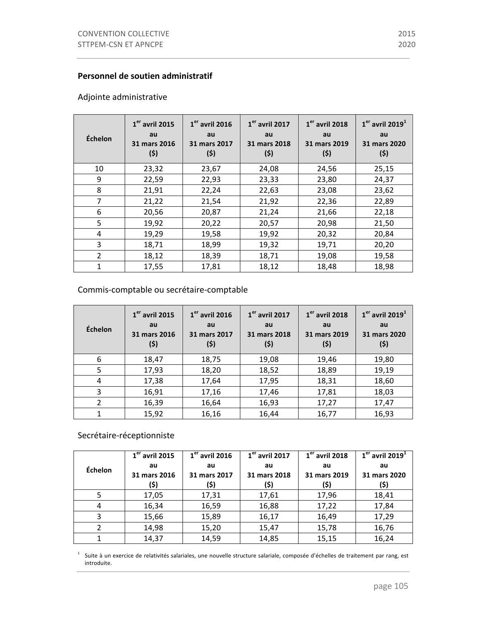#### **Personnel de soutien administratif**

### Adjointe administrative

| Échelon        | $1er$ avril 2015<br>au<br>31 mars 2016<br>(5) | $1er$ avril 2016<br>au<br>31 mars 2017<br>(\$) | $1er$ avril 2017<br>au<br>31 mars 2018<br>(\$) | $1er$ avril 2018<br>au<br>31 mars 2019<br>(5) | $1er$ avril 2019 <sup>1</sup><br>au<br>31 mars 2020<br>(5) |
|----------------|-----------------------------------------------|------------------------------------------------|------------------------------------------------|-----------------------------------------------|------------------------------------------------------------|
| 10             | 23,32                                         | 23,67                                          | 24,08                                          | 24,56                                         | 25,15                                                      |
| 9              | 22,59                                         | 22,93                                          | 23,33                                          | 23,80                                         | 24,37                                                      |
| 8              | 21,91                                         | 22,24                                          | 22,63                                          | 23,08                                         | 23,62                                                      |
| 7              | 21,22                                         | 21,54                                          | 21,92                                          | 22,36                                         | 22,89                                                      |
| 6              | 20,56                                         | 20,87                                          | 21,24                                          | 21,66                                         | 22,18                                                      |
| 5              | 19,92                                         | 20,22                                          | 20,57                                          | 20,98                                         | 21,50                                                      |
| 4              | 19,29                                         | 19,58                                          | 19,92                                          | 20,32                                         | 20,84                                                      |
| 3              | 18,71                                         | 18,99                                          | 19,32                                          | 19,71                                         | 20,20                                                      |
| $\overline{2}$ | 18,12                                         | 18,39                                          | 18,71                                          | 19,08                                         | 19,58                                                      |
| 1              | 17,55                                         | 17,81                                          | 18,12                                          | 18,48                                         | 18,98                                                      |

### Commis-comptable ou secrétaire-comptable

| Échelon        | $1er$ avril 2015<br>au<br>31 mars 2016<br>(\$) | $1er$ avril 2016<br>au<br>31 mars 2017<br>(\$) | $1er$ avril 2017<br>au<br>31 mars 2018<br>(\$) | $1er$ avril 2018<br>au<br>31 mars 2019<br>(\$) | $1er$ avril 2019 <sup>1</sup><br>au<br>31 mars 2020<br>(\$) |
|----------------|------------------------------------------------|------------------------------------------------|------------------------------------------------|------------------------------------------------|-------------------------------------------------------------|
| 6              | 18,47                                          | 18,75                                          | 19,08                                          | 19,46                                          | 19,80                                                       |
| 5              | 17,93                                          | 18,20                                          | 18,52                                          | 18,89                                          | 19,19                                                       |
| 4              | 17,38                                          | 17,64                                          | 17,95                                          | 18,31                                          | 18,60                                                       |
| 3              | 16,91                                          | 17,16                                          | 17,46                                          | 17,81                                          | 18,03                                                       |
| $\overline{2}$ | 16,39                                          | 16,64                                          | 16,93                                          | 17,27                                          | 17,47                                                       |
|                | 15,92                                          | 16,16                                          | 16,44                                          | 16,77                                          | 16,93                                                       |

# Secrétaire-réceptionniste

|         | $1er$ avril 2015 | $\overline{1}^{\text{er}}$ avril 2016 | $\overline{1}^{\text{er}}$ avril 2017 | $\overline{1}^{\text{er}}$ avril 2018 | $1er$ avril 2019 <sup>1</sup> |
|---------|------------------|---------------------------------------|---------------------------------------|---------------------------------------|-------------------------------|
| Échelon | au               | au                                    | au                                    | au                                    | au                            |
|         | 31 mars 2016     | 31 mars 2017                          | 31 mars 2018                          | 31 mars 2019                          | 31 mars 2020                  |
|         | (\$)             | (\$)                                  | (\$)                                  | (\$)                                  | (\$)                          |
|         | 17,05            | 17,31                                 | 17,61                                 | 17,96                                 | 18,41                         |
| 4       | 16,34            | 16,59                                 | 16,88                                 | 17,22                                 | 17,84                         |
| 3       | 15,66            | 15,89                                 | 16,17                                 | 16,49                                 | 17,29                         |
|         | 14,98            | 15,20                                 | 15,47                                 | 15,78                                 | 16,76                         |
|         | 14,37            | 14,59                                 | 14,85                                 | 15,15                                 | 16,24                         |

 $1$  Suite à un exercice de relativités salariales, une nouvelle structure salariale, composée d'échelles de traitement par rang, est introduite.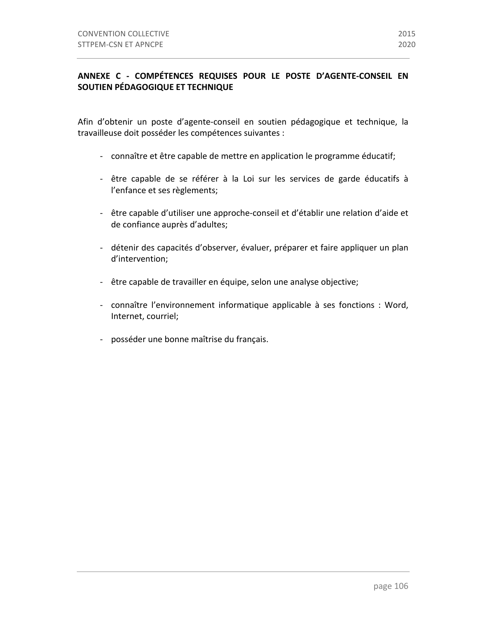### **ANNEXE C - COMPÉTENCES REQUISES POUR LE POSTE D'AGENTE-CONSEIL EN SOUTIEN PÉDAGOGIQUE ET TECHNIQUE**

Afin d'obtenir un poste d'agente-conseil en soutien pédagogique et technique, la travailleuse doit posséder les compétences suivantes :

- connaître et être capable de mettre en application le programme éducatif;
- être capable de se référer à la Loi sur les services de garde éducatifs à l'enfance et ses règlements;
- être capable d'utiliser une approche-conseil et d'établir une relation d'aide et de confiance auprès d'adultes;
- détenir des capacités d'observer, évaluer, préparer et faire appliquer un plan d'intervention;
- être capable de travailler en équipe, selon une analyse objective;
- connaître l'environnement informatique applicable à ses fonctions : Word, Internet, courriel;
- posséder une bonne maîtrise du français.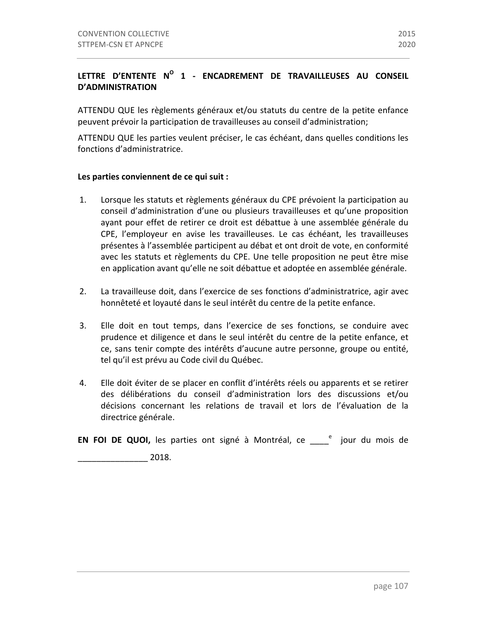## LETTRE D'ENTENTE N<sup>O</sup> 1 - ENCADREMENT DE TRAVAILLEUSES AU CONSEIL **D'ADMINISTRATION**

ATTENDU QUE les règlements généraux et/ou statuts du centre de la petite enfance peuvent prévoir la participation de travailleuses au conseil d'administration;

ATTENDU QUE les parties veulent préciser, le cas échéant, dans quelles conditions les fonctions d'administratrice.

#### Les parties conviennent de ce qui suit :

- 1. Lorsque les statuts et règlements généraux du CPE prévoient la participation au conseil d'administration d'une ou plusieurs travailleuses et qu'une proposition ayant pour effet de retirer ce droit est débattue à une assemblée générale du CPE, l'employeur en avise les travailleuses. Le cas échéant, les travailleuses présentes à l'assemblée participent au débat et ont droit de vote, en conformité avec les statuts et règlements du CPE. Une telle proposition ne peut être mise en application avant qu'elle ne soit débattue et adoptée en assemblée générale.
- 2. La travailleuse doit, dans l'exercice de ses fonctions d'administratrice, agir avec honnêteté et loyauté dans le seul intérêt du centre de la petite enfance.
- 3. Elle doit en tout temps, dans l'exercice de ses fonctions, se conduire avec prudence et diligence et dans le seul intérêt du centre de la petite enfance, et ce, sans tenir compte des intérêts d'aucune autre personne, groupe ou entité, tel qu'il est prévu au Code civil du Québec.
- 4. Elle doit éviter de se placer en conflit d'intérêts réels ou apparents et se retirer des délibérations du conseil d'administration lors des discussions et/ou décisions concernant les relations de travail et lors de l'évaluation de la directrice générale.

**EN FOI DE QUOI,** les parties ont signé à Montréal, ce \_\_\_\_<sup>e</sup> jour du mois de

\_\_\_\_\_\_\_\_\_\_\_\_\_\_\_ 2018.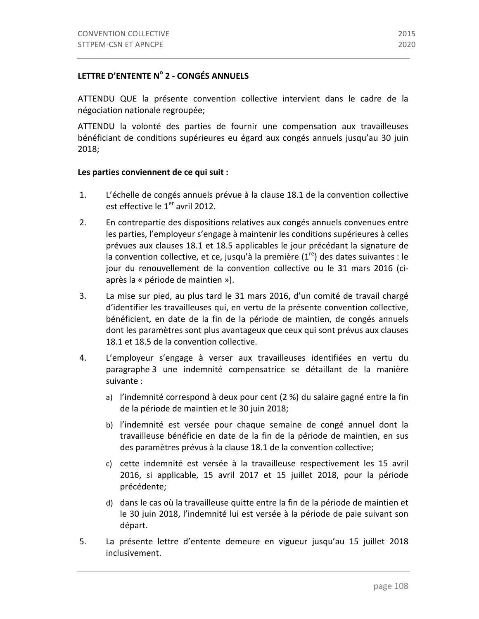### LETTRE D'ENTENTE N° 2 - CONGÉS ANNUELS

ATTENDU QUE la présente convention collective intervient dans le cadre de la négociation nationale regroupée;

ATTENDU la volonté des parties de fournir une compensation aux travailleuses bénéficiant de conditions supérieures eu égard aux congés annuels jusqu'au 30 juin 2018;

#### Les parties conviennent de ce qui suit :

- 1. L'échelle de congés annuels prévue à la clause 18.1 de la convention collective est effective le  $1<sup>er</sup>$  avril 2012.
- 2. En contrepartie des dispositions relatives aux congés annuels convenues entre les parties, l'employeur s'engage à maintenir les conditions supérieures à celles prévues aux clauses 18.1 et 18.5 applicables le jour précédant la signature de la convention collective, et ce, jusqu'à la première  $(1^{re})$  des dates suivantes : le jour du renouvellement de la convention collective ou le 31 mars 2016 (ciaprès la « période de maintien »).
- 3. La mise sur pied, au plus tard le 31 mars 2016, d'un comité de travail chargé d'identifier les travailleuses qui, en vertu de la présente convention collective, bénéficient, en date de la fin de la période de maintien, de congés annuels dont les paramètres sont plus avantageux que ceux qui sont prévus aux clauses 18.1 et 18.5 de la convention collective.
- 4. L'employeur s'engage à verser aux travailleuses identifiées en vertu du paragraphe 3 une indemnité compensatrice se détaillant de la manière suivante :
	- a) l'indemnité correspond à deux pour cent (2 %) du salaire gagné entre la fin de la période de maintien et le 30 juin 2018;
	- b) l'indemnité est versée pour chaque semaine de congé annuel dont la travailleuse bénéficie en date de la fin de la période de maintien, en sus des paramètres prévus à la clause 18.1 de la convention collective;
	- c) cette indemnité est versée à la travailleuse respectivement les 15 avril 2016, si applicable, 15 avril 2017 et 15 juillet 2018, pour la période précédente;
	- d) dans le cas où la travailleuse quitte entre la fin de la période de maintien et le 30 juin 2018, l'indemnité lui est versée à la période de paie suivant son départ.
- 5. La présente lettre d'entente demeure en vigueur jusqu'au 15 juillet 2018 inclusivement.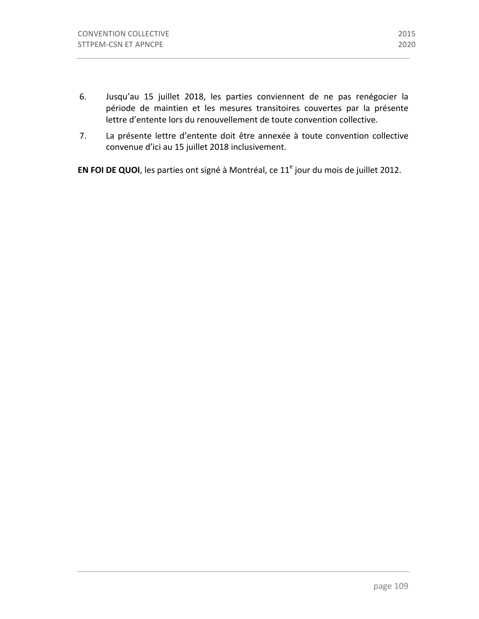- 6. Jusqu'au 15 juillet 2018, les parties conviennent de ne pas renégocier la période de maintien et les mesures transitoires couvertes par la présente lettre d'entente lors du renouvellement de toute convention collective.
- 7. La présente lettre d'entente doit être annexée à toute convention collective convenue d'ici au 15 juillet 2018 inclusivement.

**EN FOI DE QUOI**, les parties ont signé à Montréal, ce 11<sup>e</sup> jour du mois de juillet 2012.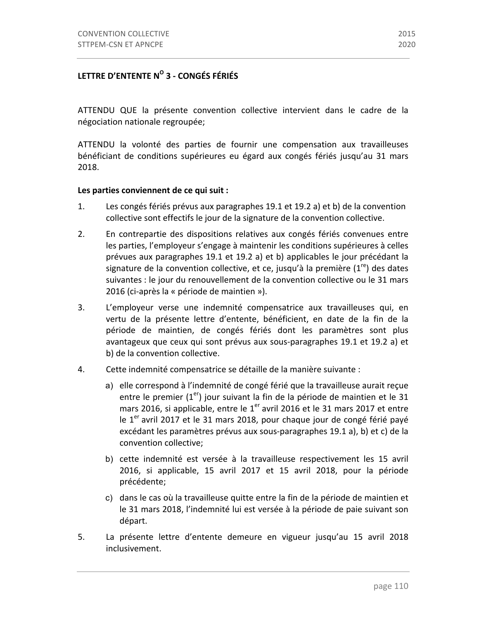# **LETTRE D'ENTENTE NO 3 - CONGÉS FÉRIÉS**

ATTENDU QUE la présente convention collective intervient dans le cadre de la négociation nationale regroupée;

ATTENDU la volonté des parties de fournir une compensation aux travailleuses bénéficiant de conditions supérieures eu égard aux congés fériés jusqu'au 31 mars 2018.

#### Les parties conviennent de ce qui suit :

- 1. Les congés fériés prévus aux paragraphes 19.1 et 19.2 a) et b) de la convention collective sont effectifs le jour de la signature de la convention collective.
- 2. En contrepartie des dispositions relatives aux congés fériés convenues entre les parties, l'employeur s'engage à maintenir les conditions supérieures à celles prévues aux paragraphes 19.1 et 19.2 a) et b) applicables le jour précédant la signature de la convention collective, et ce, jusqu'à la première  $(1^{re})$  des dates suivantes : le jour du renouvellement de la convention collective ou le 31 mars 2016 (ci-après la « période de maintien »).
- 3. L'employeur verse une indemnité compensatrice aux travailleuses qui, en vertu de la présente lettre d'entente, bénéficient, en date de la fin de la période de maintien, de congés fériés dont les paramètres sont plus avantageux que ceux qui sont prévus aux sous-paragraphes 19.1 et 19.2 a) et b) de la convention collective.
- 4. Cette indemnité compensatrice se détaille de la manière suivante :
	- a) elle correspond à l'indemnité de congé férié que la travailleuse aurait reçue entre le premier  $(1<sup>er</sup>)$  jour suivant la fin de la période de maintien et le 31 mars 2016, si applicable, entre le  $1<sup>er</sup>$  avril 2016 et le 31 mars 2017 et entre le  $1<sup>er</sup>$  avril 2017 et le 31 mars 2018, pour chaque jour de congé férié payé excédant les paramètres prévus aux sous-paragraphes 19.1 a), b) et c) de la convention collective;
	- b) cette indemnité est versée à la travailleuse respectivement les 15 avril 2016, si applicable, 15 avril 2017 et 15 avril 2018, pour la période précédente;
	- c) dans le cas où la travailleuse quitte entre la fin de la période de maintien et le 31 mars 2018, l'indemnité lui est versée à la période de paie suivant son départ.
- 5. La présente lettre d'entente demeure en vigueur jusqu'au 15 avril 2018 inclusivement.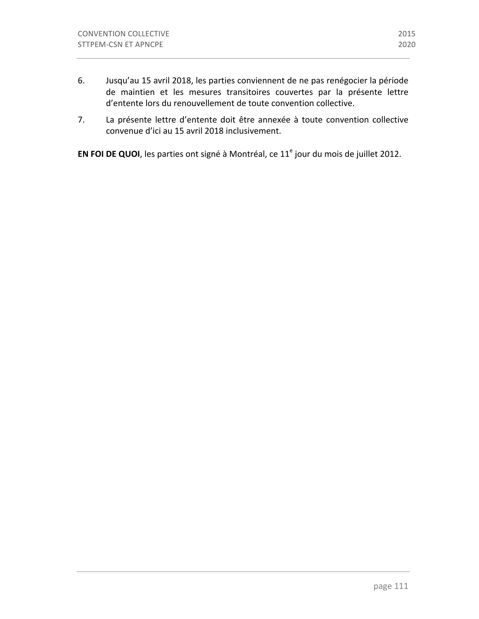7. La présente lettre d'entente doit être annexée à toute convention collective convenue d'ici au 15 avril 2018 inclusivement.

**EN FOI DE QUOI**, les parties ont signé à Montréal, ce 11<sup>e</sup> jour du mois de juillet 2012.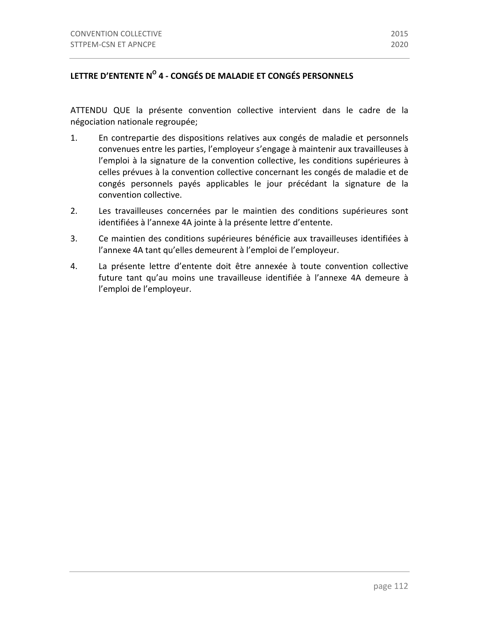# LETTRE D'ENTENTE N<sup>O</sup> 4 - CONGÉS DE MALADIE ET CONGÉS PERSONNELS

ATTENDU QUE la présente convention collective intervient dans le cadre de la négociation nationale regroupée;

- 1. En contrepartie des dispositions relatives aux congés de maladie et personnels convenues entre les parties, l'employeur s'engage à maintenir aux travailleuses à l'emploi à la signature de la convention collective, les conditions supérieures à celles prévues à la convention collective concernant les congés de maladie et de congés personnels payés applicables le jour précédant la signature de la convention collective.
- 2. Les travailleuses concernées par le maintien des conditions supérieures sont identifiées à l'annexe 4A jointe à la présente lettre d'entente.
- 3. Ce maintien des conditions supérieures bénéficie aux travailleuses identifiées à l'annexe 4A tant qu'elles demeurent à l'emploi de l'employeur.
- 4. La présente lettre d'entente doit être annexée à toute convention collective future tant qu'au moins une travailleuse identifiée à l'annexe 4A demeure à l'emploi de l'employeur.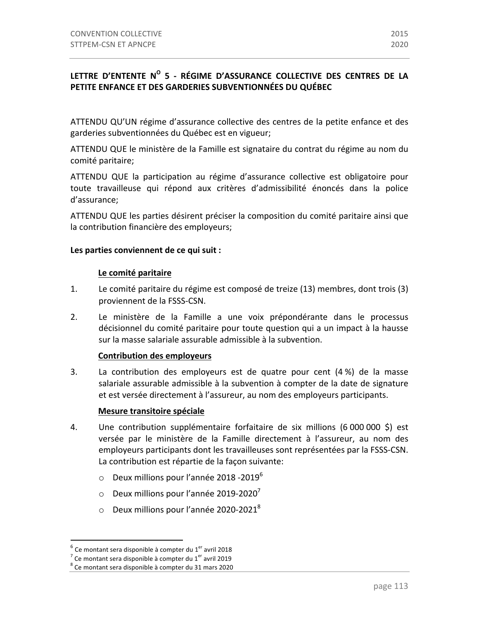# LETTRE D'ENTENTE N<sup>O</sup> 5 - RÉGIME D'ASSURANCE COLLECTIVE DES CENTRES DE LA **PETITE ENFANCE ET DES GARDERIES SUBVENTIONNÉES DU QUÉBEC**

ATTENDU QU'UN régime d'assurance collective des centres de la petite enfance et des garderies subventionnées du Québec est en vigueur;

ATTENDU QUE le ministère de la Famille est signataire du contrat du régime au nom du comité paritaire;

ATTENDU QUE la participation au régime d'assurance collective est obligatoire pour toute travailleuse qui répond aux critères d'admissibilité énoncés dans la police d'assurance;

ATTENDU QUE les parties désirent préciser la composition du comité paritaire ainsi que la contribution financière des employeurs;

#### Les parties conviennent de ce qui suit :

#### Le comité paritaire

- 1. Le comité paritaire du régime est composé de treize (13) membres, dont trois (3) proviennent de la FSSS-CSN.
- 2. Le ministère de la Famille a une voix prépondérante dans le processus décisionnel du comité paritaire pour toute question qui a un impact à la hausse sur la masse salariale assurable admissible à la subvention.

#### **Contribution des employeurs**

3. La contribution des employeurs est de quatre pour cent  $(4\%)$  de la masse salariale assurable admissible à la subvention à compter de la date de signature et est versée directement à l'assureur, au nom des employeurs participants.

#### **Mesure transitoire spéciale**

- 4. Une contribution supplémentaire forfaitaire de six millions (6 000 000 \$) est versée par le ministère de la Famille directement à l'assureur, au nom des employeurs participants dont les travailleuses sont représentées par la FSSS-CSN. La contribution est répartie de la façon suivante:
	- $\circ$  Deux millions pour l'année 2018 -2019<sup>6</sup>
	- $\circ$  Deux millions pour l'année 2019-2020<sup>7</sup>
	- $\circ$  Deux millions pour l'année 2020-2021<sup>8</sup>

 $^6$  Ce montant sera disponible à compter du 1<sup>er</sup> avril 2018

<sup>&</sup>lt;sup>7</sup> Ce montant sera disponible à compter du 1<sup>er</sup> avril 2019 <sup>8</sup> Ce montant sera disponible à compter du 31 mars 2020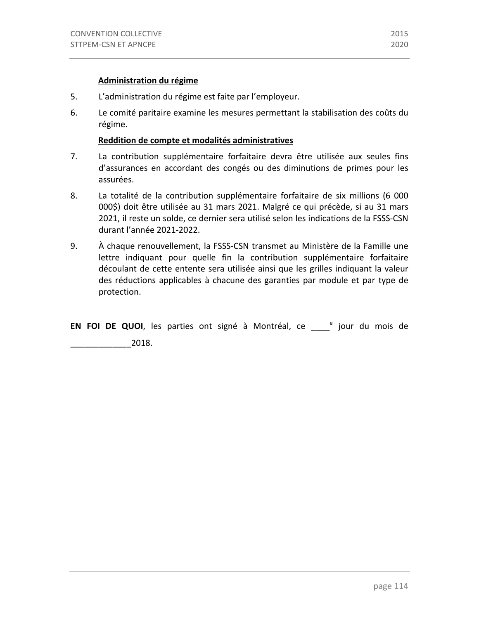#### **Administration du régime**

- 5. L'administration du régime est faite par l'employeur.
- 6. Le comité paritaire examine les mesures permettant la stabilisation des coûts du régime.

#### **Reddition de compte et modalités administratives**

- 7. La contribution supplémentaire forfaitaire devra être utilisée aux seules fins d'assurances en accordant des congés ou des diminutions de primes pour les assurées.
- 8. La totalité de la contribution supplémentaire forfaitaire de six millions (6 000 000\$) doit être utilisée au 31 mars 2021. Malgré ce qui précède, si au 31 mars 2021, il reste un solde, ce dernier sera utilisé selon les indications de la FSSS-CSN durant l'année 2021-2022.
- 9. A chaque renouvellement, la FSSS-CSN transmet au Ministère de la Famille une lettre indiquant pour quelle fin la contribution supplémentaire forfaitaire découlant de cette entente sera utilisée ainsi que les grilles indiquant la valeur des réductions applicables à chacune des garanties par module et par type de protection.

**EN FOI DE QUOI**, les parties ont signé à Montréal, ce <sup>e</sup> jour du mois de

\_\_\_\_\_\_\_\_\_\_\_\_\_2018.

page 114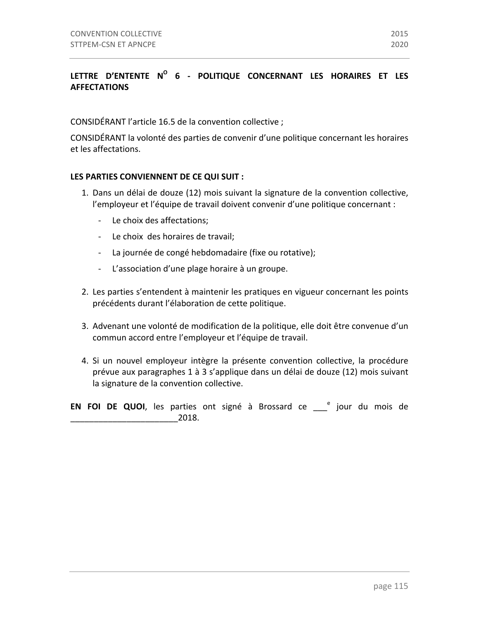# LETTRE D'ENTENTE N° 6 - POLITIQUE CONCERNANT LES HORAIRES ET LES **AFFECTATIONS**

CONSIDÉRANT l'article 16.5 de la convention collective ;

CONSIDÉRANT la volonté des parties de convenir d'une politique concernant les horaires et les affectations.

#### LES PARTIES CONVIENNENT DE CE QUI SUIT :

- 1. Dans un délai de douze (12) mois suivant la signature de la convention collective, l'employeur et l'équipe de travail doivent convenir d'une politique concernant :
	- Le choix des affectations:
	- Le choix des horaires de travail;
	- La journée de congé hebdomadaire (fixe ou rotative);
	- L'association d'une plage horaire à un groupe.
- 2. Les parties s'entendent à maintenir les pratiques en vigueur concernant les points précédents durant l'élaboration de cette politique.
- 3. Advenant une volonté de modification de la politique, elle doit être convenue d'un commun accord entre l'employeur et l'équipe de travail.
- 4. Si un nouvel employeur intègre la présente convention collective, la procédure prévue aux paragraphes 1 à 3 s'applique dans un délai de douze (12) mois suivant la signature de la convention collective.
- **EN FOI DE QUOI**, les parties ont signé à Brossard ce \_\_\_<sup>e</sup> jour du mois de \_\_\_\_\_\_\_\_\_\_\_\_\_\_\_\_\_\_\_\_\_\_\_2018.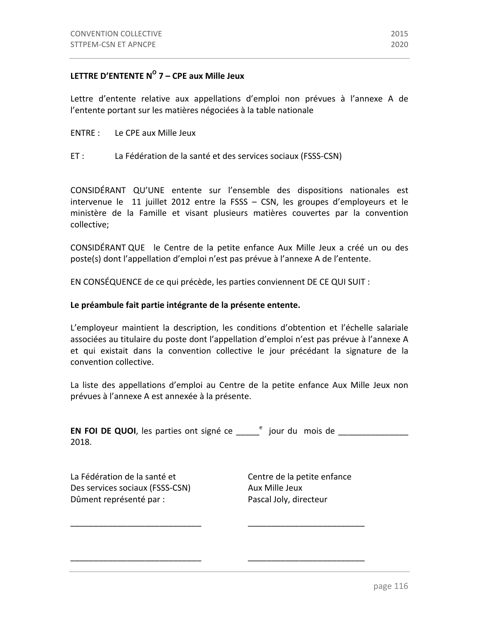### **LETTRE D'ENTENTE N<sup>O</sup> 7 – CPE aux Mille Jeux**

Lettre d'entente relative aux appellations d'emploi non prévues à l'annexe A de l'entente portant sur les matières négociées à la table nationale

- ENTRE : Le CPE aux Mille Jeux
- ET : La Fédération de la santé et des services sociaux (FSSS-CSN)

CONSIDÉRANT QU'UNE entente sur l'ensemble des dispositions nationales est intervenue le 11 juillet 2012 entre la FSSS - CSN, les groupes d'employeurs et le ministère de la Famille et visant plusieurs matières couvertes par la convention collective;

CONSIDÉRANT QUE le Centre de la petite enfance Aux Mille Jeux a créé un ou des poste(s) dont l'appellation d'emploi n'est pas prévue à l'annexe A de l'entente.

EN CONSÉQUENCE de ce qui précède, les parties conviennent DE CE QUI SUIT :

#### Le préambule fait partie intégrante de la présente entente.

L'employeur maintient la description, les conditions d'obtention et l'échelle salariale associées au titulaire du poste dont l'appellation d'emploi n'est pas prévue à l'annexe A et qui existait dans la convention collective le jour précédant la signature de la convention collective.

La liste des appellations d'emploi au Centre de la petite enfance Aux Mille Jeux non prévues à l'annexe A est annexée à la présente.

**EN FOI DE QUOI**, les parties ont signé ce  $\frac{e}{e}$  jour du mois de  $\frac{e}{e}$  mois de  $\frac{e}{e}$ 2018.

\_\_\_\_\_\_\_\_\_\_\_\_\_\_\_\_\_\_\_\_\_\_\_\_\_\_\_\_ \_\_\_\_\_\_\_\_\_\_\_\_\_\_\_\_\_\_\_\_\_\_\_\_\_

\_\_\_\_\_\_\_\_\_\_\_\_\_\_\_\_\_\_\_\_\_\_\_\_\_\_\_\_ \_\_\_\_\_\_\_\_\_\_\_\_\_\_\_\_\_\_\_\_\_\_\_\_\_

La Fédération de la santé et Centre de la petite enfance Des services sociaux (FSSS-CSN) Aux Mille Jeux Dûment représenté par : Pascal Joly, directeur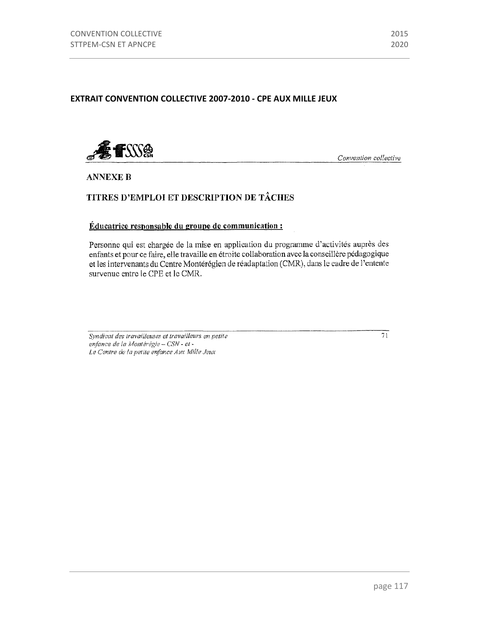### **EXTRAIT CONVENTION COLLECTIVE 2007-2010 - CPE AUX MILLE JEUX**



Convention collective

**ANNEXE B** 

# TITRES D'EMPLOI ET DESCRIPTION DE TÂCHES

#### Éducatrice responsable du groupe de communication :

Personne qui est chargée de la mise en application du programme d'activités auprès des enfants et pour ce faire, elle travaille en étroite collaboration avec la conseillère pédagogique et les intervenants du Centre Montérégien de réadaptation (CMR), dans le cadre de l'entente survenue entre le CPE et le CMR.

Syndicat des travailleuses et travailleurs en petite enfance de la Montérégie - CSN - et -Le Centre de la petite enfance Aux Mille Jeux

 $\overline{71}$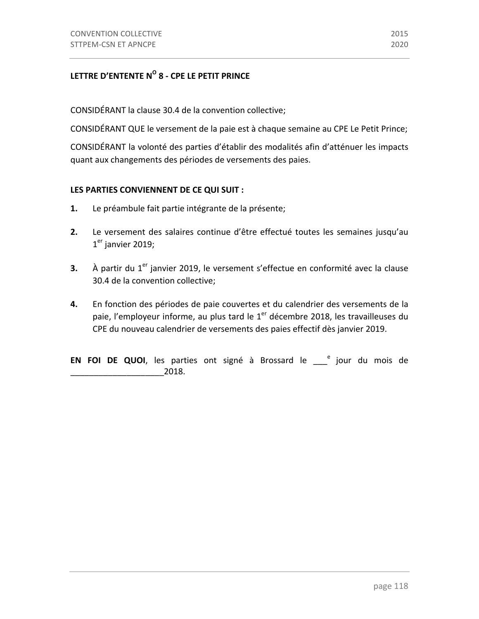# LETTRE D'ENTENTE N<sup>O</sup> 8 - CPE LE PETIT PRINCE

CONSIDÉRANT la clause 30.4 de la convention collective;

CONSIDÉRANT QUE le versement de la paie est à chaque semaine au CPE Le Petit Prince;

CONSIDÉRANT la volonté des parties d'établir des modalités afin d'atténuer les impacts quant aux changements des périodes de versements des paies.

### LES PARTIES CONVIENNENT DE CE QUI SUIT :

- **1.** Le préambule fait partie intégrante de la présente;
- **2.** Le versement des salaires continue d'être effectué toutes les semaines jusqu'au  $1<sup>er</sup>$  janvier 2019;
- **3.** À partir du 1<sup>er</sup> janvier 2019, le versement s'effectue en conformité avec la clause 30.4 de la convention collective;
- **4.** En fonction des périodes de paie couvertes et du calendrier des versements de la paie, l'employeur informe, au plus tard le  $1<sup>er</sup>$  décembre 2018, les travailleuses du CPE du nouveau calendrier de versements des paies effectif dès janvier 2019.

**EN FOI DE QUOI**, les parties ont signé à Brossard le \_\_\_<sup>e</sup> jour du mois de \_\_\_\_\_\_\_\_\_\_\_\_\_\_\_\_\_\_\_\_2018.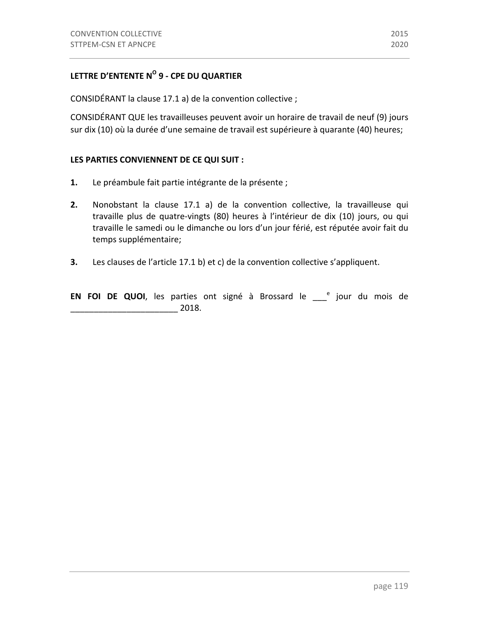# **LETTRE D'ENTENTE N° 9 - CPE DU QUARTIER**

CONSIDÉRANT la clause 17.1 a) de la convention collective ;

CONSIDÉRANT QUE les travailleuses peuvent avoir un horaire de travail de neuf (9) jours sur dix (10) où la durée d'une semaine de travail est supérieure à quarante (40) heures;

#### LES PARTIES CONVIENNENT DE CE QUI SUIT **:**

- **1.** Le préambule fait partie intégrante de la présente ;
- **2.** Nonobstant la clause 17.1 a) de la convention collective, la travailleuse qui travaille plus de quatre-vingts (80) heures à l'intérieur de dix (10) jours, ou qui travaille le samedi ou le dimanche ou lors d'un jour férié, est réputée avoir fait du temps supplémentaire;
- **3.** Les clauses de l'article 17.1 b) et c) de la convention collective s'appliquent.

**EN FOI DE QUOI**, les parties ont signé à Brossard le \_\_\_<sup>e</sup> jour du mois de \_\_\_\_\_\_\_\_\_\_\_\_\_\_\_\_\_\_\_\_\_\_\_ 2018.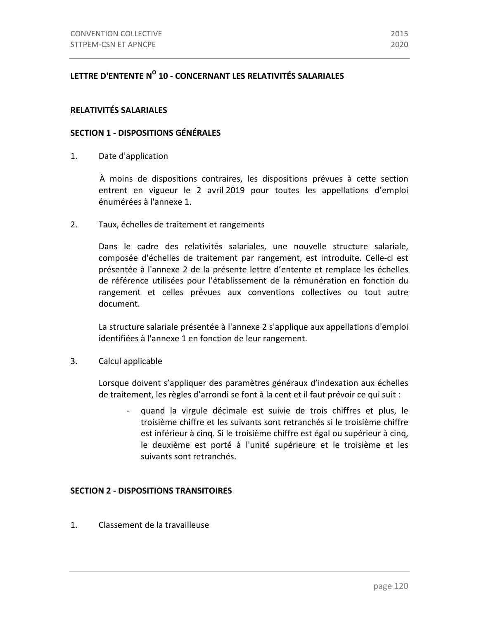# LETTRE D'ENTENTE N<sup>O</sup> 10 - CONCERNANT LES RELATIVITÉS SALARIALES

#### **RELATIVITÉS SALARIALES**

#### **SECTION 1 - DISPOSITIONS GÉNÉRALES**

1. Date d'application

À moins de dispositions contraires, les dispositions prévues à cette section entrent en vigueur le 2 avril 2019 pour toutes les appellations d'emploi énumérées à l'annexe 1.

2. Taux, échelles de traitement et rangements

Dans le cadre des relativités salariales, une nouvelle structure salariale, composée d'échelles de traitement par rangement, est introduite. Celle-ci est présentée à l'annexe 2 de la présente lettre d'entente et remplace les échelles de référence utilisées pour l'établissement de la rémunération en fonction du rangement et celles prévues aux conventions collectives ou tout autre document.

La structure salariale présentée à l'annexe 2 s'applique aux appellations d'emploi identifiées à l'annexe 1 en fonction de leur rangement.

3. Calcul applicable

Lorsque doivent s'appliquer des paramètres généraux d'indexation aux échelles de traitement, les règles d'arrondi se font à la cent et il faut prévoir ce qui suit :

quand la virgule décimale est suivie de trois chiffres et plus, le troisième chiffre et les suivants sont retranchés si le troisième chiffre est inférieur à cinq. Si le troisième chiffre est égal ou supérieur à cinq, le deuxième est porté à l'unité supérieure et le troisième et les suivants sont retranchés.

#### **SECTION 2 - DISPOSITIONS TRANSITOIRES**

1. Classement de la travailleuse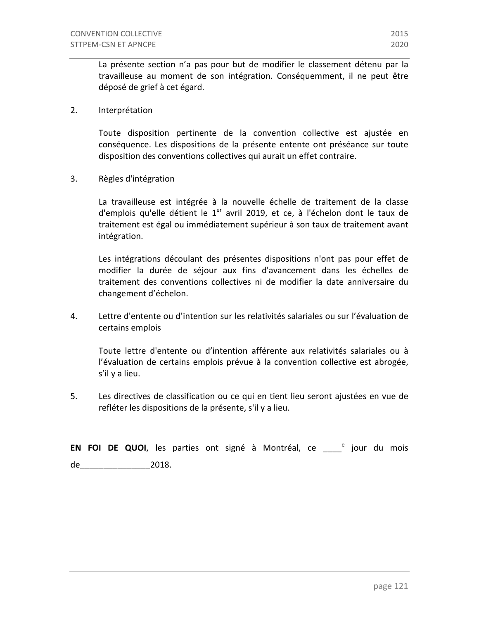La présente section n'a pas pour but de modifier le classement détenu par la travailleuse au moment de son intégration. Conséquemment, il ne peut être déposé de grief à cet égard. 

2. Interprétation

Toute disposition pertinente de la convention collective est ajustée en conséquence. Les dispositions de la présente entente ont préséance sur toute disposition des conventions collectives qui aurait un effet contraire.

3. Règles d'intégration 

La travailleuse est intégrée à la nouvelle échelle de traitement de la classe d'emplois qu'elle détient le  $1<sup>er</sup>$  avril 2019, et ce, à l'échelon dont le taux de traitement est égal ou immédiatement supérieur à son taux de traitement avant intégration. 

Les intégrations découlant des présentes dispositions n'ont pas pour effet de modifier la durée de séjour aux fins d'avancement dans les échelles de traitement des conventions collectives ni de modifier la date anniversaire du changement d'échelon.

4. Lettre d'entente ou d'intention sur les relativités salariales ou sur l'évaluation de certains emplois

Toute lettre d'entente ou d'intention afférente aux relativités salariales ou à l'évaluation de certains emplois prévue à la convention collective est abrogée, s'il y a lieu.

5. Les directives de classification ou ce qui en tient lieu seront ajustées en vue de refléter les dispositions de la présente, s'il y a lieu.

**EN FOI DE QUOI**, les parties ont signé à Montréal, ce compoundu mois de\_\_\_\_\_\_\_\_\_\_\_\_\_\_\_2018.